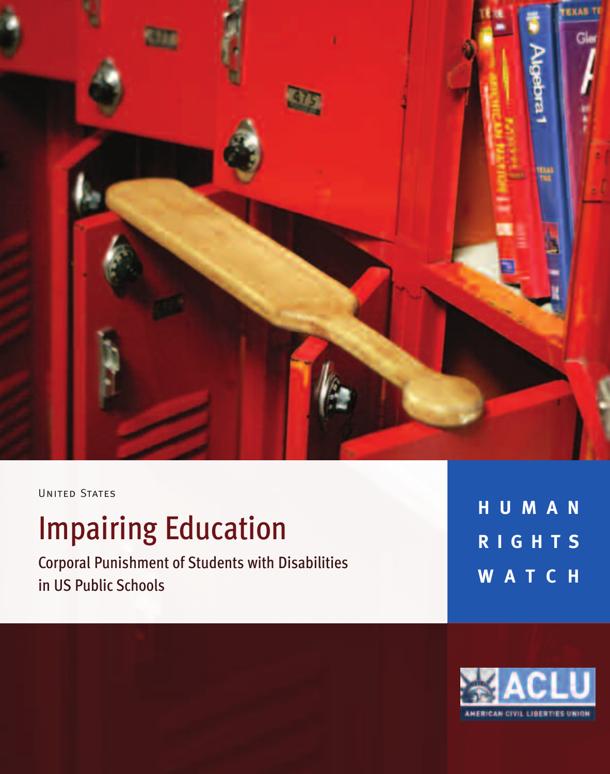

UNITED STATES

# **Impairing Education**

Corporal Punishment of Students with Disabilities in US Public Schools

**H U M A N R I G H T S W A T C H**

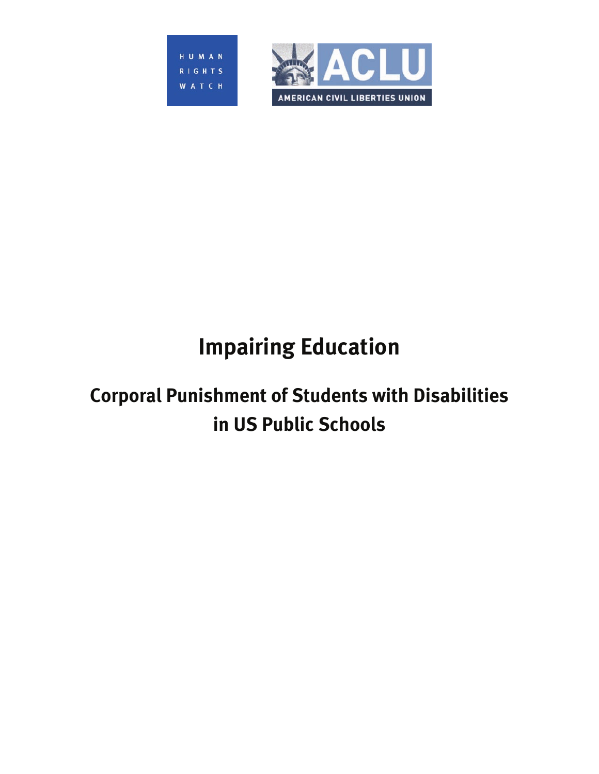



# **Impairing Education**

## **Corporal Punishment of Students with Disabilities in US Public Schools**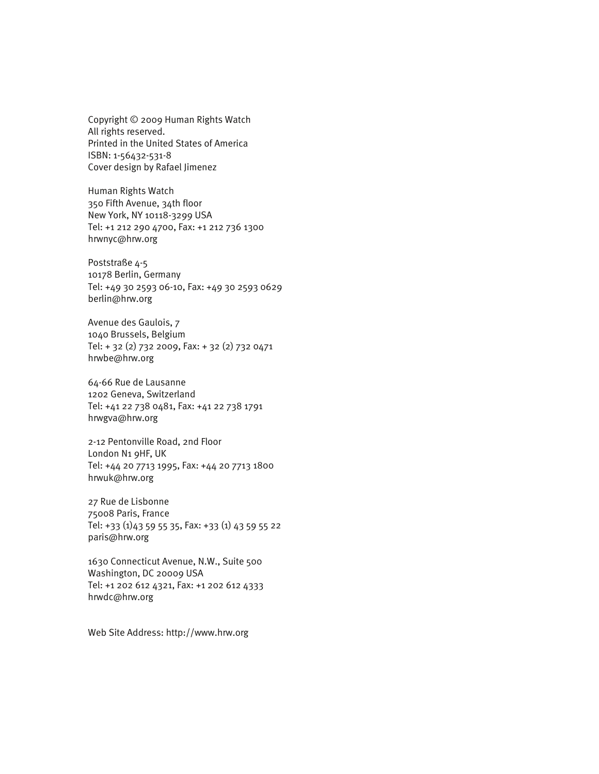Copyright © 2009 Human Rights Watch All rights reserved. Printed in the United States of America ISBN: 1-56432-531-8 Cover design by Rafael Jimenez

Human Rights Watch 350 Fifth Avenue, 34th floor New York, NY 10118-3299 USA Tel: +1 212 290 4700, Fax: +1 212 736 1300 hrwnyc@hrw.org

Poststraße 4-5 10178 Berlin, Germany Tel: +49 30 2593 06-10, Fax: +49 30 2593 0629 berlin@hrw.org

Avenue des Gaulois, 7 1040 Brussels, Belgium Tel: + 32 (2) 732 2009, Fax: + 32 (2) 732 0471 hrwbe@hrw.org

64-66 Rue de Lausanne 1202 Geneva, Switzerland Tel: +41 22 738 0481, Fax: +41 22 738 1791 hrwgva@hrw.org

2-12 Pentonville Road, 2nd Floor London N1 9HF, UK Tel: +44 20 7713 1995, Fax: +44 20 7713 1800 hrwuk@hrw.org

27 Rue de Lisbonne 75008 Paris, France Tel: +33 (1)43 59 55 35, Fax: +33 (1) 43 59 55 22 paris@hrw.org

1630 Connecticut Avenue, N.W., Suite 500 Washington, DC 20009 USA Tel: +1 202 612 4321, Fax: +1 202 612 4333 hrwdc@hrw.org

Web Site Address: http://www.hrw.org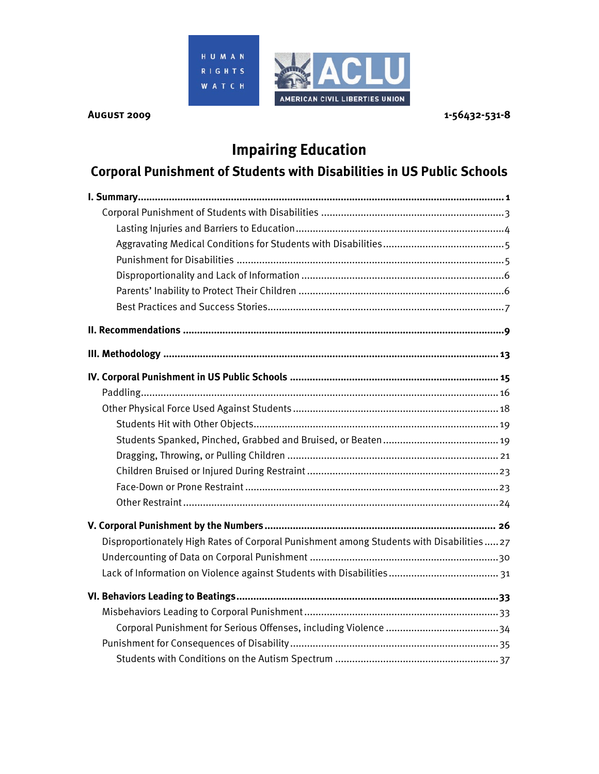

## **Impairing Education**

## **Corporal Punishment of Students with Disabilities in US Public Schools**

| Disproportionately High Rates of Corporal Punishment among Students with Disabilities27 |
|-----------------------------------------------------------------------------------------|
|                                                                                         |
|                                                                                         |
|                                                                                         |
|                                                                                         |
|                                                                                         |
|                                                                                         |
|                                                                                         |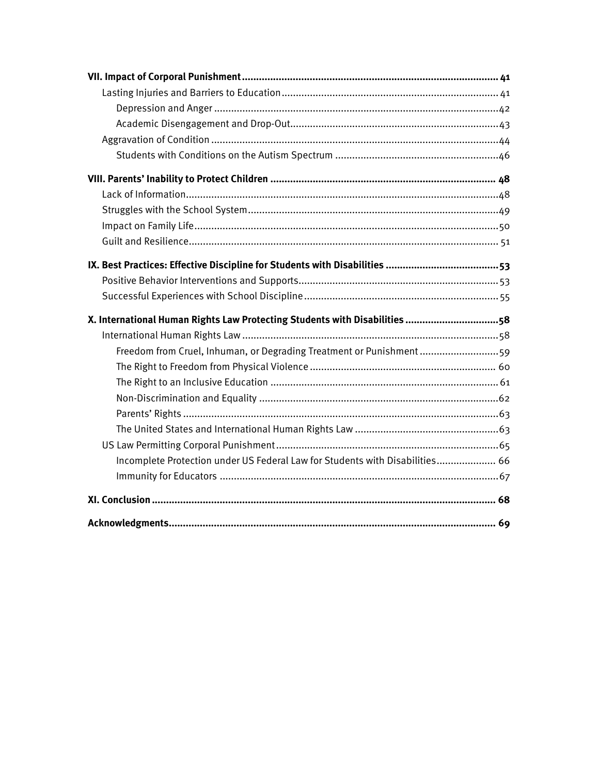| X. International Human Rights Law Protecting Students with Disabilities 58   |
|------------------------------------------------------------------------------|
|                                                                              |
|                                                                              |
| Freedom from Cruel, Inhuman, or Degrading Treatment or Punishment59          |
|                                                                              |
|                                                                              |
|                                                                              |
|                                                                              |
|                                                                              |
|                                                                              |
| Incomplete Protection under US Federal Law for Students with Disabilities 66 |
|                                                                              |
|                                                                              |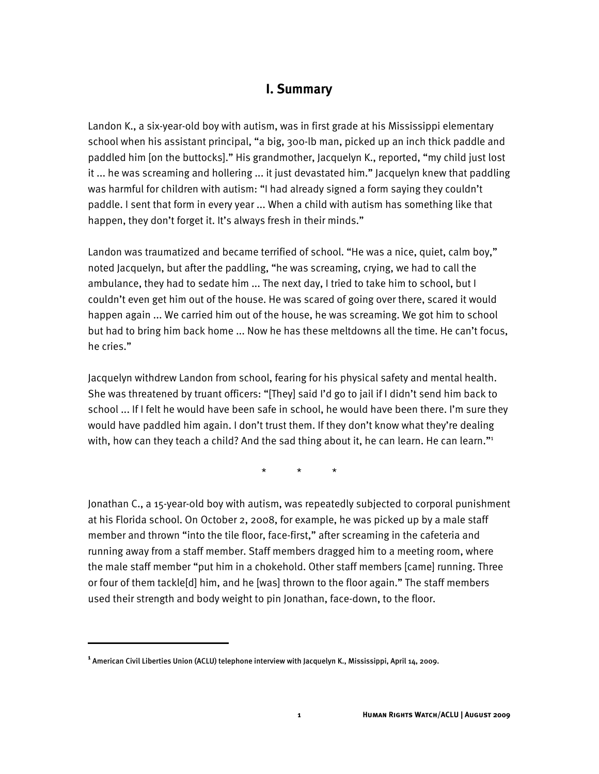#### **I. Summary**

Landon K., a six-year-old boy with autism, was in first grade at his Mississippi elementary school when his assistant principal, "a big, 300-lb man, picked up an inch thick paddle and paddled him [on the buttocks]." His grandmother, Jacquelyn K., reported, "my child just lost it ... he was screaming and hollering ... it just devastated him." Jacquelyn knew that paddling was harmful for children with autism: "I had already signed a form saying they couldn't paddle. I sent that form in every year ... When a child with autism has something like that happen, they don't forget it. It's always fresh in their minds."

Landon was traumatized and became terrified of school. "He was a nice, quiet, calm boy," noted Jacquelyn, but after the paddling, "he was screaming, crying, we had to call the ambulance, they had to sedate him ... The next day, I tried to take him to school, but I couldn't even get him out of the house. He was scared of going over there, scared it would happen again ... We carried him out of the house, he was screaming. We got him to school but had to bring him back home ... Now he has these meltdowns all the time. He can't focus, he cries."

Jacquelyn withdrew Landon from school, fearing for his physical safety and mental health. She was threatened by truant officers: "[They] said I'd go to jail if I didn't send him back to school ... If I felt he would have been safe in school, he would have been there. I'm sure they would have paddled him again. I don't trust them. If they don't know what they're dealing with, how can they teach a child? And the sad thing about it, he can learn. He can learn." $1$ 

\* \* \*

Jonathan C., a 15-year-0ld boy with autism, was repeatedly subjected to corporal punishment at his Florida school. On October 2, 2008, for example, he was picked up by a male staff member and thrown "into the tile floor, face-first," after screaming in the cafeteria and running away from a staff member. Staff members dragged him to a meeting room, where the male staff member "put him in a chokehold. Other staff members [came] running. Three or four of them tackle[d] him, and he [was] thrown to the floor again." The staff members used their strength and body weight to pin Jonathan, face-down, to the floor.

i

**<sup>1</sup>** American Civil Liberties Union (ACLU) telephone interview with Jacquelyn K., Mississippi, April 14, 2009.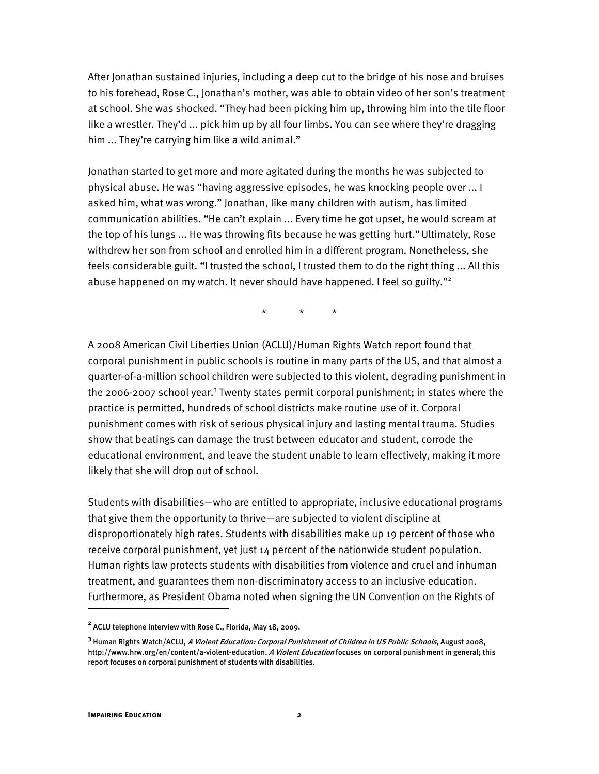After Jonathan sustained injuries, including a deep cut to the bridge of his nose and bruises to his forehead, Rose C., Jonathan's mother, was able to obtain video of her son's treatment at school. She was shocked. "They had been picking him up, throwing him into the tile floor like a wrestler. They'd ... pick him up by all four limbs. You can see where they're dragging him ... They're carrying him like a wild animal."

Jonathan started to get more and more agitated during the months he was subjected to physical abuse. He was "having aggressive episodes, he was knocking people over ... I asked him, what was wrong." Jonathan, like many children with autism, has limited communication abilities. "He can't explain ... Every time he got upset, he would scream at the top of his lungs ... He was throwing fits because he was getting hurt."Ultimately, Rose withdrew her son from school and enrolled him in a different program. Nonetheless, she feels considerable guilt. "I trusted the school, I trusted them to do the right thing ... All this abuse happened on my watch. It never should have happened. I feel so guilty."<sup>2</sup>

\* \* \*

A 2008 American Civil Liberties Union (ACLU)/Human Rights Watch report found that corporal punishment in public schools is routine in many parts of the US, and that almost a quarter-of-a-million school children were subjected to this violent, degrading punishment in the 2006-2007 school year.<sup>3</sup> Twenty states permit corporal punishment; in states where the practice is permitted, hundreds of school districts make routine use of it. Corporal punishment comes with risk of serious physical injury and lasting mental trauma. Studies show that beatings can damage the trust between educator and student, corrode the educational environment, and leave the student unable to learn effectively, making it more likely that she will drop out of school.

Students with disabilities—who are entitled to appropriate, inclusive educational programs that give them the opportunity to thrive—are subjected to violent discipline at disproportionately high rates. Students with disabilities make up 19 percent of those who receive corporal punishment, yet just 14 percent of the nationwide student population. Human rights law protects students with disabilities from violence and cruel and inhuman treatment, and guarantees them non-discriminatory access to an inclusive education. Furthermore, as President Obama noted when signing the UN Convention on the Rights of

:

**<sup>2</sup>** ACLU telephone interview with Rose C., Florida, May 18, 2009.

**<sup>3</sup>** Human Rights Watch/ACLU, A Violent Education: Corporal Punishment of Children in US Public Schools, August 2008, http://www.hrw.org/en/content/a-violent-education. A Violent Education focuses on corporal punishment in general; this report focuses on corporal punishment of students with disabilities.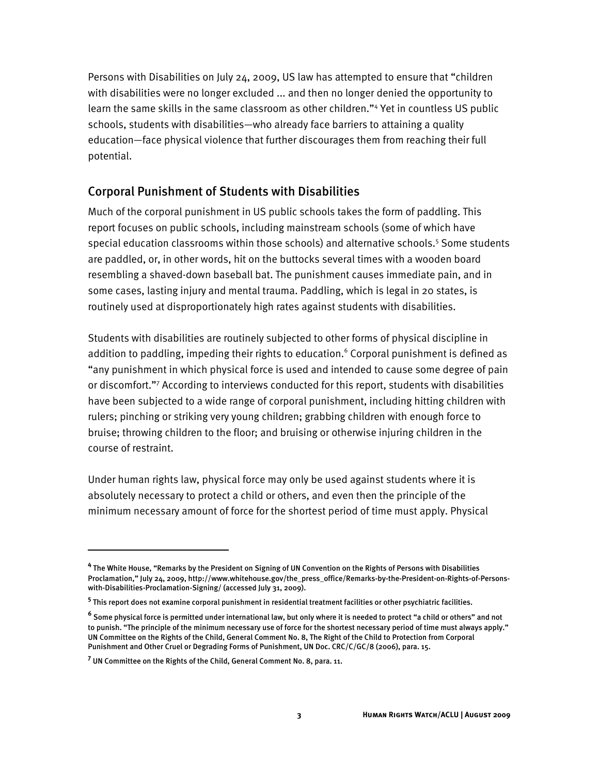Persons with Disabilities on July 24, 2009, US law has attempted to ensure that "children with disabilities were no longer excluded ... and then no longer denied the opportunity to learn the same skills in the same classroom as other children."<sup>4</sup> Yet in countless US public schools, students with disabilities—who already face barriers to attaining a quality education—face physical violence that further discourages them from reaching their full potential.

#### Corporal Punishment of Students with Disabilities

Much of the corporal punishment in US public schools takes the form of paddling. This report focuses on public schools, including mainstream schools (some of which have special education classrooms within those schools) and alternative schools.<sup>5</sup> Some students are paddled, or, in other words, hit on the buttocks several times with a wooden board resembling a shaved-down baseball bat. The punishment causes immediate pain, and in some cases, lasting injury and mental trauma. Paddling, which is legal in 20 states, is routinely used at disproportionately high rates against students with disabilities.

Students with disabilities are routinely subjected to other forms of physical discipline in addition to paddling, impeding their rights to education.<sup>6</sup> Corporal punishment is defined as "any punishment in which physical force is used and intended to cause some degree of pain or discomfort."<sup>7</sup> According to interviews conducted for this report, students with disabilities have been subjected to a wide range of corporal punishment, including hitting children with rulers; pinching or striking very young children; grabbing children with enough force to bruise; throwing children to the floor; and bruising or otherwise injuring children in the course of restraint.

Under human rights law, physical force may only be used against students where it is absolutely necessary to protect a child or others, and even then the principle of the minimum necessary amount of force for the shortest period of time must apply. Physical

İ

**<sup>4</sup>** The White House, "Remarks by the President on Signing of UN Convention on the Rights of Persons with Disabilities Proclamation," July 24, 2009, http://www.whitehouse.gov/the\_press\_office/Remarks-by-the-President-on-Rights-of-Personswith-Disabilities-Proclamation-Signing/ (accessed July 31, 2009).

**<sup>5</sup>** This report does not examine corporal punishment in residential treatment facilities or other psychiatric facilities.

**<sup>6</sup>** Some physical force is permitted under international law, but only where it is needed to protect "a child or others" and not to punish. "The principle of the minimum necessary use of force for the shortest necessary period of time must always apply." UN Committee on the Rights of the Child, General Comment No. 8, The Right of the Child to Protection from Corporal Punishment and Other Cruel or Degrading Forms of Punishment, UN Doc. CRC/C/GC/8 (2006), para. 15.

**<sup>7</sup>** UN Committee on the Rights of the Child, General Comment No. 8, para. 11.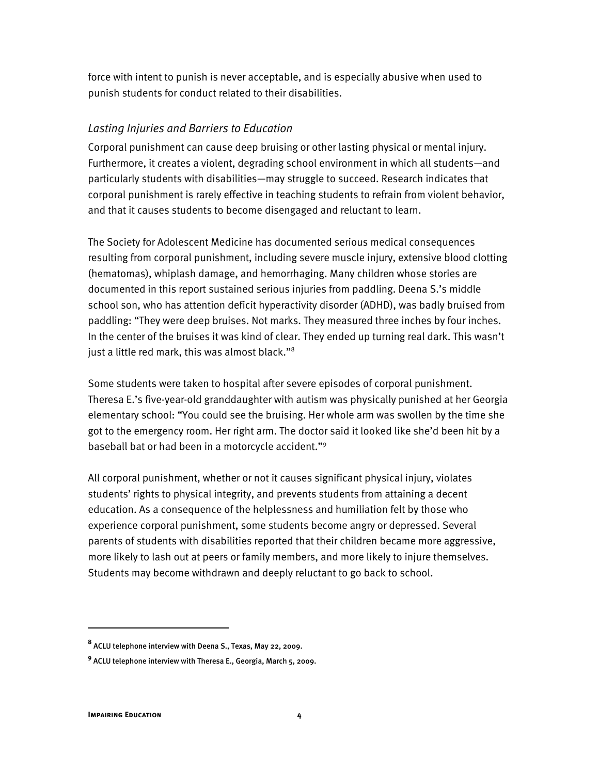force with intent to punish is never acceptable, and is especially abusive when used to punish students for conduct related to their disabilities.

#### *Lasting Injuries and Barriers to Education*

Corporal punishment can cause deep bruising or other lasting physical or mental injury. Furthermore, it creates a violent, degrading school environment in which all students—and particularly students with disabilities—may struggle to succeed. Research indicates that corporal punishment is rarely effective in teaching students to refrain from violent behavior, and that it causes students to become disengaged and reluctant to learn.

The Society for Adolescent Medicine has documented serious medical consequences resulting from corporal punishment, including severe muscle injury, extensive blood clotting (hematomas), whiplash damage, and hemorrhaging. Many children whose stories are documented in this report sustained serious injuries from paddling. Deena S.'s middle school son, who has attention deficit hyperactivity disorder (ADHD), was badly bruised from paddling: "They were deep bruises. Not marks. They measured three inches by four inches. In the center of the bruises it was kind of clear. They ended up turning real dark. This wasn't just a little red mark, this was almost black."<sup>8</sup>

Some students were taken to hospital after severe episodes of corporal punishment. Theresa E.'s five-year-old granddaughter with autism was physically punished at her Georgia elementary school: "You could see the bruising. Her whole arm was swollen by the time she got to the emergency room. Her right arm. The doctor said it looked like she'd been hit by a baseball bat or had been in a motorcycle accident."9

All corporal punishment, whether or not it causes significant physical injury, violates students' rights to physical integrity, and prevents students from attaining a decent education. As a consequence of the helplessness and humiliation felt by those who experience corporal punishment, some students become angry or depressed. Several parents of students with disabilities reported that their children became more aggressive, more likely to lash out at peers or family members, and more likely to injure themselves. Students may become withdrawn and deeply reluctant to go back to school.

:

**<sup>8</sup>** ACLU telephone interview with Deena S., Texas, May 22, 2009.

**<sup>9</sup>** ACLU telephone interview with Theresa E., Georgia, March 5, 2009.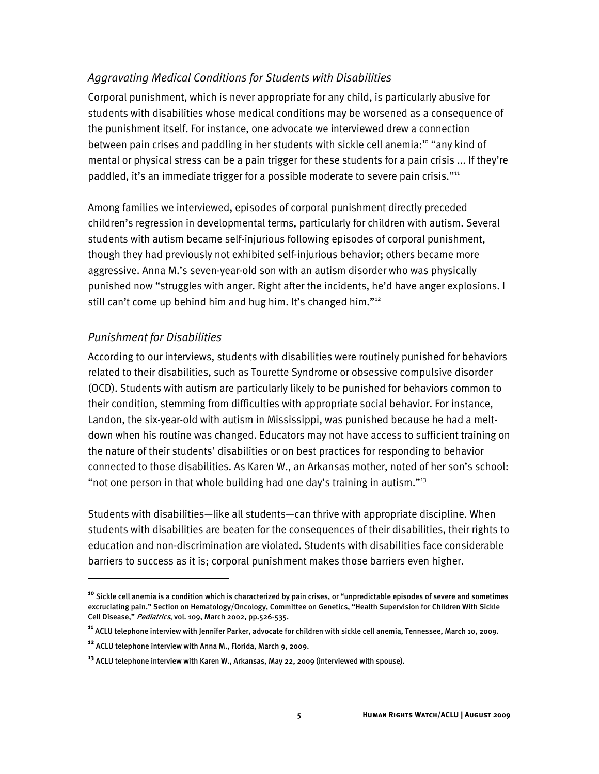#### *Aggravating Medical Conditions for Students with Disabilities*

Corporal punishment, which is never appropriate for any child, is particularly abusive for students with disabilities whose medical conditions may be worsened as a consequence of the punishment itself. For instance, one advocate we interviewed drew a connection between pain crises and paddling in her students with sickle cell anemia:<sup>10</sup> "any kind of mental or physical stress can be a pain trigger for these students for a pain crisis ... If they're paddled, it's an immediate trigger for a possible moderate to severe pain crisis."<sup>11</sup>

Among families we interviewed, episodes of corporal punishment directly preceded children's regression in developmental terms, particularly for children with autism. Several students with autism became self-injurious following episodes of corporal punishment, though they had previously not exhibited self-injurious behavior; others became more aggressive. Anna M.'s seven-year-old son with an autism disorder who was physically punished now "struggles with anger. Right after the incidents, he'd have anger explosions. I still can't come up behind him and hug him. It's changed him."<sup>12</sup>

#### *Punishment for Disabilities*

I

According to our interviews, students with disabilities were routinely punished for behaviors related to their disabilities, such as Tourette Syndrome or obsessive compulsive disorder (OCD). Students with autism are particularly likely to be punished for behaviors common to their condition, stemming from difficulties with appropriate social behavior. For instance, Landon, the six-year-old with autism in Mississippi, was punished because he had a meltdown when his routine was changed. Educators may not have access to sufficient training on the nature of their students' disabilities or on best practices for responding to behavior connected to those disabilities. As Karen W., an Arkansas mother, noted of her son's school: "not one person in that whole building had one day's training in autism."<sup>13</sup>

Students with disabilities—like all students—can thrive with appropriate discipline. When students with disabilities are beaten for the consequences of their disabilities, their rights to education and non-discrimination are violated. Students with disabilities face considerable barriers to success as it is; corporal punishment makes those barriers even higher.

**<sup>10</sup>** Sickle cell anemia is a condition which is characterized by pain crises, or "unpredictable episodes of severe and sometimes excruciating pain." Section on Hematology/Oncology, Committee on Genetics, "Health Supervision for Children With Sickle Cell Disease," Pediatrics, vol. 109, March 2002, pp.526-535.

**<sup>11</sup>** ACLU telephone interview with Jennifer Parker, advocate for children with sickle cell anemia, Tennessee, March 10, 2009.

**<sup>12</sup>** ACLU telephone interview with Anna M., Florida, March 9, 2009.

**<sup>13</sup>** ACLU telephone interview with Karen W., Arkansas, May 22, 2009 (interviewed with spouse).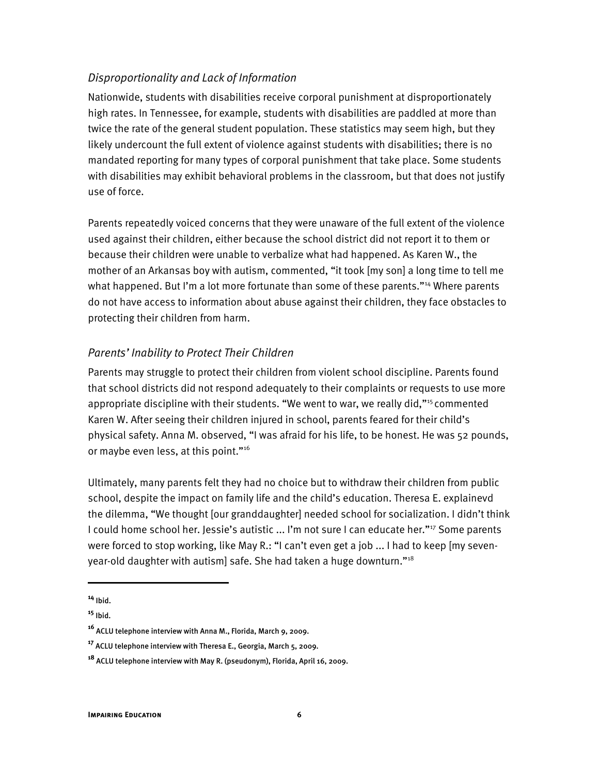#### *Disproportionality and Lack of Information*

Nationwide, students with disabilities receive corporal punishment at disproportionately high rates. In Tennessee, for example, students with disabilities are paddled at more than twice the rate of the general student population. These statistics may seem high, but they likely undercount the full extent of violence against students with disabilities; there is no mandated reporting for many types of corporal punishment that take place. Some students with disabilities may exhibit behavioral problems in the classroom, but that does not justify use of force.

Parents repeatedly voiced concerns that they were unaware of the full extent of the violence used against their children, either because the school district did not report it to them or because their children were unable to verbalize what had happened. As Karen W., the mother of an Arkansas boy with autism, commented, "it took [my son] a long time to tell me what happened. But I'm a lot more fortunate than some of these parents."<sup>14</sup> Where parents do not have access to information about abuse against their children, they face obstacles to protecting their children from harm.

#### *Parents' Inability to Protect Their Children*

Parents may struggle to protect their children from violent school discipline. Parents found that school districts did not respond adequately to their complaints or requests to use more appropriate discipline with their students. "We went to war, we really did,"<sup>15</sup> commented Karen W. After seeing their children injured in school, parents feared for their child's physical safety. Anna M. observed, "I was afraid for his life, to be honest. He was 52 pounds, or maybe even less, at this point."<sup>16</sup>

Ultimately, many parents felt they had no choice but to withdraw their children from public school, despite the impact on family life and the child's education. Theresa E. explainevd the dilemma, "We thought [our granddaughter] needed school for socialization. I didn't think I could home school her. Jessie's autistic ... I'm not sure I can educate her."<sup>17</sup> Some parents were forced to stop working, like May R.: "I can't even get a job ... I had to keep [my sevenyear-old daughter with autism] safe. She had taken a huge downturn."<sup>18</sup>

İ

**<sup>14</sup>** Ibid.

**<sup>15</sup>** Ibid.

**<sup>16</sup>** ACLU telephone interview with Anna M., Florida, March 9, 2009.

**<sup>17</sup>** ACLU telephone interview with Theresa E., Georgia, March 5, 2009.

**<sup>18</sup>** ACLU telephone interview with May R. (pseudonym), Florida, April 16, 2009.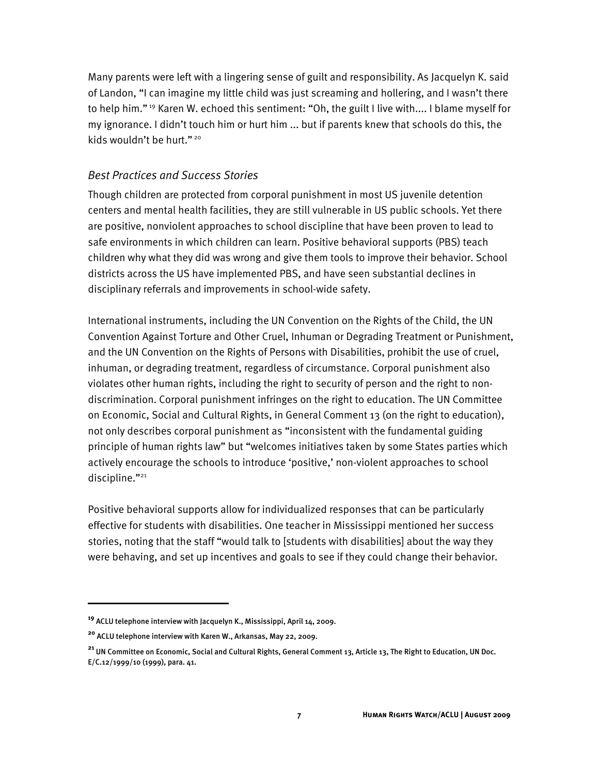Many parents were left with a lingering sense of guilt and responsibility. As Jacquelyn K. said of Landon, "I can imagine my little child was just screaming and hollering, and I wasn't there to help him." 19 Karen W. echoed this sentiment: "Oh, the guilt I live with.... I blame myself for my ignorance. I didn't touch him or hurt him ... but if parents knew that schools do this, the kids wouldn't be hurt."<sup>20</sup>

#### *Best Practices and Success Stories*

Though children are protected from corporal punishment in most US juvenile detention centers and mental health facilities, they are still vulnerable in US public schools. Yet there are positive, nonviolent approaches to school discipline that have been proven to lead to safe environments in which children can learn. Positive behavioral supports (PBS) teach children why what they did was wrong and give them tools to improve their behavior. School districts across the US have implemented PBS, and have seen substantial declines in disciplinary referrals and improvements in school-wide safety.

International instruments, including the UN Convention on the Rights of the Child, the UN Convention Against Torture and Other Cruel, Inhuman or Degrading Treatment or Punishment, and the UN Convention on the Rights of Persons with Disabilities, prohibit the use of cruel, inhuman, or degrading treatment, regardless of circumstance. Corporal punishment also violates other human rights, including the right to security of person and the right to nondiscrimination. Corporal punishment infringes on the right to education. The UN Committee on Economic, Social and Cultural Rights, in General Comment 13 (on the right to education), not only describes corporal punishment as "inconsistent with the fundamental guiding principle of human rights law" but "welcomes initiatives taken by some States parties which actively encourage the schools to introduce 'positive,' non-violent approaches to school discipline."<sup>21</sup>

Positive behavioral supports allow for individualized responses that can be particularly effective for students with disabilities. One teacher in Mississippi mentioned her success stories, noting that the staff "would talk to [students with disabilities] about the way they were behaving, and set up incentives and goals to see if they could change their behavior.

ֺ

**<sup>19</sup>** ACLU telephone interview with Jacquelyn K., Mississippi, April 14, 2009.

**<sup>20</sup>** ACLU telephone interview with Karen W., Arkansas, May 22, 2009.

**<sup>21</sup>** UN Committee on Economic, Social and Cultural Rights, General Comment 13, Article 13, The Right to Education, UN Doc. E/C.12/1999/10 (1999), para. 41.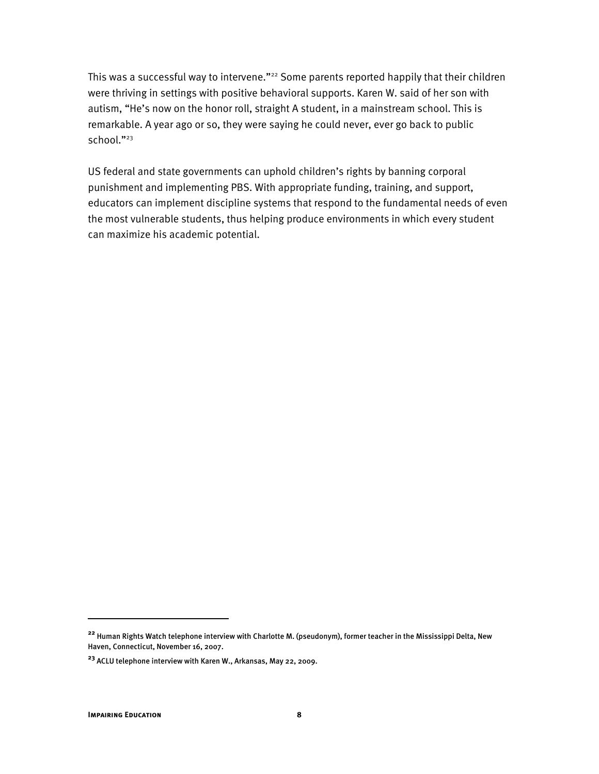This was a successful way to intervene."<sup>22</sup> Some parents reported happily that their children were thriving in settings with positive behavioral supports. Karen W. said of her son with autism, "He's now on the honor roll, straight A student, in a mainstream school. This is remarkable. A year ago or so, they were saying he could never, ever go back to public school."<sup>23</sup>

US federal and state governments can uphold children's rights by banning corporal punishment and implementing PBS. With appropriate funding, training, and support, educators can implement discipline systems that respond to the fundamental needs of even the most vulnerable students, thus helping produce environments in which every student can maximize his academic potential.

ֺ

**<sup>22</sup>** Human Rights Watch telephone interview with Charlotte M. (pseudonym), former teacher in the Mississippi Delta, New Haven, Connecticut, November 16, 2007.

**<sup>23</sup>** ACLU telephone interview with Karen W., Arkansas, May 22, 2009.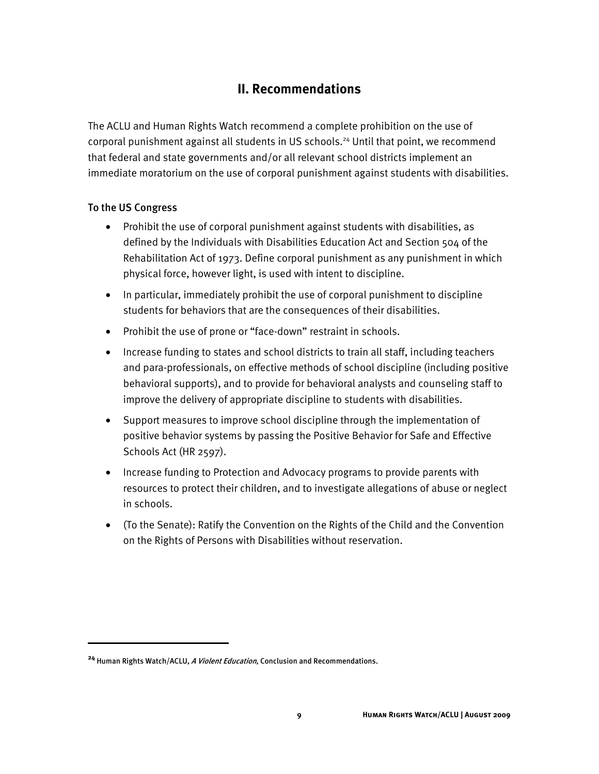#### **II. Recommendations**

The ACLU and Human Rights Watch recommend a complete prohibition on the use of corporal punishment against all students in US schools.<sup>24</sup> Until that point, we recommend that federal and state governments and/or all relevant school districts implement an immediate moratorium on the use of corporal punishment against students with disabilities.

#### To the US Congress

:

- Prohibit the use of corporal punishment against students with disabilities, as defined by the Individuals with Disabilities Education Act and Section 504 of the Rehabilitation Act of 1973. Define corporal punishment as any punishment in which physical force, however light, is used with intent to discipline.
- In particular, immediately prohibit the use of corporal punishment to discipline students for behaviors that are the consequences of their disabilities.
- Prohibit the use of prone or "face-down" restraint in schools.
- Increase funding to states and school districts to train all staff, including teachers and para-professionals, on effective methods of school discipline (including positive behavioral supports), and to provide for behavioral analysts and counseling staff to improve the delivery of appropriate discipline to students with disabilities.
- Support measures to improve school discipline through the implementation of positive behavior systems by passing the Positive Behavior for Safe and Effective Schools Act (HR 2597).
- Increase funding to Protection and Advocacy programs to provide parents with resources to protect their children, and to investigate allegations of abuse or neglect in schools.
- (To the Senate): Ratify the Convention on the Rights of the Child and the Convention on the Rights of Persons with Disabilities without reservation.

**<sup>24</sup>** Human Rights Watch/ACLU, A Violent Education, Conclusion and Recommendations.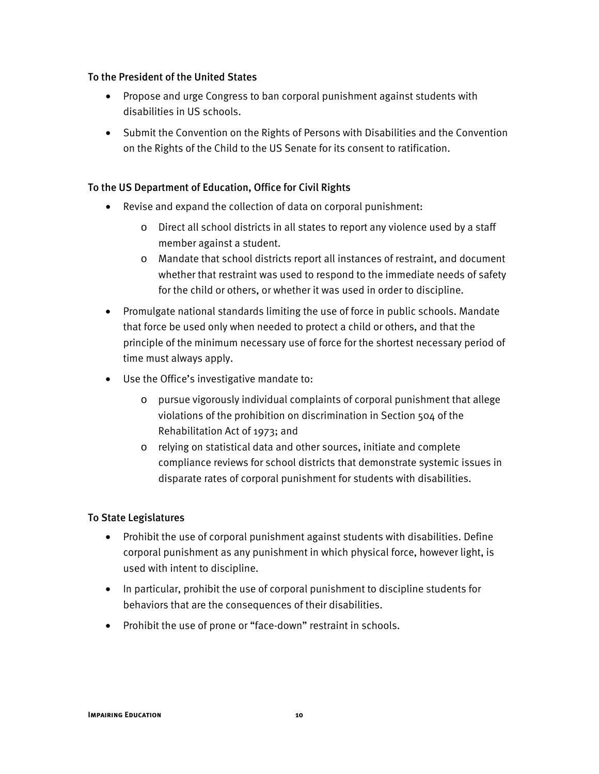#### To the President of the United States

- Propose and urge Congress to ban corporal punishment against students with disabilities in US schools.
- Submit the Convention on the Rights of Persons with Disabilities and the Convention on the Rights of the Child to the US Senate for its consent to ratification.

#### To the US Department of Education, Office for Civil Rights

- Revise and expand the collection of data on corporal punishment:
	- o Direct all school districts in all states to report any violence used by a staff member against a student.
	- o Mandate that school districts report all instances of restraint, and document whether that restraint was used to respond to the immediate needs of safety for the child or others, or whether it was used in order to discipline.
- Promulgate national standards limiting the use of force in public schools. Mandate that force be used only when needed to protect a child or others, and that the principle of the minimum necessary use of force for the shortest necessary period of time must always apply.
- Use the Office's investigative mandate to:
	- o pursue vigorously individual complaints of corporal punishment that allege violations of the prohibition on discrimination in Section 504 of the Rehabilitation Act of 1973; and
	- o relying on statistical data and other sources, initiate and complete compliance reviews for school districts that demonstrate systemic issues in disparate rates of corporal punishment for students with disabilities.

#### To State Legislatures

- Prohibit the use of corporal punishment against students with disabilities. Define corporal punishment as any punishment in which physical force, however light, is used with intent to discipline.
- In particular, prohibit the use of corporal punishment to discipline students for behaviors that are the consequences of their disabilities.
- Prohibit the use of prone or "face-down" restraint in schools.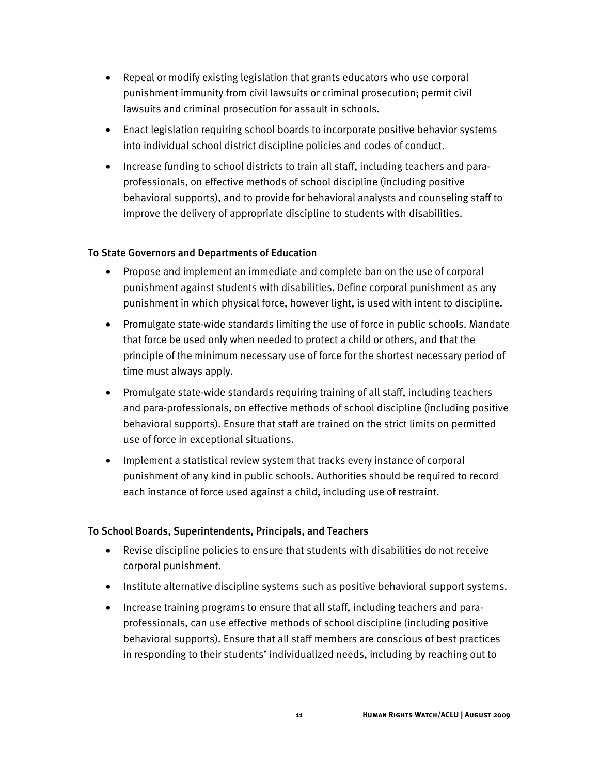- Repeal or modify existing legislation that grants educators who use corporal punishment immunity from civil lawsuits or criminal prosecution; permit civil lawsuits and criminal prosecution for assault in schools.
- Enact legislation requiring school boards to incorporate positive behavior systems into individual school district discipline policies and codes of conduct.
- Increase funding to school districts to train all staff, including teachers and paraprofessionals, on effective methods of school discipline (including positive behavioral supports), and to provide for behavioral analysts and counseling staff to improve the delivery of appropriate discipline to students with disabilities.

#### To State Governors and Departments of Education

- Propose and implement an immediate and complete ban on the use of corporal punishment against students with disabilities. Define corporal punishment as any punishment in which physical force, however light, is used with intent to discipline.
- Promulgate state-wide standards limiting the use of force in public schools. Mandate that force be used only when needed to protect a child or others, and that the principle of the minimum necessary use of force for the shortest necessary period of time must always apply.
- Promulgate state-wide standards requiring training of all staff, including teachers and para-professionals, on effective methods of school discipline (including positive behavioral supports). Ensure that staff are trained on the strict limits on permitted use of force in exceptional situations.
- Implement a statistical review system that tracks every instance of corporal punishment of any kind in public schools. Authorities should be required to record each instance of force used against a child, including use of restraint.

#### To School Boards, Superintendents, Principals, and Teachers

- Revise discipline policies to ensure that students with disabilities do not receive corporal punishment.
- Institute alternative discipline systems such as positive behavioral support systems.
- Increase training programs to ensure that all staff, including teachers and paraprofessionals, can use effective methods of school discipline (including positive behavioral supports). Ensure that all staff members are conscious of best practices in responding to their students' individualized needs, including by reaching out to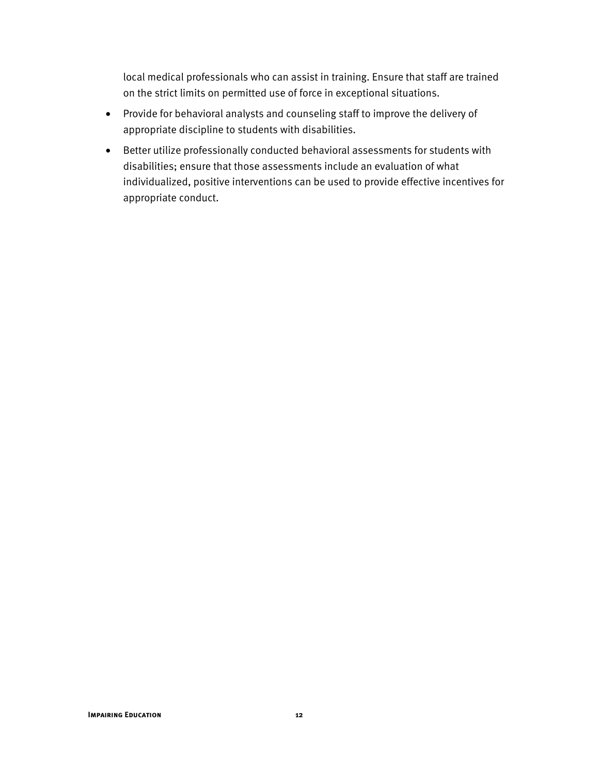local medical professionals who can assist in training. Ensure that staff are trained on the strict limits on permitted use of force in exceptional situations.

- Provide for behavioral analysts and counseling staff to improve the delivery of appropriate discipline to students with disabilities.
- Better utilize professionally conducted behavioral assessments for students with disabilities; ensure that those assessments include an evaluation of what individualized, positive interventions can be used to provide effective incentives for appropriate conduct.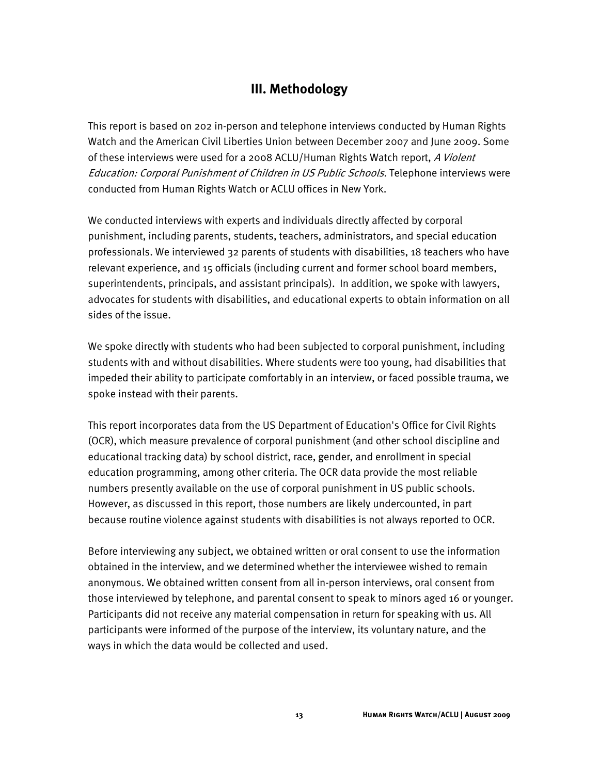#### **III. Methodology**

This report is based on 202 in-person and telephone interviews conducted by Human Rights Watch and the American Civil Liberties Union between December 2007 and June 2009. Some of these interviews were used for a 2008 ACLU/Human Rights Watch report, A Violent Education: Corporal Punishment of Children in US Public Schools. Telephone interviews were conducted from Human Rights Watch or ACLU offices in New York.

We conducted interviews with experts and individuals directly affected by corporal punishment, including parents, students, teachers, administrators, and special education professionals. We interviewed 32 parents of students with disabilities, 18 teachers who have relevant experience, and 15 officials (including current and former school board members, superintendents, principals, and assistant principals). In addition, we spoke with lawyers, advocates for students with disabilities, and educational experts to obtain information on all sides of the issue.

We spoke directly with students who had been subjected to corporal punishment, including students with and without disabilities. Where students were too young, had disabilities that impeded their ability to participate comfortably in an interview, or faced possible trauma, we spoke instead with their parents.

This report incorporates data from the US Department of Education's Office for Civil Rights (OCR), which measure prevalence of corporal punishment (and other school discipline and educational tracking data) by school district, race, gender, and enrollment in special education programming, among other criteria. The OCR data provide the most reliable numbers presently available on the use of corporal punishment in US public schools. However, as discussed in this report, those numbers are likely undercounted, in part because routine violence against students with disabilities is not always reported to OCR.

Before interviewing any subject, we obtained written or oral consent to use the information obtained in the interview, and we determined whether the interviewee wished to remain anonymous. We obtained written consent from all in-person interviews, oral consent from those interviewed by telephone, and parental consent to speak to minors aged 16 or younger. Participants did not receive any material compensation in return for speaking with us. All participants were informed of the purpose of the interview, its voluntary nature, and the ways in which the data would be collected and used.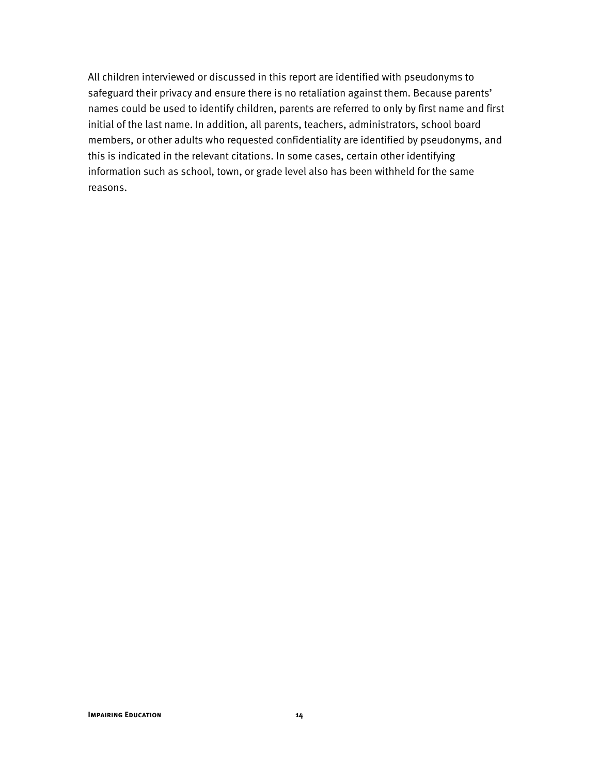All children interviewed or discussed in this report are identified with pseudonyms to safeguard their privacy and ensure there is no retaliation against them. Because parents' names could be used to identify children, parents are referred to only by first name and first initial of the last name. In addition, all parents, teachers, administrators, school board members, or other adults who requested confidentiality are identified by pseudonyms, and this is indicated in the relevant citations. In some cases, certain other identifying information such as school, town, or grade level also has been withheld for the same reasons.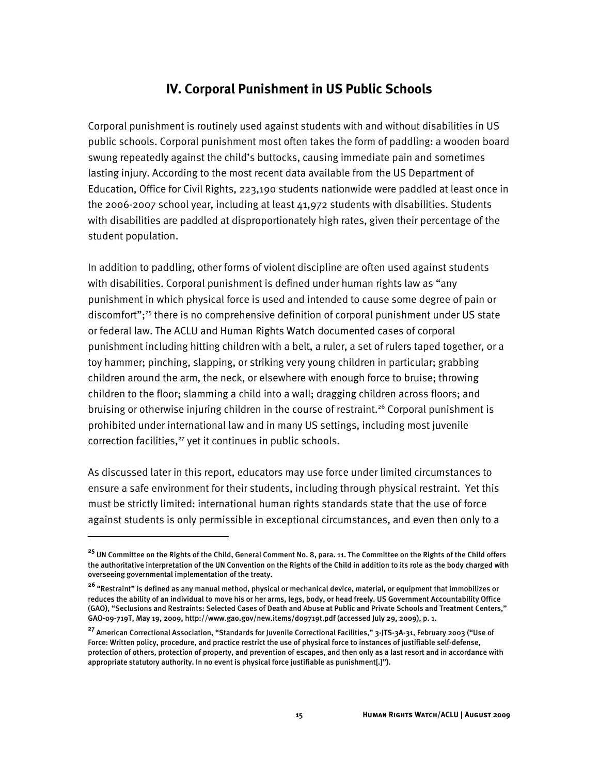#### **IV. Corporal Punishment in US Public Schools**

Corporal punishment is routinely used against students with and without disabilities in US public schools. Corporal punishment most often takes the form of paddling: a wooden board swung repeatedly against the child's buttocks, causing immediate pain and sometimes lasting injury. According to the most recent data available from the US Department of Education, Office for Civil Rights, 223,190 students nationwide were paddled at least once in the 2006-2007 school year, including at least 41,972 students with disabilities. Students with disabilities are paddled at disproportionately high rates, given their percentage of the student population.

In addition to paddling, other forms of violent discipline are often used against students with disabilities. Corporal punishment is defined under human rights law as "any punishment in which physical force is used and intended to cause some degree of pain or discomfort";<sup>25</sup> there is no comprehensive definition of corporal punishment under US state or federal law. The ACLU and Human Rights Watch documented cases of corporal punishment including hitting children with a belt, a ruler, a set of rulers taped together, or a toy hammer; pinching, slapping, or striking very young children in particular; grabbing children around the arm, the neck, or elsewhere with enough force to bruise; throwing children to the floor; slamming a child into a wall; dragging children across floors; and bruising or otherwise injuring children in the course of restraint.<sup>26</sup> Corporal punishment is prohibited under international law and in many US settings, including most juvenile correction facilities, $27$  yet it continues in public schools.

As discussed later in this report, educators may use force under limited circumstances to ensure a safe environment for their students, including through physical restraint. Yet this must be strictly limited: international human rights standards state that the use of force against students is only permissible in exceptional circumstances, and even then only to a

İ

**<sup>25</sup>** UN Committee on the Rights of the Child, General Comment No. 8, para. 11. The Committee on the Rights of the Child offers the authoritative interpretation of the UN Convention on the Rights of the Child in addition to its role as the body charged with overseeing governmental implementation of the treaty.

**<sup>26</sup>** "Restraint" is defined as any manual method, physical or mechanical device, material, or equipment that immobilizes or reduces the ability of an individual to move his or her arms, legs, body, or head freely. US Government Accountability Office (GAO), "Seclusions and Restraints: Selected Cases of Death and Abuse at Public and Private Schools and Treatment Centers," GAO-09-719T, May 19, 2009, http://www.gao.gov/new.items/d09719t.pdf (accessed July 29, 2009), p. 1.

**<sup>27</sup>** American Correctional Association, "Standards for Juvenile Correctional Facilities," 3-JTS-3A-31, February 2003 ("Use of Force: Written policy, procedure, and practice restrict the use of physical force to instances of justifiable self-defense, protection of others, protection of property, and prevention of escapes, and then only as a last resort and in accordance with appropriate statutory authority. In no event is physical force justifiable as punishment[.]").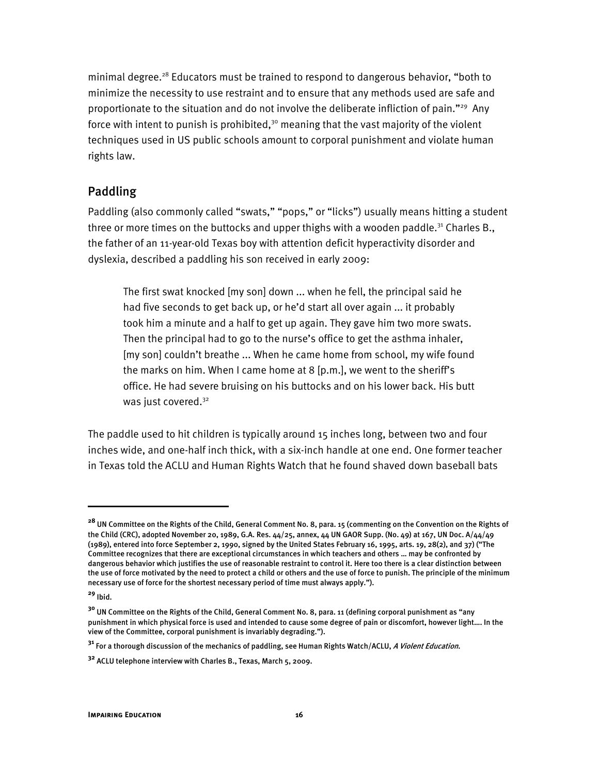minimal degree.28 Educators must be trained to respond to dangerous behavior, "both to minimize the necessity to use restraint and to ensure that any methods used are safe and proportionate to the situation and do not involve the deliberate infliction of pain."29 Any force with intent to punish is prohibited, $3^{\circ}$  meaning that the vast majority of the violent techniques used in US public schools amount to corporal punishment and violate human rights law.

#### Paddling

Paddling (also commonly called "swats," "pops," or "licks") usually means hitting a student three or more times on the buttocks and upper thighs with a wooden paddle.<sup>31</sup> Charles B., the father of an 11-year-old Texas boy with attention deficit hyperactivity disorder and dyslexia, described a paddling his son received in early 2009:

The first swat knocked [my son] down ... when he fell, the principal said he had five seconds to get back up, or he'd start all over again ... it probably took him a minute and a half to get up again. They gave him two more swats. Then the principal had to go to the nurse's office to get the asthma inhaler, [my son] couldn't breathe ... When he came home from school, my wife found the marks on him. When I came home at 8 [p.m.], we went to the sheriff's office. He had severe bruising on his buttocks and on his lower back. His butt was just covered.<sup>32</sup>

The paddle used to hit children is typically around 15 inches long, between two and four inches wide, and one-half inch thick, with a six-inch handle at one end. One former teacher in Texas told the ACLU and Human Rights Watch that he found shaved down baseball bats

I

**<sup>28</sup>** UN Committee on the Rights of the Child, General Comment No. 8, para. 15 (commenting on the Convention on the Rights of the Child (CRC), adopted November 20, 1989, G.A. Res.  $44/25$ , annex,  $44$  UN GAOR Supp. (No. 49) at 167, UN Doc. A $/44/49$ (1989), entered into force September 2, 1990, signed by the United States February 16, 1995, arts. 19, 28(2), and 37) ("The Committee recognizes that there are exceptional circumstances in which teachers and others … may be confronted by dangerous behavior which justifies the use of reasonable restraint to control it. Here too there is a clear distinction between the use of force motivated by the need to protect a child or others and the use of force to punish. The principle of the minimum necessary use of force for the shortest necessary period of time must always apply.").

**<sup>29</sup>** Ibid.

**<sup>30</sup>** UN Committee on the Rights of the Child, General Comment No. 8, para. 11 (defining corporal punishment as "any punishment in which physical force is used and intended to cause some degree of pain or discomfort, however light…. In the view of the Committee, corporal punishment is invariably degrading.").

**<sup>31</sup>** For a thorough discussion of the mechanics of paddling, see Human Rights Watch/ACLU, A Violent Education.

**<sup>32</sup>** ACLU telephone interview with Charles B., Texas, March 5, 2009.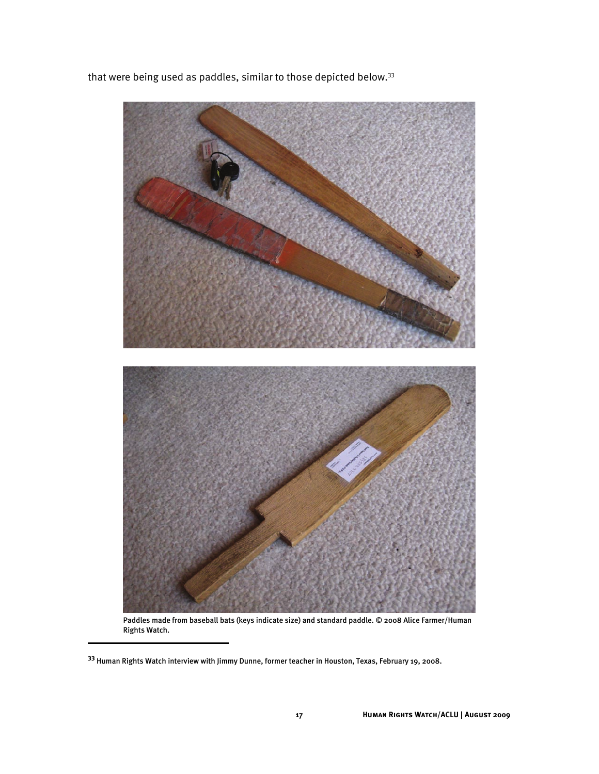that were being used as paddles, similar to those depicted below.<sup>33</sup>



Paddles made from baseball bats (keys indicate size) and standard paddle. © 2008 Alice Farmer/Human Rights Watch.

I

**<sup>33</sup>** Human Rights Watch interview with Jimmy Dunne, former teacher in Houston, Texas, February 19, 2008.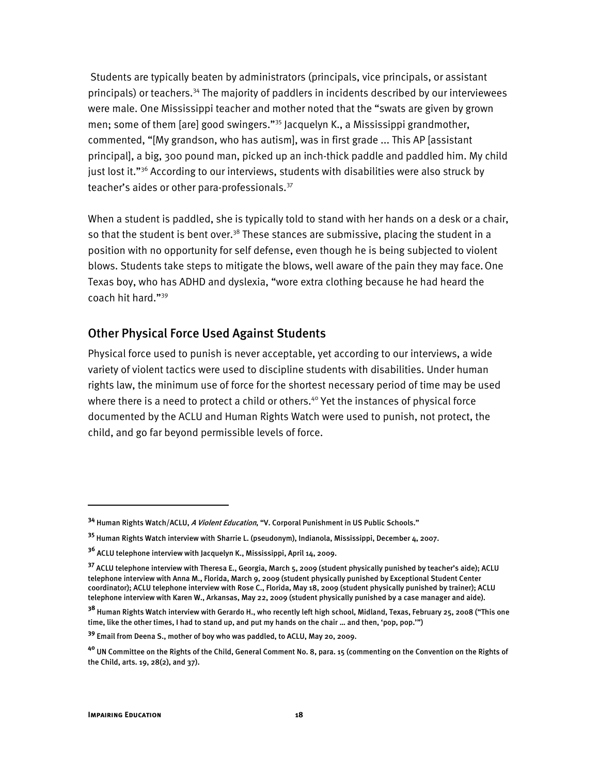Students are typically beaten by administrators (principals, vice principals, or assistant principals) or teachers.34 The majority of paddlers in incidents described by our interviewees were male. One Mississippi teacher and mother noted that the "swats are given by grown men; some of them [are] good swingers."35 Jacquelyn K., a Mississippi grandmother, commented, "[My grandson, who has autism], was in first grade ... This AP [assistant principal], a big, 300 pound man, picked up an inch-thick paddle and paddled him. My child just lost it."<sup>36</sup> According to our interviews, students with disabilities were also struck by teacher's aides or other para-professionals.<sup>37</sup>

When a student is paddled, she is typically told to stand with her hands on a desk or a chair, so that the student is bent over.<sup>38</sup> These stances are submissive, placing the student in a position with no opportunity for self defense, even though he is being subjected to violent blows. Students take steps to mitigate the blows, well aware of the pain they may face. One Texas boy, who has ADHD and dyslexia, "wore extra clothing because he had heard the coach hit hard."39

#### Other Physical Force Used Against Students

Physical force used to punish is never acceptable, yet according to our interviews, a wide variety of violent tactics were used to discipline students with disabilities. Under human rights law, the minimum use of force for the shortest necessary period of time may be used where there is a need to protect a child or others.<sup>40</sup> Yet the instances of physical force documented by the ACLU and Human Rights Watch were used to punish, not protect, the child, and go far beyond permissible levels of force.

ֺ

**<sup>34</sup>** Human Rights Watch/ACLU, A Violent Education, "V. Corporal Punishment in US Public Schools."

**<sup>35</sup>** Human Rights Watch interview with Sharrie L. (pseudonym), Indianola, Mississippi, December 4, 2007.

**<sup>36</sup>** ACLU telephone interview with Jacquelyn K., Mississippi, April 14, 2009.

**<sup>37</sup>** ACLU telephone interview with Theresa E., Georgia, March 5, 2009 (student physically punished by teacher's aide); ACLU telephone interview with Anna M., Florida, March 9, 2009 (student physically punished by Exceptional Student Center coordinator); ACLU telephone interview with Rose C., Florida, May 18, 2009 (student physically punished by trainer); ACLU telephone interview with Karen W., Arkansas, May 22, 2009 (student physically punished by a case manager and aide).

**<sup>38</sup>** Human Rights Watch interview with Gerardo H., who recently left high school, Midland, Texas, February 25, 2008 ("This one time, like the other times, I had to stand up, and put my hands on the chair … and then, 'pop, pop.'")

**<sup>39</sup>** Email from Deena S., mother of boy who was paddled, to ACLU, May 20, 2009.

**<sup>40</sup>** UN Committee on the Rights of the Child, General Comment No. 8, para. 15 (commenting on the Convention on the Rights of the Child, arts. 19, 28(2), and 37).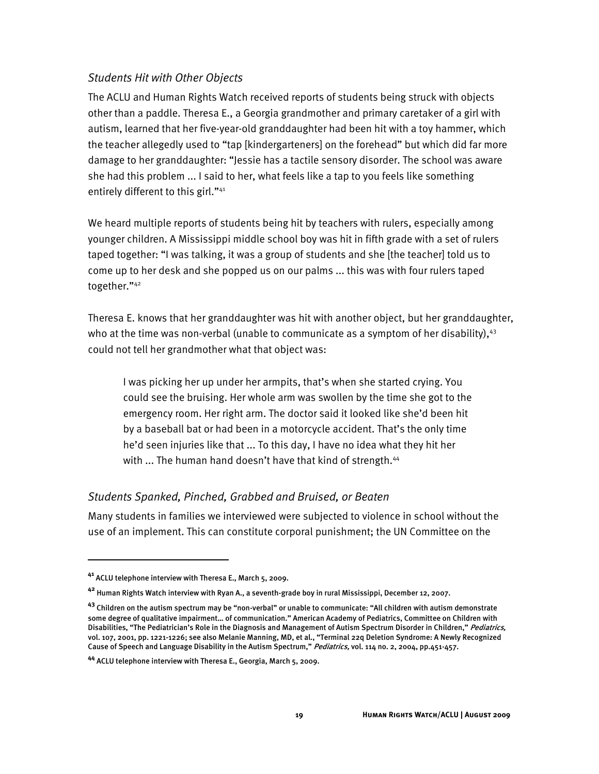#### *Students Hit with Other Objects*

The ACLU and Human Rights Watch received reports of students being struck with objects other than a paddle. Theresa E., a Georgia grandmother and primary caretaker of a girl with autism, learned that her five-year-old granddaughter had been hit with a toy hammer, which the teacher allegedly used to "tap [kindergarteners] on the forehead" but which did far more damage to her granddaughter: "Jessie has a tactile sensory disorder. The school was aware she had this problem ... I said to her, what feels like a tap to you feels like something entirely different to this girl."<sup>41</sup>

We heard multiple reports of students being hit by teachers with rulers, especially among younger children. A Mississippi middle school boy was hit in fifth grade with a set of rulers taped together: "I was talking, it was a group of students and she [the teacher] told us to come up to her desk and she popped us on our palms ... this was with four rulers taped together."42

Theresa E. knows that her granddaughter was hit with another object, but her granddaughter, who at the time was non-verbal (unable to communicate as a symptom of her disability), $43$ could not tell her grandmother what that object was:

I was picking her up under her armpits, that's when she started crying. You could see the bruising. Her whole arm was swollen by the time she got to the emergency room. Her right arm. The doctor said it looked like she'd been hit by a baseball bat or had been in a motorcycle accident. That's the only time he'd seen injuries like that ... To this day, I have no idea what they hit her with ... The human hand doesn't have that kind of strength.<sup>44</sup>

#### *Students Spanked, Pinched, Grabbed and Bruised, or Beaten*

Many students in families we interviewed were subjected to violence in school without the use of an implement. This can constitute corporal punishment; the UN Committee on the

I

**<sup>41</sup>** ACLU telephone interview with Theresa E., March 5, 2009.

**<sup>42</sup>** Human Rights Watch interview with Ryan A., a seventh-grade boy in rural Mississippi, December 12, 2007.

**<sup>43</sup>** Children on the autism spectrum may be "non-verbal" or unable to communicate: "All children with autism demonstrate some degree of qualitative impairment… of communication." American Academy of Pediatrics, Committee on Children with Disabilities, "The Pediatrician's Role in the Diagnosis and Management of Autism Spectrum Disorder in Children," Pediatrics, vol. 107, 2001, pp. 1221-1226; see also Melanie Manning, MD, et al., "Terminal 22q Deletion Syndrome: A Newly Recognized Cause of Speech and Language Disability in the Autism Spectrum," Pediatrics, vol. 114 no. 2, 2004, pp.451-457.

**<sup>44</sup>** ACLU telephone interview with Theresa E., Georgia, March 5, 2009.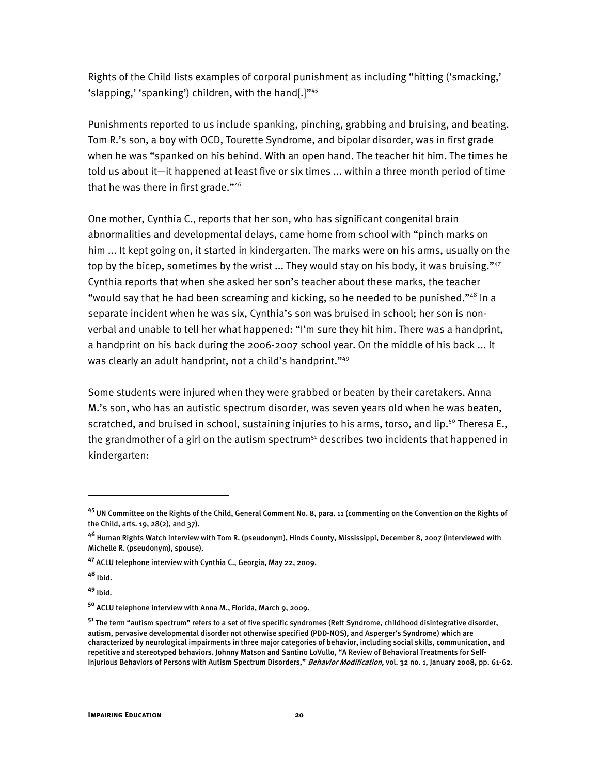Rights of the Child lists examples of corporal punishment as including "hitting ('smacking,' 'slapping,' 'spanking') children, with the hand[.]"45

Punishments reported to us include spanking, pinching, grabbing and bruising, and beating. Tom R.'s son, a boy with OCD, Tourette Syndrome, and bipolar disorder, was in first grade when he was "spanked on his behind. With an open hand. The teacher hit him. The times he told us about it—it happened at least five or six times ... within a three month period of time that he was there in first grade."<sup>46</sup>

One mother, Cynthia C., reports that her son, who has significant congenital brain abnormalities and developmental delays, came home from school with "pinch marks on him ... It kept going on, it started in kindergarten. The marks were on his arms, usually on the top by the bicep, sometimes by the wrist  $\ldots$  They would stay on his body, it was bruising." $47$ Cynthia reports that when she asked her son's teacher about these marks, the teacher "would say that he had been screaming and kicking, so he needed to be punished." $48 \text{ ln } a$ separate incident when he was six, Cynthia's son was bruised in school; her son is nonverbal and unable to tell her what happened: "I'm sure they hit him. There was a handprint, a handprint on his back during the 2006-2007 school year. On the middle of his back ... It was clearly an adult handprint, not a child's handprint."<sup>49</sup>

Some students were injured when they were grabbed or beaten by their caretakers. Anna M.'s son, who has an autistic spectrum disorder, was seven years old when he was beaten, scratched, and bruised in school, sustaining injuries to his arms, torso, and lip.<sup>50</sup> Theresa E., the grandmother of a girl on the autism spectrum<sup>51</sup> describes two incidents that happened in kindergarten:

**<sup>48</sup>** Ibid.

ֺ

**<sup>49</sup>** Ibid.

**<sup>45</sup>** UN Committee on the Rights of the Child, General Comment No. 8, para. 11 (commenting on the Convention on the Rights of the Child, arts. 19, 28(2), and 37).

**<sup>46</sup>** Human Rights Watch interview with Tom R. (pseudonym), Hinds County, Mississippi, December 8, 2007 (interviewed with Michelle R. (pseudonym), spouse).

**<sup>47</sup>** ACLU telephone interview with Cynthia C., Georgia, May 22, 2009.

**<sup>50</sup>** ACLU telephone interview with Anna M., Florida, March 9, 2009.

**<sup>51</sup>** The term "autism spectrum" refers to a set of five specific syndromes (Rett Syndrome, childhood disintegrative disorder, autism, pervasive developmental disorder not otherwise specified (PDD-NOS), and Asperger's Syndrome) which are characterized by neurological impairments in three major categories of behavior, including social skills, communication, and repetitive and stereotyped behaviors. Johnny Matson and Santino LoVullo, "A Review of Behavioral Treatments for Self-Injurious Behaviors of Persons with Autism Spectrum Disorders," Behavior Modification, vol. 32 no. 1, January 2008, pp. 61-62.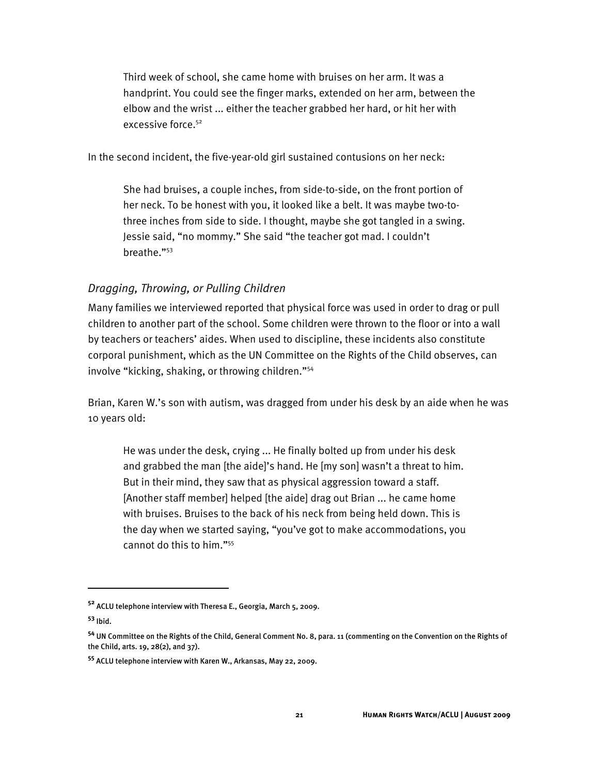Third week of school, she came home with bruises on her arm. It was a handprint. You could see the finger marks, extended on her arm, between the elbow and the wrist ... either the teacher grabbed her hard, or hit her with excessive force.52

In the second incident, the five-year-old girl sustained contusions on her neck:

She had bruises, a couple inches, from side-to-side, on the front portion of her neck. To be honest with you, it looked like a belt. It was maybe two-tothree inches from side to side. I thought, maybe she got tangled in a swing. Jessie said, "no mommy." She said "the teacher got mad. I couldn't breathe."53

#### *Dragging, Throwing, or Pulling Children*

Many families we interviewed reported that physical force was used in order to drag or pull children to another part of the school. Some children were thrown to the floor or into a wall by teachers or teachers' aides. When used to discipline, these incidents also constitute corporal punishment, which as the UN Committee on the Rights of the Child observes, can involve "kicking, shaking, or throwing children."54

Brian, Karen W.'s son with autism, was dragged from under his desk by an aide when he was 10 years old:

He was under the desk, crying ... He finally bolted up from under his desk and grabbed the man [the aide]'s hand. He [my son] wasn't a threat to him. But in their mind, they saw that as physical aggression toward a staff. [Another staff member] helped [the aide] drag out Brian ... he came home with bruises. Bruises to the back of his neck from being held down. This is the day when we started saying, "you've got to make accommodations, you cannot do this to him."55

 $\overline{a}$ 

**<sup>52</sup>** ACLU telephone interview with Theresa E., Georgia, March 5, 2009.

**<sup>53</sup>** Ibid.

**<sup>54</sup>** UN Committee on the Rights of the Child, General Comment No. 8, para. 11 (commenting on the Convention on the Rights of the Child, arts. 19, 28(2), and 37).

**<sup>55</sup>** ACLU telephone interview with Karen W., Arkansas, May 22, 2009.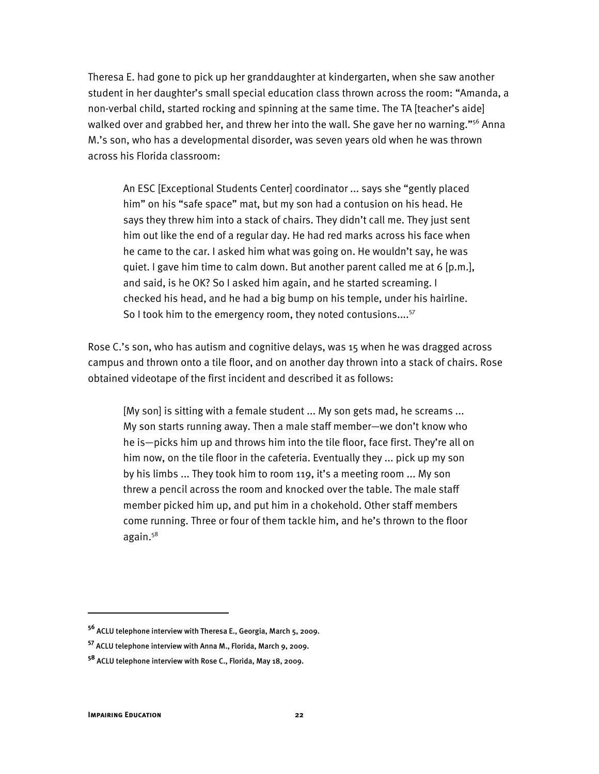Theresa E. had gone to pick up her granddaughter at kindergarten, when she saw another student in her daughter's small special education class thrown across the room: "Amanda, a non-verbal child, started rocking and spinning at the same time. The TA [teacher's aide] walked over and grabbed her, and threw her into the wall. She gave her no warning."<sup>56</sup> Anna M.'s son, who has a developmental disorder, was seven years old when he was thrown across his Florida classroom:

An ESC [Exceptional Students Center] coordinator ... says she "gently placed him" on his "safe space" mat, but my son had a contusion on his head. He says they threw him into a stack of chairs. They didn't call me. They just sent him out like the end of a regular day. He had red marks across his face when he came to the car. I asked him what was going on. He wouldn't say, he was quiet. I gave him time to calm down. But another parent called me at 6 [p.m.], and said, is he OK? So I asked him again, and he started screaming. I checked his head, and he had a big bump on his temple, under his hairline. So I took him to the emergency room, they noted contusions....<sup>57</sup>

Rose C.'s son, who has autism and cognitive delays, was 15 when he was dragged across campus and thrown onto a tile floor, and on another day thrown into a stack of chairs. Rose obtained videotape of the first incident and described it as follows:

[My son] is sitting with a female student ... My son gets mad, he screams ... My son starts running away. Then a male staff member—we don't know who he is—picks him up and throws him into the tile floor, face first. They're all on him now, on the tile floor in the cafeteria. Eventually they ... pick up my son by his limbs ... They took him to room 119, it's a meeting room ... My son threw a pencil across the room and knocked over the table. The male staff member picked him up, and put him in a chokehold. Other staff members come running. Three or four of them tackle him, and he's thrown to the floor again.58

ֺ

**<sup>56</sup>** ACLU telephone interview with Theresa E., Georgia, March 5, 2009.

**<sup>57</sup>** ACLU telephone interview with Anna M., Florida, March 9, 2009.

**<sup>58</sup>** ACLU telephone interview with Rose C., Florida, May 18, 2009.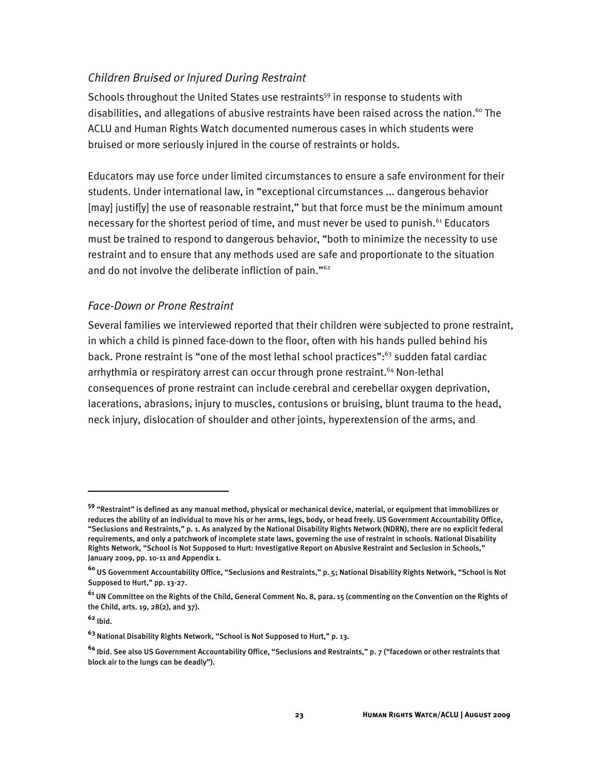#### *Children Bruised or Injured During Restraint*

Schools throughout the United States use restraints<sup>59</sup> in response to students with disabilities, and allegations of abusive restraints have been raised across the nation.<sup>60</sup> The ACLU and Human Rights Watch documented numerous cases in which students were bruised or more seriously injured in the course of restraints or holds.

Educators may use force under limited circumstances to ensure a safe environment for their students. Under international law, in "exceptional circumstances ... dangerous behavior [may] justif[y] the use of reasonable restraint," but that force must be the minimum amount necessary for the shortest period of time, and must never be used to punish.<sup>61</sup> Educators must be trained to respond to dangerous behavior, "both to minimize the necessity to use restraint and to ensure that any methods used are safe and proportionate to the situation and do not involve the deliberate infliction of pain."62

#### *Face-Down or Prone Restraint*

Several families we interviewed reported that their children were subjected to prone restraint, in which a child is pinned face-down to the floor, often with his hands pulled behind his back. Prone restraint is "one of the most lethal school practices":<sup>63</sup> sudden fatal cardiac arrhythmia or respiratory arrest can occur through prone restraint.<sup>64</sup> Non-lethal consequences of prone restraint can include cerebral and cerebellar oxygen deprivation, lacerations, abrasions, injury to muscles, contusions or bruising, blunt trauma to the head, neck injury, dislocation of shoulder and other joints, hyperextension of the arms, and

**<sup>62</sup>** Ibid.

I

**<sup>59</sup>** "Restraint" is defined as any manual method, physical or mechanical device, material, or equipment that immobilizes or reduces the ability of an individual to move his or her arms, legs, body, or head freely. US Government Accountability Office, "Seclusions and Restraints," p. 1. As analyzed by the National Disability Rights Network (NDRN), there are no explicit federal requirements, and only a patchwork of incomplete state laws, governing the use of restraint in schools. National Disability Rights Network, "School is Not Supposed to Hurt: Investigative Report on Abusive Restraint and Seclusion in Schools," January 2009, pp. 10-11 and Appendix 1.

**<sup>60</sup>** US Government Accountability Office, "Seclusions and Restraints," p. 5; National Disability Rights Network, "School is Not Supposed to Hurt," pp. 13-27.

**<sup>61</sup>** UN Committee on the Rights of the Child, General Comment No. 8, para. 15 (commenting on the Convention on the Rights of the Child, arts. 19, 28(2), and 37).

**<sup>63</sup>** National Disability Rights Network, "School is Not Supposed to Hurt," p. 13.

**<sup>64</sup>** Ibid. See also US Government Accountability Office, "Seclusions and Restraints," p. 7 ("facedown or other restraints that block air to the lungs can be deadly").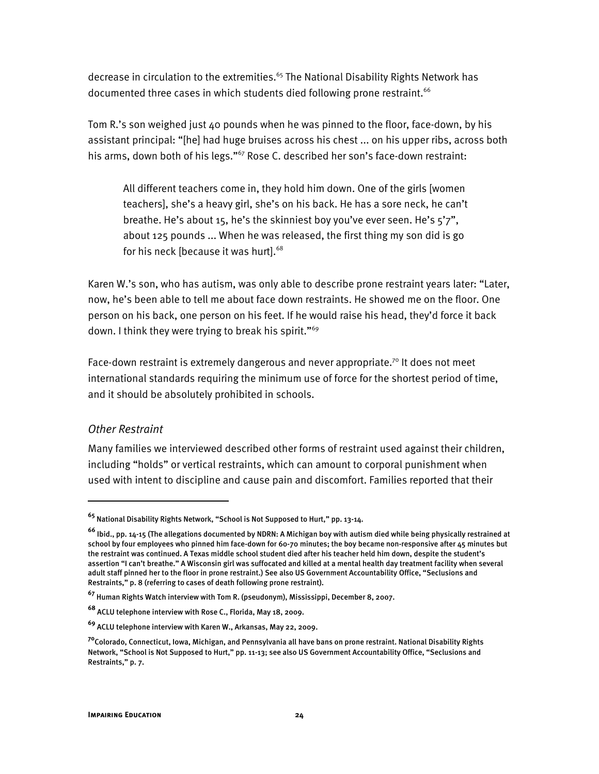decrease in circulation to the extremities.<sup>65</sup> The National Disability Rights Network has documented three cases in which students died following prone restraint.<sup>66</sup>

Tom R.'s son weighed just 40 pounds when he was pinned to the floor, face-down, by his assistant principal: "[he] had huge bruises across his chest ... on his upper ribs, across both his arms, down both of his legs."<sup>67</sup> Rose C. described her son's face-down restraint:

All different teachers come in, they hold him down. One of the girls [women teachers], she's a heavy girl, she's on his back. He has a sore neck, he can't breathe. He's about 15, he's the skinniest boy you've ever seen. He's 5'7", about 125 pounds ... When he was released, the first thing my son did is go for his neck [because it was hurt].<sup>68</sup>

Karen W.'s son, who has autism, was only able to describe prone restraint years later: "Later, now, he's been able to tell me about face down restraints. He showed me on the floor. One person on his back, one person on his feet. If he would raise his head, they'd force it back down. I think they were trying to break his spirit."<sup>69</sup>

Face-down restraint is extremely dangerous and never appropriate.<sup>70</sup> It does not meet international standards requiring the minimum use of force for the shortest period of time, and it should be absolutely prohibited in schools.

#### *Other Restraint*

I

Many families we interviewed described other forms of restraint used against their children, including "holds" or vertical restraints, which can amount to corporal punishment when used with intent to discipline and cause pain and discomfort. Families reported that their

**<sup>65</sup>** National Disability Rights Network, "School is Not Supposed to Hurt," pp. 13-14.

**<sup>66</sup>** Ibid., pp. 14-15 (The allegations documented by NDRN: A Michigan boy with autism died while being physically restrained at school by four employees who pinned him face-down for 60-70 minutes; the boy became non-responsive after 45 minutes but the restraint was continued. A Texas middle school student died after his teacher held him down, despite the student's assertion "I can't breathe." A Wisconsin girl was suffocated and killed at a mental health day treatment facility when several adult staff pinned her to the floor in prone restraint.) See also US Government Accountability Office, "Seclusions and Restraints," p. 8 (referring to cases of death following prone restraint).

**<sup>67</sup>** Human Rights Watch interview with Tom R. (pseudonym), Mississippi, December 8, 2007.

**<sup>68</sup>** ACLU telephone interview with Rose C., Florida, May 18, 2009.

**<sup>69</sup>** ACLU telephone interview with Karen W., Arkansas, May 22, 2009.

**<sup>70</sup>**Colorado, Connecticut, Iowa, Michigan, and Pennsylvania all have bans on prone restraint. National Disability Rights Network, "School is Not Supposed to Hurt," pp. 11-13; see also US Government Accountability Office, "Seclusions and Restraints," p. 7.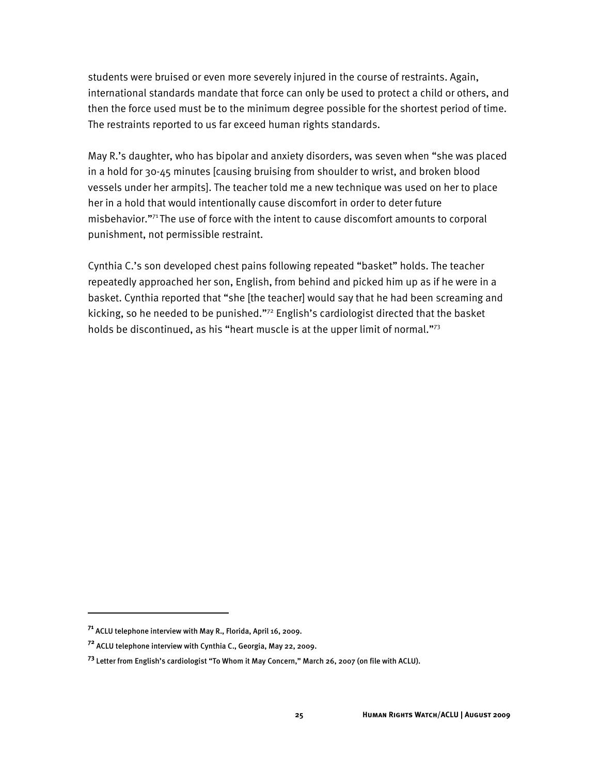students were bruised or even more severely injured in the course of restraints. Again, international standards mandate that force can only be used to protect a child or others, and then the force used must be to the minimum degree possible for the shortest period of time. The restraints reported to us far exceed human rights standards.

May R.'s daughter, who has bipolar and anxiety disorders, was seven when "she was placed in a hold for 30-45 minutes [causing bruising from shoulder to wrist, and broken blood vessels under her armpits]. The teacher told me a new technique was used on her to place her in a hold that would intentionally cause discomfort in order to deter future misbehavior."71 The use of force with the intent to cause discomfort amounts to corporal punishment, not permissible restraint.

Cynthia C.'s son developed chest pains following repeated "basket" holds. The teacher repeatedly approached her son, English, from behind and picked him up as if he were in a basket. Cynthia reported that "she [the teacher] would say that he had been screaming and kicking, so he needed to be punished."72 English's cardiologist directed that the basket holds be discontinued, as his "heart muscle is at the upper limit of normal."<sup>73</sup>

ֺ

**<sup>71</sup>** ACLU telephone interview with May R., Florida, April 16, 2009.

**<sup>72</sup>** ACLU telephone interview with Cynthia C., Georgia, May 22, 2009.

**<sup>73</sup>** Letter from English's cardiologist "To Whom it May Concern," March 26, 2007 (on file with ACLU).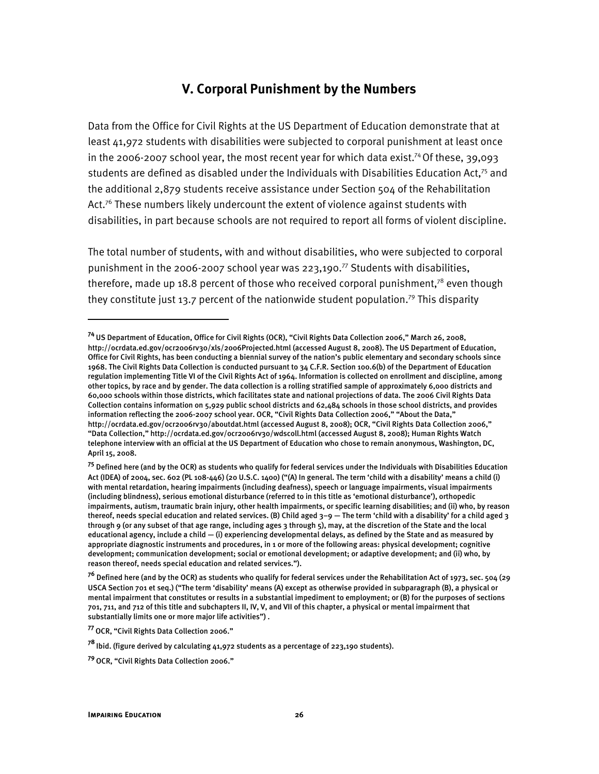#### **V. Corporal Punishment by the Numbers**

Data from the Office for Civil Rights at the US Department of Education demonstrate that at least 41,972 students with disabilities were subjected to corporal punishment at least once in the 2006-2007 school year, the most recent year for which data exist.<sup>74</sup> Of these, 39,093 students are defined as disabled under the Individuals with Disabilities Education Act.<sup>75</sup> and the additional 2,879 students receive assistance under Section 504 of the Rehabilitation Act. $76$  These numbers likely undercount the extent of violence against students with disabilities, in part because schools are not required to report all forms of violent discipline.

The total number of students, with and without disabilities, who were subjected to corporal punishment in the 2006-2007 school year was 223,190.<sup>77</sup> Students with disabilities, therefore, made up 18.8 percent of those who received corporal punishment,<sup>78</sup> even though they constitute just 13.7 percent of the nationwide student population.<sup>79</sup> This disparity

I

**<sup>74</sup>**US Department of Education, Office for Civil Rights (OCR), "Civil Rights Data Collection 2006," March 26, 2008, http://ocrdata.ed.gov/ocr2006rv30/xls/2006Projected.html (accessed August 8, 2008). The US Department of Education, Office for Civil Rights, has been conducting a biennial survey of the nation's public elementary and secondary schools since 1968. The Civil Rights Data Collection is conducted pursuant to 34 C.F.R. Section 100.6(b) of the Department of Education regulation implementing Title VI of the Civil Rights Act of 1964. Information is collected on enrollment and discipline, among other topics, by race and by gender. The data collection is a rolling stratified sample of approximately 6,000 districts and 60,000 schools within those districts, which facilitates state and national projections of data. The 2006 Civil Rights Data Collection contains information on 5,929 public school districts and 62,484 schools in those school districts, and provides information reflecting the 2006-2007 school year. OCR, "Civil Rights Data Collection 2006," "About the Data," http://ocrdata.ed.gov/ocr2006rv30/aboutdat.html (accessed August 8, 2008); OCR, "Civil Rights Data Collection 2006," "Data Collection," http://ocrdata.ed.gov/ocr2006rv30/wdscoll.html (accessed August 8, 2008); Human Rights Watch telephone interview with an official at the US Department of Education who chose to remain anonymous, Washington, DC, April 15, 2008.

**<sup>75</sup>** Defined here (and by the OCR) as students who qualify for federal services under the Individuals with Disabilities Education Act (IDEA) of 2004, sec. 602 (PL 108-446) (20 U.S.C. 1400) ("(A) In general. The term 'child with a disability' means a child (i) with mental retardation, hearing impairments (including deafness), speech or language impairments, visual impairments (including blindness), serious emotional disturbance (referred to in this title as 'emotional disturbance'), orthopedic impairments, autism, traumatic brain injury, other health impairments, or specific learning disabilities; and (ii) who, by reason thereof, needs special education and related services. (B) Child aged 3–9 — The term 'child with a disability' for a child aged 3 through 9 (or any subset of that age range, including ages 3 through 5), may, at the discretion of the State and the local educational agency, include a child — (i) experiencing developmental delays, as defined by the State and as measured by appropriate diagnostic instruments and procedures, in 1 or more of the following areas: physical development; cognitive development; communication development; social or emotional development; or adaptive development; and (ii) who, by reason thereof, needs special education and related services.").

**<sup>76</sup>** Defined here (and by the OCR) as students who qualify for federal services under the Rehabilitation Act of 1973, sec. 504 (29 USCA Section 701 et seq.) ("The term 'disability' means (A) except as otherwise provided in subparagraph (B), a physical or mental impairment that constitutes or results in a substantial impediment to employment; or (B) for the purposes of sections 701, 711, and 712 of this title and subchapters II, IV, V, and VII of this chapter, a physical or mental impairment that substantially limits one or more major life activities") .

**<sup>77</sup>**OCR, "Civil Rights Data Collection 2006."

**<sup>78</sup>**Ibid. (figure derived by calculating 41,972 students as a percentage of 223,190 students).

**<sup>79</sup>**OCR, "Civil Rights Data Collection 2006."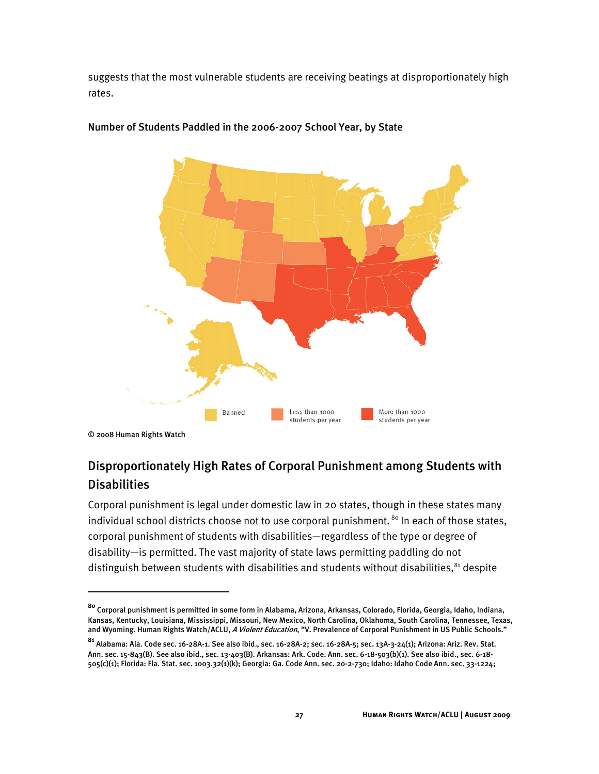suggests that the most vulnerable students are receiving beatings at disproportionately high rates.



#### Number of Students Paddled in the 2006-2007 School Year, by State

© 2008 Human Rights Watch

I

### Disproportionately High Rates of Corporal Punishment among Students with **Disabilities**

Corporal punishment is legal under domestic law in 20 states, though in these states many individual school districts choose not to use corporal punishment.  $80$  In each of those states, corporal punishment of students with disabilities—regardless of the type or degree of disability—is permitted. The vast majority of state laws permitting paddling do not distinguish between students with disabilities and students without disabilities,<sup>81</sup> despite

**<sup>80</sup>** Corporal punishment is permitted in some form in Alabama, Arizona, Arkansas, Colorado, Florida, Georgia, Idaho, Indiana, Kansas, Kentucky, Louisiana, Mississippi, Missouri, New Mexico, North Carolina, Oklahoma, South Carolina, Tennessee, Texas, and Wyoming. Human Rights Watch/ACLU, A Violent Education, "V. Prevalence of Corporal Punishment in US Public Schools."

**<sup>81</sup>** Alabama: Ala. Code sec. 16-28A-1. See also ibid., sec. 16-28A-2; sec. 16-28A-5; sec. 13A-3-24(1); Arizona: Ariz. Rev. Stat. Ann. sec. 15-843(B). See also ibid., sec. 13-403(B). Arkansas: Ark. Code. Ann. sec. 6-18-503(b)(1). See also ibid., sec. 6-18- 505(c)(1); Florida: Fla. Stat. sec. 1003.32(1)(k); Georgia: Ga. Code Ann. sec. 20-2-730; Idaho: Idaho Code Ann. sec. 33-1224;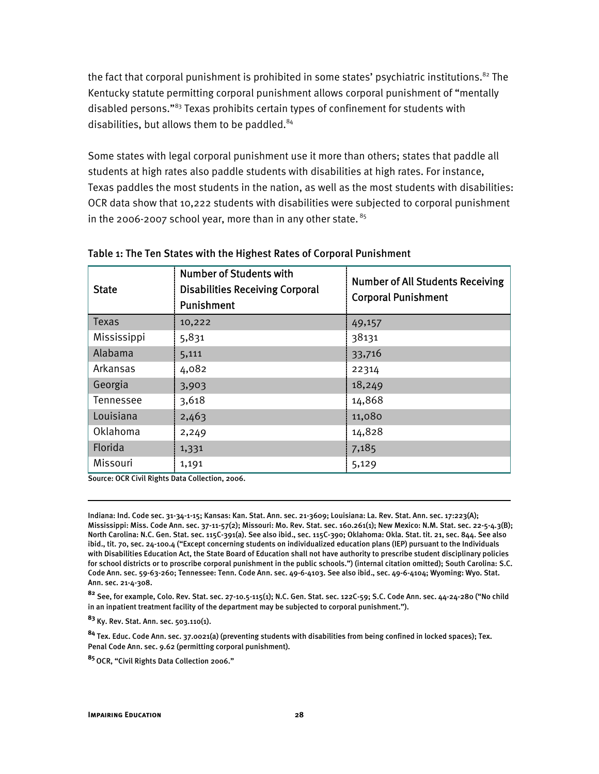the fact that corporal punishment is prohibited in some states' psychiatric institutions.<sup>82</sup> The Kentucky statute permitting corporal punishment allows corporal punishment of "mentally disabled persons."83 Texas prohibits certain types of confinement for students with disabilities, but allows them to be paddled.<sup>84</sup>

Some states with legal corporal punishment use it more than others; states that paddle all students at high rates also paddle students with disabilities at high rates. For instance, Texas paddles the most students in the nation, as well as the most students with disabilities: OCR data show that 10,222 students with disabilities were subjected to corporal punishment in the 2006-2007 school year, more than in any other state.  $85$ 

| <b>State</b> | <b>Number of Students with</b><br><b>Disabilities Receiving Corporal</b><br>Punishment | <b>Number of All Students Receiving</b><br><b>Corporal Punishment</b> |
|--------------|----------------------------------------------------------------------------------------|-----------------------------------------------------------------------|
| Texas        | 10,222                                                                                 | 49,157                                                                |
| Mississippi  | 5,831                                                                                  | 38131                                                                 |
| Alabama      | 5,111                                                                                  | 33,716                                                                |
| Arkansas     | 4,082                                                                                  | 22314                                                                 |
| Georgia      | 3,903                                                                                  | 18,249                                                                |
| Tennessee    | 3,618                                                                                  | 14,868                                                                |
| Louisiana    | 2,463                                                                                  | 11,080                                                                |
| Oklahoma     | 2,249                                                                                  | 14,828                                                                |
| Florida      | 1,331                                                                                  | 7,185                                                                 |
| Missouri     | 1,191                                                                                  | 5,129                                                                 |

#### Table 1: The Ten States with the Highest Rates of Corporal Punishment

Source: OCR Civil Rights Data Collection, 2006.

Indiana: Ind. Code sec. 31-34-1-15; Kansas: Kan. Stat. Ann. sec. 21-3609; Louisiana: La. Rev. Stat. Ann. sec. 17:223(A); Mississippi: Miss. Code Ann. sec. 37-11-57(2); Missouri: Mo. Rev. Stat. sec. 160.261(1); New Mexico: N.M. Stat. sec. 22-5-4.3(B); North Carolina: N.C. Gen. Stat. sec. 115C-391(a). See also ibid., sec. 115C-390; Oklahoma: Okla. Stat. tit. 21, sec. 844. See also ibid., tit. 70, sec. 24-100.4 ("Except concerning students on individualized education plans (IEP) pursuant to the Individuals with Disabilities Education Act, the State Board of Education shall not have authority to prescribe student disciplinary policies for school districts or to proscribe corporal punishment in the public schools.") (internal citation omitted); South Carolina: S.C. Code Ann. sec. 59-63-260; Tennessee: Tenn. Code Ann. sec. 49-6-4103. See also ibid., sec. 49-6-4104; Wyoming: Wyo. Stat. Ann. sec. 21-4-308.

**<sup>82</sup>** See, for example, Colo. Rev. Stat. sec. 27-10.5-115(1); N.C. Gen. Stat. sec. 122C-59; S.C. Code Ann. sec. 44-24-280 ("No child in an inpatient treatment facility of the department may be subjected to corporal punishment.").

**<sup>83</sup>** Ky. Rev. Stat. Ann. sec. 503.110(1).

**<sup>84</sup>** Tex. Educ. Code Ann. sec. 37.0021(a) (preventing students with disabilities from being confined in locked spaces); Tex. Penal Code Ann. sec. 9.62 (permitting corporal punishment).

**<sup>85</sup>**OCR, "Civil Rights Data Collection 2006."

ֺ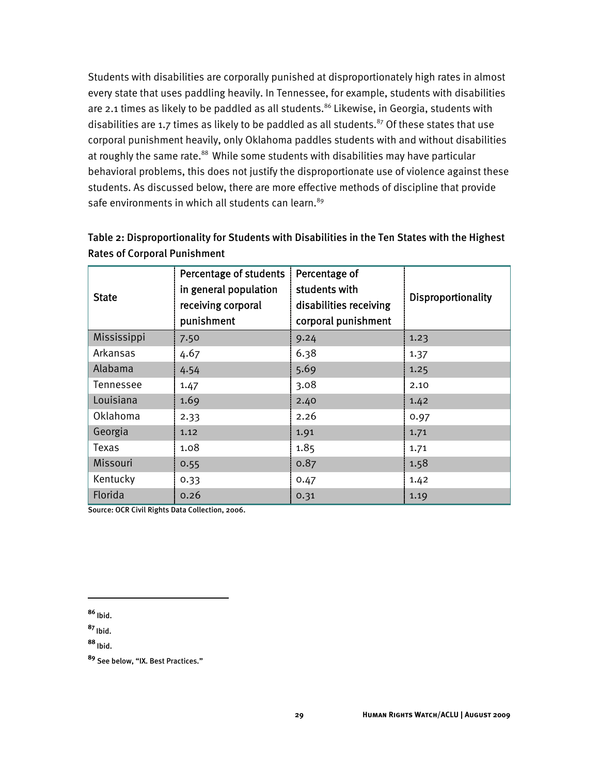Students with disabilities are corporally punished at disproportionately high rates in almost every state that uses paddling heavily. In Tennessee, for example, students with disabilities are 2.1 times as likely to be paddled as all students. $86$  Likewise, in Georgia, students with disabilities are 1.7 times as likely to be paddled as all students.<sup>87</sup> Of these states that use corporal punishment heavily, only Oklahoma paddles students with and without disabilities at roughly the same rate.<sup>88</sup> While some students with disabilities may have particular behavioral problems, this does not justify the disproportionate use of violence against these students. As discussed below, there are more effective methods of discipline that provide safe environments in which all students can learn.<sup>89</sup>

| <b>State</b> | <b>Percentage of students</b><br>in general population<br>receiving corporal<br>punishment | Percentage of<br>students with<br>disabilities receiving<br>corporal punishment | Disproportionality |
|--------------|--------------------------------------------------------------------------------------------|---------------------------------------------------------------------------------|--------------------|
| Mississippi  | 7.50                                                                                       | 9.24                                                                            | 1.23               |
| Arkansas     | 4.67                                                                                       | 6.38                                                                            | 1.37               |
| Alabama      | 4.54                                                                                       | 5.69                                                                            | 1.25               |
| Tennessee    | 1.47                                                                                       | 3.08                                                                            | 2.10               |
| Louisiana    | 1.69                                                                                       | 2.40                                                                            | 1.42               |
| Oklahoma     | 2.33                                                                                       | 2.26                                                                            | 0.97               |
| Georgia      | 1.12                                                                                       | 1.91                                                                            | 1.71               |
| Texas        | 1.08                                                                                       | 1.85                                                                            | 1.71               |
| Missouri     | 0.55                                                                                       | 0.87                                                                            | 1.58               |
| Kentucky     | 0.33                                                                                       | 0.47                                                                            | 1.42               |
| Florida      | 0.26                                                                                       | 0.31                                                                            | 1.19               |

Table 2: Disproportionality for Students with Disabilities in the Ten States with the Highest Rates of Corporal Punishment

Source: OCR Civil Rights Data Collection, 2006.

**<sup>86</sup>**Ibid.

ֺ

**<sup>87</sup>**Ibid.

**<sup>88</sup>**Ibid.

**<sup>89</sup>** See below, "IX. Best Practices."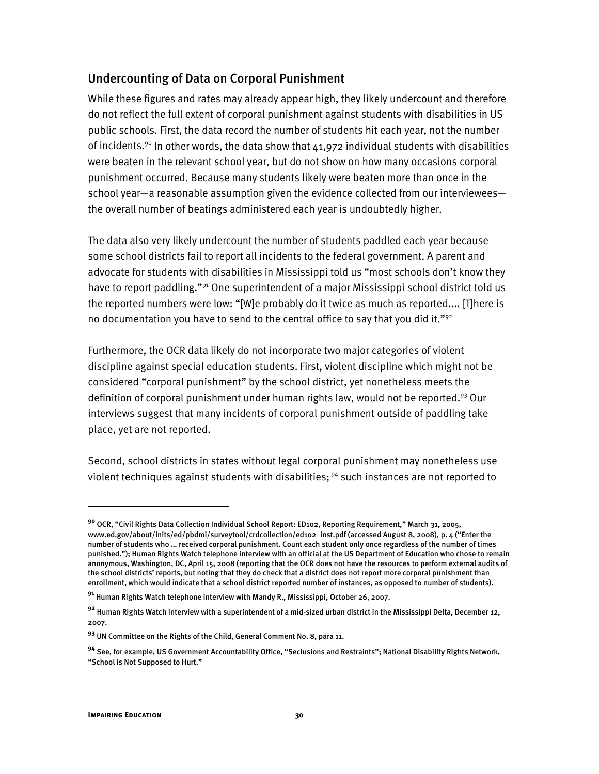#### Undercounting of Data on Corporal Punishment

While these figures and rates may already appear high, they likely undercount and therefore do not reflect the full extent of corporal punishment against students with disabilities in US public schools. First, the data record the number of students hit each year, not the number of incidents.<sup>90</sup> In other words, the data show that  $41,972$  individual students with disabilities were beaten in the relevant school year, but do not show on how many occasions corporal punishment occurred. Because many students likely were beaten more than once in the school year—a reasonable assumption given the evidence collected from our interviewees the overall number of beatings administered each year is undoubtedly higher.

The data also very likely undercount the number of students paddled each year because some school districts fail to report all incidents to the federal government. A parent and advocate for students with disabilities in Mississippi told us "most schools don't know they have to report paddling."<sup>91</sup> One superintendent of a major Mississippi school district told us the reported numbers were low: "[W]e probably do it twice as much as reported.... [T]here is no documentation you have to send to the central office to say that you did it." $92$ 

Furthermore, the OCR data likely do not incorporate two major categories of violent discipline against special education students. First, violent discipline which might not be considered "corporal punishment" by the school district, yet nonetheless meets the definition of corporal punishment under human rights law, would not be reported.<sup>93</sup> Our interviews suggest that many incidents of corporal punishment outside of paddling take place, yet are not reported.

Second, school districts in states without legal corporal punishment may nonetheless use violent techniques against students with disabilities; 94 such instances are not reported to

İ

**<sup>90</sup>** OCR, "Civil Rights Data Collection Individual School Report: ED102, Reporting Requirement," March 31, 2005, www.ed.gov/about/inits/ed/pbdmi/surveytool/crdcollection/ed102\_inst.pdf (accessed August 8, 2008), p. 4 ("Enter the number of students who … received corporal punishment. Count each student only once regardless of the number of times punished."); Human Rights Watch telephone interview with an official at the US Department of Education who chose to remain anonymous, Washington, DC, April 15, 2008 (reporting that the OCR does not have the resources to perform external audits of the school districts' reports, but noting that they do check that a district does not report more corporal punishment than enrollment, which would indicate that a school district reported number of instances, as opposed to number of students).

**<sup>91</sup>** Human Rights Watch telephone interview with Mandy R., Mississippi, October 26, 2007.

**<sup>92</sup>** Human Rights Watch interview with a superintendent of a mid-sized urban district in the Mississippi Delta, December 12, 2007.

**<sup>93</sup>** UN Committee on the Rights of the Child, General Comment No. 8, para 11.

**<sup>94</sup>** See, for example, US Government Accountability Office, "Seclusions and Restraints"; National Disability Rights Network, "School is Not Supposed to Hurt."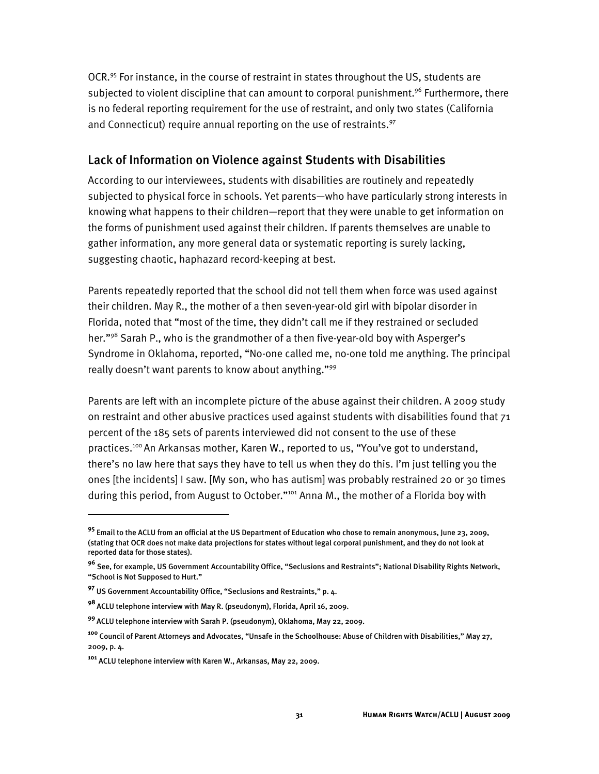OCR.95 For instance, in the course of restraint in states throughout the US, students are subjected to violent discipline that can amount to corporal punishment.<sup>96</sup> Furthermore, there is no federal reporting requirement for the use of restraint, and only two states (California and Connecticut) require annual reporting on the use of restraints.<sup>97</sup>

#### Lack of Information on Violence against Students with Disabilities

According to our interviewees, students with disabilities are routinely and repeatedly subjected to physical force in schools. Yet parents—who have particularly strong interests in knowing what happens to their children—report that they were unable to get information on the forms of punishment used against their children. If parents themselves are unable to gather information, any more general data or systematic reporting is surely lacking, suggesting chaotic, haphazard record-keeping at best.

Parents repeatedly reported that the school did not tell them when force was used against their children. May R., the mother of a then seven-year-old girl with bipolar disorder in Florida, noted that "most of the time, they didn't call me if they restrained or secluded her."98 Sarah P., who is the grandmother of a then five-year-old boy with Asperger's Syndrome in Oklahoma, reported, "No-one called me, no-one told me anything. The principal really doesn't want parents to know about anything."99

Parents are left with an incomplete picture of the abuse against their children. A 2009 study on restraint and other abusive practices used against students with disabilities found that  $71$ percent of the 185 sets of parents interviewed did not consent to the use of these practices.100 An Arkansas mother, Karen W., reported to us, "You've got to understand, there's no law here that says they have to tell us when they do this. I'm just telling you the ones [the incidents] I saw. [My son, who has autism] was probably restrained 20 or 30 times during this period, from August to October."<sup>101</sup> Anna M., the mother of a Florida boy with

İ

**<sup>95</sup>** Email to the ACLU from an official at the US Department of Education who chose to remain anonymous, June 23, 2009, (stating that OCR does not make data projections for states without legal corporal punishment, and they do not look at reported data for those states).

**<sup>96</sup>** See, for example, US Government Accountability Office, "Seclusions and Restraints"; National Disability Rights Network, "School is Not Supposed to Hurt."

**<sup>97</sup>** US Government Accountability Office, "Seclusions and Restraints," p. 4.

**<sup>98</sup>**ACLU telephone interview with May R. (pseudonym), Florida, April 16, 2009.

**<sup>99</sup>**ACLU telephone interview with Sarah P. (pseudonym), Oklahoma, May 22, 2009.

**<sup>100</sup>** Council of Parent Attorneys and Advocates, "Unsafe in the Schoolhouse: Abuse of Children with Disabilities," May 27, 2009, p. 4.

**<sup>101</sup>** ACLU telephone interview with Karen W., Arkansas, May 22, 2009.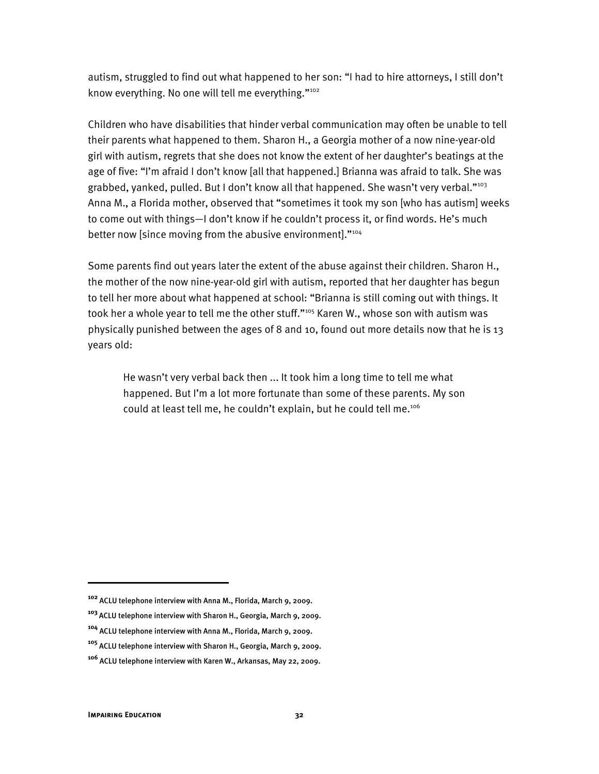autism, struggled to find out what happened to her son: "I had to hire attorneys, I still don't know everything. No one will tell me everything."<sup>102</sup>

Children who have disabilities that hinder verbal communication may often be unable to tell their parents what happened to them. Sharon H., a Georgia mother of a now nine-year-old girl with autism, regrets that she does not know the extent of her daughter's beatings at the age of five: "I'm afraid I don't know [all that happened.] Brianna was afraid to talk. She was grabbed, yanked, pulled. But I don't know all that happened. She wasn't very verbal. $"103$ Anna M., a Florida mother, observed that "sometimes it took my son [who has autism] weeks to come out with things—I don't know if he couldn't process it, or find words. He's much better now [since moving from the abusive environment]."<sup>104</sup>

Some parents find out years later the extent of the abuse against their children. Sharon H., the mother of the now nine-year-old girl with autism, reported that her daughter has begun to tell her more about what happened at school: "Brianna is still coming out with things. It took her a whole year to tell me the other stuff."<sup>105</sup> Karen W., whose son with autism was physically punished between the ages of 8 and 10, found out more details now that he is 13 years old:

He wasn't very verbal back then ... It took him a long time to tell me what happened. But I'm a lot more fortunate than some of these parents. My son could at least tell me, he couldn't explain, but he could tell me.106

I

**<sup>102</sup>** ACLU telephone interview with Anna M., Florida, March 9, 2009.

**<sup>103</sup>**ACLU telephone interview with Sharon H., Georgia, March 9, 2009.

**<sup>104</sup>** ACLU telephone interview with Anna M., Florida, March 9, 2009.

**<sup>105</sup>** ACLU telephone interview with Sharon H., Georgia, March 9, 2009.

**<sup>106</sup>** ACLU telephone interview with Karen W., Arkansas, May 22, 2009.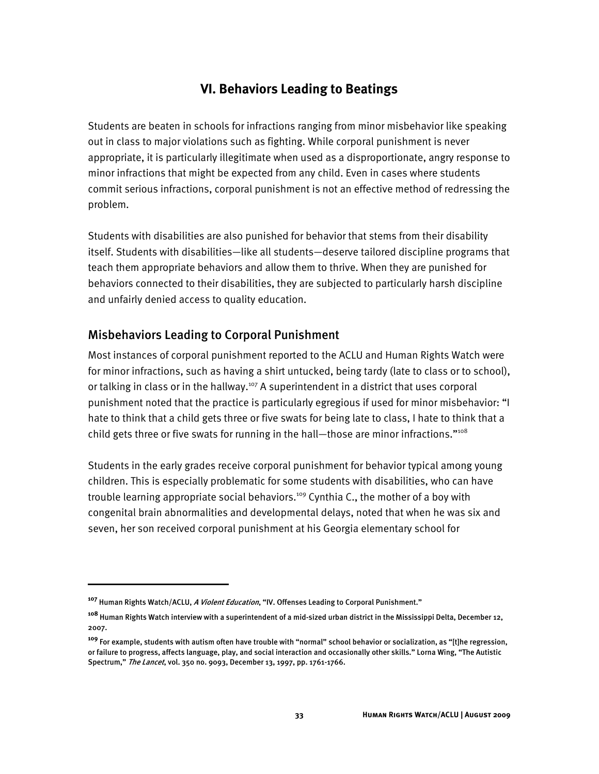# **VI. Behaviors Leading to Beatings**

Students are beaten in schools for infractions ranging from minor misbehavior like speaking out in class to major violations such as fighting. While corporal punishment is never appropriate, it is particularly illegitimate when used as a disproportionate, angry response to minor infractions that might be expected from any child. Even in cases where students commit serious infractions, corporal punishment is not an effective method of redressing the problem.

Students with disabilities are also punished for behavior that stems from their disability itself. Students with disabilities—like all students—deserve tailored discipline programs that teach them appropriate behaviors and allow them to thrive. When they are punished for behaviors connected to their disabilities, they are subjected to particularly harsh discipline and unfairly denied access to quality education.

# Misbehaviors Leading to Corporal Punishment

Most instances of corporal punishment reported to the ACLU and Human Rights Watch were for minor infractions, such as having a shirt untucked, being tardy (late to class or to school), or talking in class or in the hallway.<sup>107</sup> A superintendent in a district that uses corporal punishment noted that the practice is particularly egregious if used for minor misbehavior: "I hate to think that a child gets three or five swats for being late to class, I hate to think that a child gets three or five swats for running in the hall-those are minor infractions."<sup>108</sup>

Students in the early grades receive corporal punishment for behavior typical among young children. This is especially problematic for some students with disabilities, who can have trouble learning appropriate social behaviors.<sup>109</sup> Cynthia C., the mother of a boy with congenital brain abnormalities and developmental delays, noted that when he was six and seven, her son received corporal punishment at his Georgia elementary school for

**<sup>107</sup>** Human Rights Watch/ACLU, A Violent Education, "IV. Offenses Leading to Corporal Punishment."

**<sup>108</sup>** Human Rights Watch interview with a superintendent of a mid-sized urban district in the Mississippi Delta, December 12, 2007.

**<sup>109</sup>** For example, students with autism often have trouble with "normal" school behavior or socialization, as "[t]he regression, or failure to progress, affects language, play, and social interaction and occasionally other skills." Lorna Wing, "The Autistic Spectrum," The Lancet, vol. 350 no. 9093, December 13, 1997, pp. 1761-1766.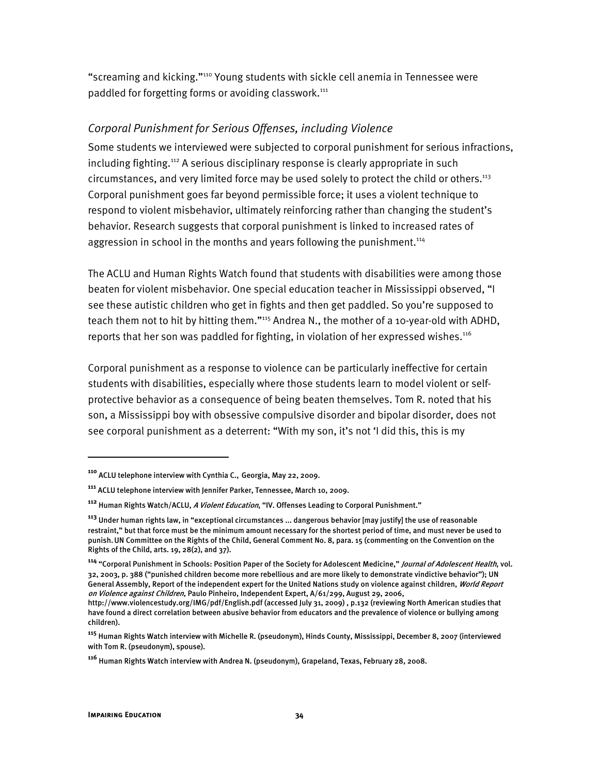"screaming and kicking."110 Young students with sickle cell anemia in Tennessee were paddled for forgetting forms or avoiding classwork.<sup>111</sup>

### *Corporal Punishment for Serious Offenses, including Violence*

Some students we interviewed were subjected to corporal punishment for serious infractions, including fighting.<sup>112</sup> A serious disciplinary response is clearly appropriate in such circumstances, and very limited force may be used solely to protect the child or others.<sup>113</sup> Corporal punishment goes far beyond permissible force; it uses a violent technique to respond to violent misbehavior, ultimately reinforcing rather than changing the student's behavior. Research suggests that corporal punishment is linked to increased rates of aggression in school in the months and years following the punishment.<sup>114</sup>

The ACLU and Human Rights Watch found that students with disabilities were among those beaten for violent misbehavior. One special education teacher in Mississippi observed, "I see these autistic children who get in fights and then get paddled. So you're supposed to teach them not to hit by hitting them."115 Andrea N., the mother of a 10-year-old with ADHD, reports that her son was paddled for fighting, in violation of her expressed wishes.<sup>116</sup>

Corporal punishment as a response to violence can be particularly ineffective for certain students with disabilities, especially where those students learn to model violent or selfprotective behavior as a consequence of being beaten themselves. Tom R. noted that his son, a Mississippi boy with obsessive compulsive disorder and bipolar disorder, does not see corporal punishment as a deterrent: "With my son, it's not 'I did this, this is my

 $\overline{a}$ 

**<sup>110</sup>** ACLU telephone interview with Cynthia C., Georgia, May 22, 2009.

**<sup>111</sup>** ACLU telephone interview with Jennifer Parker, Tennessee, March 10, 2009.

**<sup>112</sup>** Human Rights Watch/ACLU, A Violent Education, "IV. Offenses Leading to Corporal Punishment."

**<sup>113</sup>** Under human rights law, in "exceptional circumstances ... dangerous behavior [may justify] the use of reasonable restraint," but that force must be the minimum amount necessary for the shortest period of time, and must never be used to punish.UN Committee on the Rights of the Child, General Comment No. 8, para. 15 (commenting on the Convention on the Rights of the Child, arts. 19, 28(2), and 37).

**<sup>114</sup>** "Corporal Punishment in Schools: Position Paper of the Society for Adolescent Medicine," Journal of Adolescent Health, vol. 32, 2003, p. 388 ("punished children become more rebellious and are more likely to demonstrate vindictive behavior"); UN General Assembly, Report of the independent expert for the United Nations study on violence against children, World Report on Violence against Children, Paulo Pinheiro, Independent Expert, A/61/299, August 29, 2006,

http://www.violencestudy.org/IMG/pdf/English.pdf (accessed July 31, 2009) , p.132 (reviewing North American studies that have found a direct correlation between abusive behavior from educators and the prevalence of violence or bullying among children).

**<sup>115</sup>** Human Rights Watch interview with Michelle R. (pseudonym), Hinds County, Mississippi, December 8, 2007 (interviewed with Tom R. (pseudonym), spouse).

**<sup>116</sup>** Human Rights Watch interview with Andrea N. (pseudonym), Grapeland, Texas, February 28, 2008.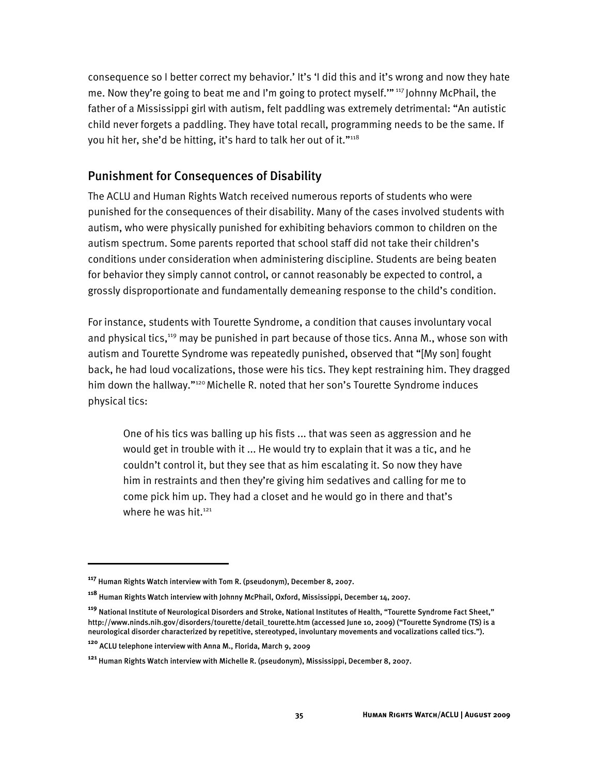consequence so I better correct my behavior.' It's 'I did this and it's wrong and now they hate me. Now they're going to beat me and I'm going to protect myself.'" 117 Johnny McPhail, the father of a Mississippi girl with autism, felt paddling was extremely detrimental: "An autistic child never forgets a paddling. They have total recall, programming needs to be the same. If you hit her, she'd be hitting, it's hard to talk her out of it."<sup>118</sup>

## Punishment for Consequences of Disability

The ACLU and Human Rights Watch received numerous reports of students who were punished for the consequences of their disability. Many of the cases involved students with autism, who were physically punished for exhibiting behaviors common to children on the autism spectrum. Some parents reported that school staff did not take their children's conditions under consideration when administering discipline. Students are being beaten for behavior they simply cannot control, or cannot reasonably be expected to control, a grossly disproportionate and fundamentally demeaning response to the child's condition.

For instance, students with Tourette Syndrome, a condition that causes involuntary vocal and physical tics,<sup>119</sup> may be punished in part because of those tics. Anna M., whose son with autism and Tourette Syndrome was repeatedly punished, observed that "[My son] fought back, he had loud vocalizations, those were his tics. They kept restraining him. They dragged him down the hallway."<sup>120</sup> Michelle R. noted that her son's Tourette Syndrome induces physical tics:

One of his tics was balling up his fists ... that was seen as aggression and he would get in trouble with it ... He would try to explain that it was a tic, and he couldn't control it, but they see that as him escalating it. So now they have him in restraints and then they're giving him sedatives and calling for me to come pick him up. They had a closet and he would go in there and that's where he was hit.<sup>121</sup>

I

**<sup>117</sup>** Human Rights Watch interview with Tom R. (pseudonym), December 8, 2007.

**<sup>118</sup>** Human Rights Watch interview with Johnny McPhail, Oxford, Mississippi, December 14, 2007.

**<sup>119</sup>** National Institute of Neurological Disorders and Stroke, National Institutes of Health, "Tourette Syndrome Fact Sheet," http://www.ninds.nih.gov/disorders/tourette/detail\_tourette.htm (accessed June 10, 2009) ("Tourette Syndrome (TS) is a neurological disorder characterized by repetitive, stereotyped, involuntary movements and vocalizations called tics.").

**<sup>120</sup>** ACLU telephone interview with Anna M., Florida, March 9, 2009

**<sup>121</sup>** Human Rights Watch interview with Michelle R. (pseudonym), Mississippi, December 8, 2007.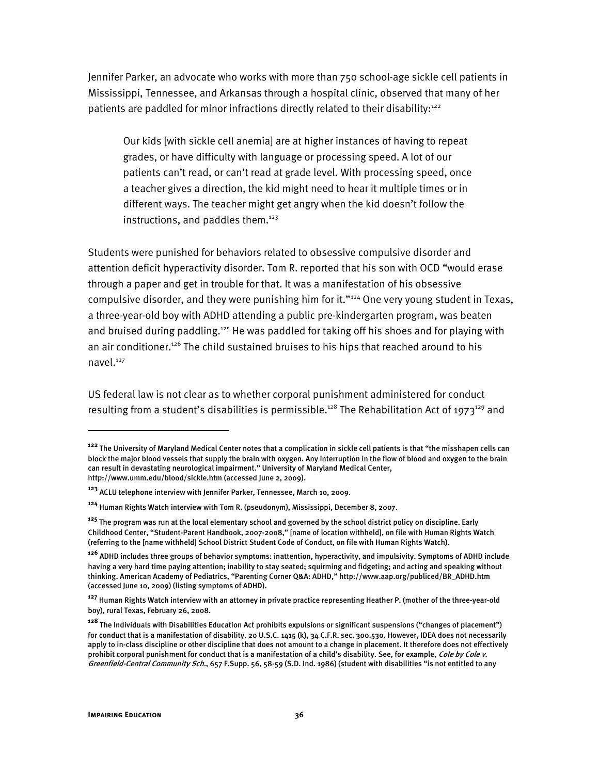Jennifer Parker, an advocate who works with more than 750 school-age sickle cell patients in Mississippi, Tennessee, and Arkansas through a hospital clinic, observed that many of her patients are paddled for minor infractions directly related to their disability:<sup>122</sup>

Our kids [with sickle cell anemia] are at higher instances of having to repeat grades, or have difficulty with language or processing speed. A lot of our patients can't read, or can't read at grade level. With processing speed, once a teacher gives a direction, the kid might need to hear it multiple times or in different ways. The teacher might get angry when the kid doesn't follow the instructions, and paddles them.<sup>123</sup>

Students were punished for behaviors related to obsessive compulsive disorder and attention deficit hyperactivity disorder. Tom R. reported that his son with OCD "would erase through a paper and get in trouble for that. It was a manifestation of his obsessive compulsive disorder, and they were punishing him for it."<sup>124</sup> One very young student in Texas, a three-year-old boy with ADHD attending a public pre-kindergarten program, was beaten and bruised during paddling.<sup>125</sup> He was paddled for taking off his shoes and for playing with an air conditioner.<sup>126</sup> The child sustained bruises to his hips that reached around to his navel.127

US federal law is not clear as to whether corporal punishment administered for conduct resulting from a student's disabilities is permissible.<sup>128</sup> The Rehabilitation Act of 1973<sup>129</sup> and

**<sup>122</sup>** The University of Maryland Medical Center notes that a complication in sickle cell patients is that "the misshapen cells can block the major blood vessels that supply the brain with oxygen. Any interruption in the flow of blood and oxygen to the brain can result in devastating neurological impairment." University of Maryland Medical Center, http://www.umm.edu/blood/sickle.htm (accessed June 2, 2009).

**<sup>123</sup>** ACLU telephone interview with Jennifer Parker, Tennessee, March 10, 2009.

**<sup>124</sup>** Human Rights Watch interview with Tom R. (pseudonym), Mississippi, December 8, 2007.

**<sup>125</sup>** The program was run at the local elementary school and governed by the school district policy on discipline. Early Childhood Center, "Student-Parent Handbook, 2007-2008," [name of location withheld], on file with Human Rights Watch (referring to the [name withheld] School District Student Code of Conduct, on file with Human Rights Watch).

**<sup>126</sup>** ADHD includes three groups of behavior symptoms: inattention, hyperactivity, and impulsivity. Symptoms of ADHD include having a very hard time paying attention; inability to stay seated; squirming and fidgeting; and acting and speaking without thinking. American Academy of Pediatrics, "Parenting Corner Q&A: ADHD," http://www.aap.org/publiced/BR\_ADHD.htm (accessed June 10, 2009) (listing symptoms of ADHD).

**<sup>127</sup>** Human Rights Watch interview with an attorney in private practice representing Heather P. (mother of the three-year-old boy), rural Texas, February 26, 2008.

**<sup>128</sup>** The Individuals with Disabilities Education Act prohibits expulsions or significant suspensions ("changes of placement") for conduct that is a manifestation of disability. 20 U.S.C. 1415 (k), 34 C.F.R. sec. 300.530. However, IDEA does not necessarily apply to in-class discipline or other discipline that does not amount to a change in placement. It therefore does not effectively prohibit corporal punishment for conduct that is a manifestation of a child's disability. See, for example, *Cole by Cole v.* Greenfield-Central Community Sch., 657 F.Supp. 56, 58-59 (S.D. Ind. 1986) (student with disabilities "is not entitled to any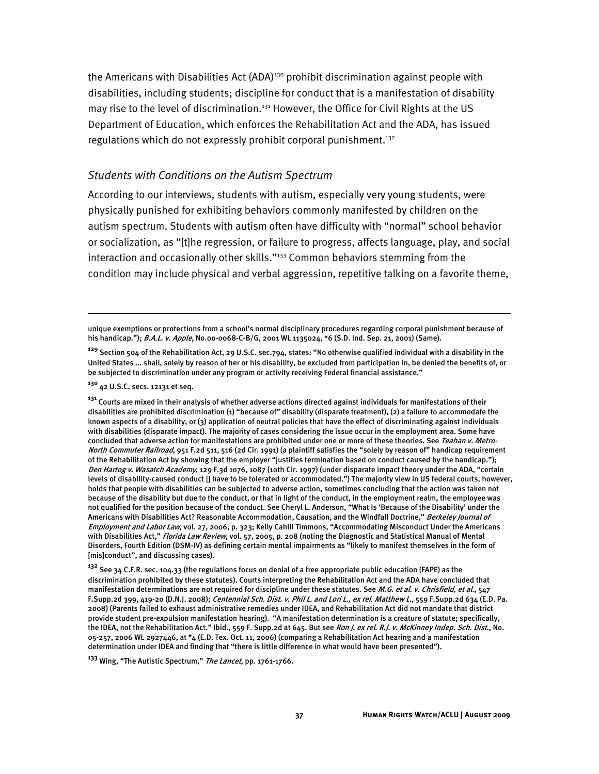the Americans with Disabilities Act (ADA)<sup>130</sup> prohibit discrimination against people with disabilities, including students; discipline for conduct that is a manifestation of disability may rise to the level of discrimination.<sup>131</sup> However, the Office for Civil Rights at the US Department of Education, which enforces the Rehabilitation Act and the ADA, has issued regulations which do not expressly prohibit corporal punishment.<sup>132</sup>

#### *Students with Conditions on the Autism Spectrum*

According to our interviews, students with autism, especially very young students, were physically punished for exhibiting behaviors commonly manifested by children on the autism spectrum. Students with autism often have difficulty with "normal" school behavior or socialization, as "[t]he regression, or failure to progress, affects language, play, and social interaction and occasionally other skills."<sup>133</sup> Common behaviors stemming from the condition may include physical and verbal aggression, repetitive talking on a favorite theme,

**<sup>130</sup>** 42 U.S.C. secs. 12131 et seq.

ֺ

**<sup>132</sup>** See 34 C.F.R. sec. 104.33 (the regulations focus on denial of a free appropriate public education (FAPE) as the discrimination prohibited by these statutes). Courts interpreting the Rehabilitation Act and the ADA have concluded that manifestation determinations are not required for discipline under these statutes. See M.G. et al. v. Chrisfield, et al., 547 F.Supp.2d 399, 419-20 (D.N.J. 2008); Centennial Sch. Dist. v. Phil L. and Lori L., ex rel. Matthew L., 559 F.Supp.2d 634 (E.D. Pa. 2008) (Parents failed to exhaust administrative remedies under IDEA, and Rehabilitation Act did not mandate that district provide student pre-expulsion manifestation hearing). "A manifestation determination is a creature of statute; specifically, the IDEA, not the Rehabilitation Act." Ibid., 559 F. Supp.2d at 645. But see Ron J. ex rel. R.J. v. McKinney Indep. Sch. Dist., No. 05-257, 2006 WL 2927446, at \*4 (E.D. Tex. Oct. 11, 2006) (comparing a Rehabilitation Act hearing and a manifestation determination under IDEA and finding that "there is little difference in what would have been presented").

**<sup>133</sup>** Wing, "The Autistic Spectrum," The Lancet, pp. 1761-1766.

unique exemptions or protections from a school's normal disciplinary procedures regarding corporal punishment because of his handicap."); B.A.L. v. Apple, No.00-0068-C-B/G, 2001 WL 1135024, \*6 (S.D. Ind. Sep. 21, 2001) (Same).

**<sup>129</sup>** Section 504 of the Rehabilitation Act, 29 U.S.C. sec.794, states: "No otherwise qualified individual with a disability in the United States ... shall, solely by reason of her or his disability, be excluded from participation in, be denied the benefits of, or be subjected to discrimination under any program or activity receiving Federal financial assistance."

**<sup>131</sup>** Courts are mixed in their analysis of whether adverse actions directed against individuals for manifestations of their disabilities are prohibited discrimination (1) "because of" disability (disparate treatment), (2) a failure to accommodate the known aspects of a disability, or (3) application of neutral policies that have the effect of discriminating against individuals with disabilities (disparate impact). The majority of cases considering the issue occur in the employment area. Some have concluded that adverse action for manifestations are prohibited under one or more of these theories. See Teahan v. Metro-North Commuter Railroad, 951 F.2d 511, 516 (2d Cir. 1991) (a plaintiff satisfies the "solely by reason of" handicap requirement of the Rehabilitation Act by showing that the employer "justifies termination based on conduct caused by the handicap."); Den Hartog v. Wasatch Academy, 129 F.3d 1076, 1087 (10th Cir. 1997) (under disparate impact theory under the ADA, "certain levels of disability-caused conduct [] have to be tolerated or accommodated.") The majority view in US federal courts, however, holds that people with disabilities can be subjected to adverse action, sometimes concluding that the action was taken not because of the disability but due to the conduct, or that in light of the conduct, in the employment realm, the employee was not qualified for the position because of the conduct. See Cheryl L. Anderson, "What Is 'Because of the Disability' under the Americans with Disabilities Act? Reasonable Accommodation, Causation, and the Windfall Doctrine," Berkeley Journal of Employment and Labor Law, vol. 27, 2006, p. 323; Kelly Cahill Timmons, "Accommodating Misconduct Under the Americans with Disabilities Act," Florida Law Review, vol. 57, 2005, p. 208 (noting the Diagnostic and Statistical Manual of Mental Disorders, Fourth Edition (DSM-IV) as defining certain mental impairments as "likely to manifest themselves in the form of [mis]conduct", and discussing cases).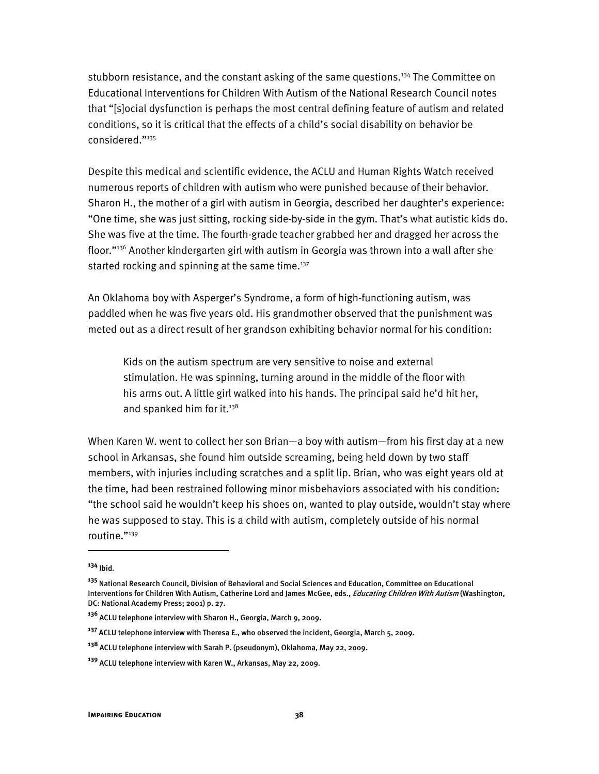stubborn resistance, and the constant asking of the same questions.<sup>134</sup> The Committee on Educational Interventions for Children With Autism of the National Research Council notes that "[s]ocial dysfunction is perhaps the most central defining feature of autism and related conditions, so it is critical that the effects of a child's social disability on behavior be considered."135

Despite this medical and scientific evidence, the ACLU and Human Rights Watch received numerous reports of children with autism who were punished because of their behavior. Sharon H., the mother of a girl with autism in Georgia, described her daughter's experience: "One time, she was just sitting, rocking side-by-side in the gym. That's what autistic kids do. She was five at the time. The fourth-grade teacher grabbed her and dragged her across the floor."136 Another kindergarten girl with autism in Georgia was thrown into a wall after she started rocking and spinning at the same time. $137$ 

An Oklahoma boy with Asperger's Syndrome, a form of high-functioning autism, was paddled when he was five years old. His grandmother observed that the punishment was meted out as a direct result of her grandson exhibiting behavior normal for his condition:

Kids on the autism spectrum are very sensitive to noise and external stimulation. He was spinning, turning around in the middle of the floor with his arms out. A little girl walked into his hands. The principal said he'd hit her, and spanked him for it. $138$ 

When Karen W. went to collect her son Brian—a boy with autism—from his first day at a new school in Arkansas, she found him outside screaming, being held down by two staff members, with injuries including scratches and a split lip. Brian, who was eight years old at the time, had been restrained following minor misbehaviors associated with his condition: "the school said he wouldn't keep his shoes on, wanted to play outside, wouldn't stay where he was supposed to stay. This is a child with autism, completely outside of his normal routine."139

**<sup>134</sup>** Ibid.

**<sup>135</sup>** National Research Council, Division of Behavioral and Social Sciences and Education, Committee on Educational Interventions for Children With Autism, Catherine Lord and James McGee, eds., Educating Children With Autism (Washington, DC: National Academy Press; 2001) p. 27.

**<sup>136</sup>** ACLU telephone interview with Sharon H., Georgia, March 9, 2009.

**<sup>137</sup>** ACLU telephone interview with Theresa E., who observed the incident, Georgia, March 5, 2009.

**<sup>138</sup>** ACLU telephone interview with Sarah P. (pseudonym), Oklahoma, May 22, 2009.

**<sup>139</sup>** ACLU telephone interview with Karen W., Arkansas, May 22, 2009.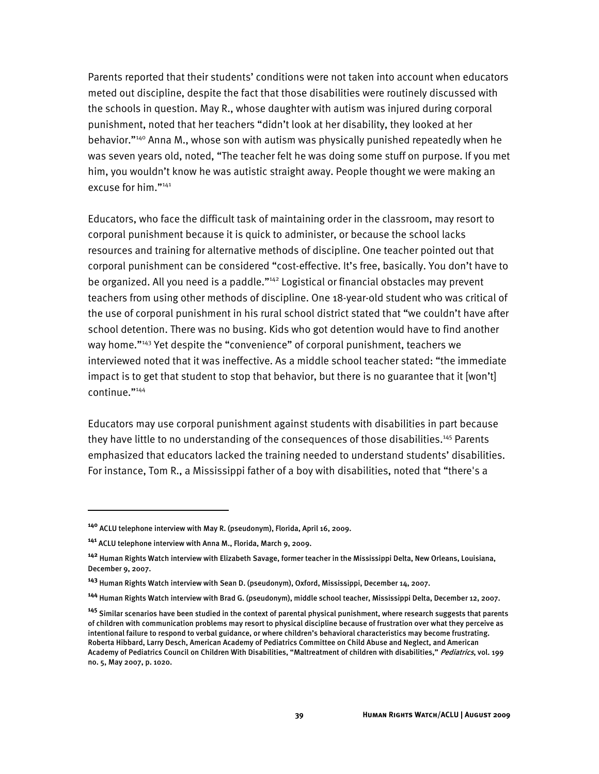Parents reported that their students' conditions were not taken into account when educators meted out discipline, despite the fact that those disabilities were routinely discussed with the schools in question. May R., whose daughter with autism was injured during corporal punishment, noted that her teachers "didn't look at her disability, they looked at her behavior."<sup>140</sup> Anna M., whose son with autism was physically punished repeatedly when he was seven years old, noted, "The teacher felt he was doing some stuff on purpose. If you met him, you wouldn't know he was autistic straight away. People thought we were making an excuse for him."141

Educators, who face the difficult task of maintaining order in the classroom, may resort to corporal punishment because it is quick to administer, or because the school lacks resources and training for alternative methods of discipline. One teacher pointed out that corporal punishment can be considered "cost-effective. It's free, basically. You don't have to be organized. All you need is a paddle."<sup>142</sup> Logistical or financial obstacles may prevent teachers from using other methods of discipline. One 18-year-old student who was critical of the use of corporal punishment in his rural school district stated that "we couldn't have after school detention. There was no busing. Kids who got detention would have to find another way home."<sup>143</sup> Yet despite the "convenience" of corporal punishment, teachers we interviewed noted that it was ineffective. As a middle school teacher stated: "the immediate impact is to get that student to stop that behavior, but there is no guarantee that it [won't] continue."144

Educators may use corporal punishment against students with disabilities in part because they have little to no understanding of the consequences of those disabilities.<sup>145</sup> Parents emphasized that educators lacked the training needed to understand students' disabilities. For instance, Tom R., a Mississippi father of a boy with disabilities, noted that "there's a

**<sup>140</sup>** ACLU telephone interview with May R. (pseudonym), Florida, April 16, 2009.

**<sup>141</sup>** ACLU telephone interview with Anna M., Florida, March 9, 2009.

**<sup>142</sup>** Human Rights Watch interview with Elizabeth Savage, former teacher in the Mississippi Delta, New Orleans, Louisiana, December 9, 2007.

**<sup>143</sup>** Human Rights Watch interview with Sean D. (pseudonym), Oxford, Mississippi, December 14, 2007.

**<sup>144</sup>** Human Rights Watch interview with Brad G. (pseudonym), middle school teacher, Mississippi Delta, December 12, 2007.

**<sup>145</sup>** Similar scenarios have been studied in the context of parental physical punishment, where research suggests that parents of children with communication problems may resort to physical discipline because of frustration over what they perceive as intentional failure to respond to verbal guidance, or where children's behavioral characteristics may become frustrating. Roberta Hibbard, Larry Desch, American Academy of Pediatrics Committee on Child Abuse and Neglect, and American Academy of Pediatrics Council on Children With Disabilities, "Maltreatment of children with disabilities," Pediatrics, vol. 199 no. 5, May 2007, p. 1020.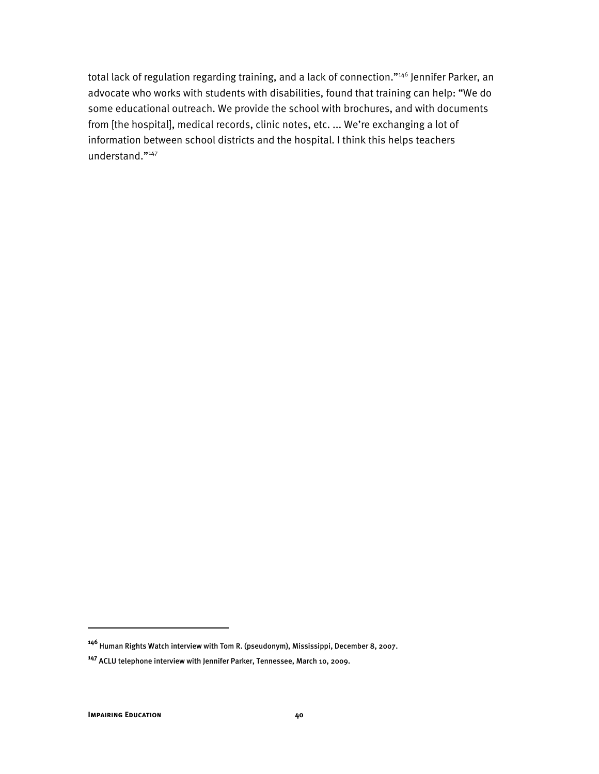total lack of regulation regarding training, and a lack of connection."<sup>146</sup> Jennifer Parker, an advocate who works with students with disabilities, found that training can help: "We do some educational outreach. We provide the school with brochures, and with documents from [the hospital], medical records, clinic notes, etc. ... We're exchanging a lot of information between school districts and the hospital. I think this helps teachers understand."147

ֺ

**<sup>146</sup>** Human Rights Watch interview with Tom R. (pseudonym), Mississippi, December 8, 2007.

**<sup>147</sup>** ACLU telephone interview with Jennifer Parker, Tennessee, March 10, 2009.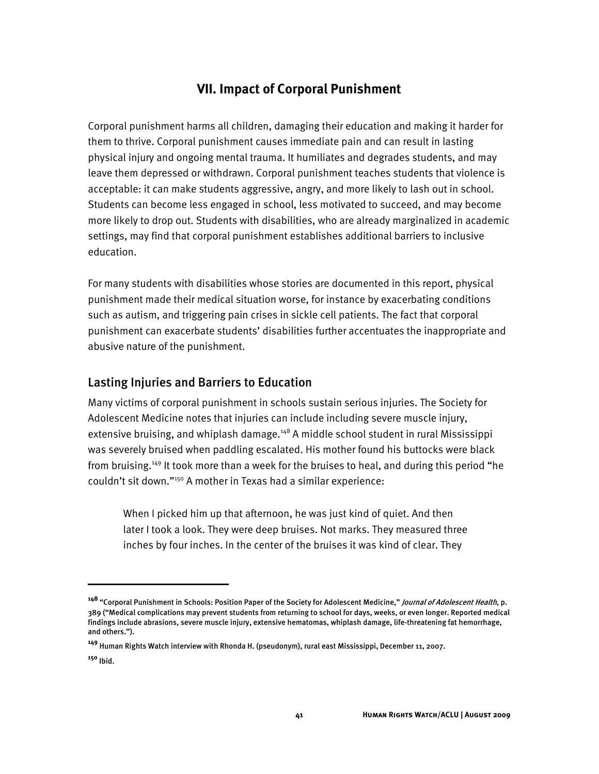# **VII. Impact of Corporal Punishment**

Corporal punishment harms all children, damaging their education and making it harder for them to thrive. Corporal punishment causes immediate pain and can result in lasting physical injury and ongoing mental trauma. It humiliates and degrades students, and may leave them depressed or withdrawn. Corporal punishment teaches students that violence is acceptable: it can make students aggressive, angry, and more likely to lash out in school. Students can become less engaged in school, less motivated to succeed, and may become more likely to drop out. Students with disabilities, who are already marginalized in academic settings, may find that corporal punishment establishes additional barriers to inclusive education.

For many students with disabilities whose stories are documented in this report, physical punishment made their medical situation worse, for instance by exacerbating conditions such as autism, and triggering pain crises in sickle cell patients. The fact that corporal punishment can exacerbate students' disabilities further accentuates the inappropriate and abusive nature of the punishment.

## Lasting Injuries and Barriers to Education

Many victims of corporal punishment in schools sustain serious injuries. The Society for Adolescent Medicine notes that injuries can include including severe muscle injury, extensive bruising, and whiplash damage.<sup>148</sup> A middle school student in rural Mississippi was severely bruised when paddling escalated. His mother found his buttocks were black from bruising.<sup>149</sup> It took more than a week for the bruises to heal, and during this period "he couldn't sit down."<sup>150</sup> A mother in Texas had a similar experience:

When I picked him up that afternoon, he was just kind of quiet. And then later I took a look. They were deep bruises. Not marks. They measured three inches by four inches. In the center of the bruises it was kind of clear. They

**<sup>148</sup>** "Corporal Punishment in Schools: Position Paper of the Society for Adolescent Medicine," Journal of Adolescent Health, p. 389 ("Medical complications may prevent students from returning to school for days, weeks, or even longer. Reported medical findings include abrasions, severe muscle injury, extensive hematomas, whiplash damage, life-threatening fat hemorrhage, and others.").

**<sup>149</sup>** Human Rights Watch interview with Rhonda H. (pseudonym), rural east Mississippi, December 11, 2007.

**<sup>150</sup>** Ibid.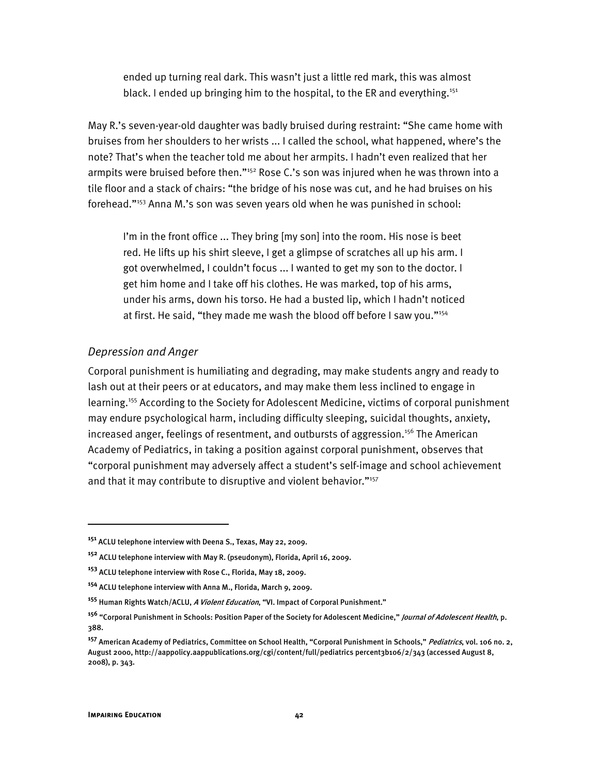ended up turning real dark. This wasn't just a little red mark, this was almost black. I ended up bringing him to the hospital, to the ER and everything.<sup>151</sup>

May R.'s seven-year-old daughter was badly bruised during restraint: "She came home with bruises from her shoulders to her wrists ... I called the school, what happened, where's the note? That's when the teacher told me about her armpits. I hadn't even realized that her armpits were bruised before then."<sup>152</sup> Rose C.'s son was injured when he was thrown into a tile floor and a stack of chairs: "the bridge of his nose was cut, and he had bruises on his forehead."153 Anna M.'s son was seven years old when he was punished in school:

I'm in the front office ... They bring [my son] into the room. His nose is beet red. He lifts up his shirt sleeve, I get a glimpse of scratches all up his arm. I got overwhelmed, I couldn't focus ... I wanted to get my son to the doctor. I get him home and I take off his clothes. He was marked, top of his arms, under his arms, down his torso. He had a busted lip, which I hadn't noticed at first. He said, "they made me wash the blood off before I saw you."<sup>154</sup>

#### *Depression and Anger*

Corporal punishment is humiliating and degrading, may make students angry and ready to lash out at their peers or at educators, and may make them less inclined to engage in learning.<sup>155</sup> According to the Society for Adolescent Medicine, victims of corporal punishment may endure psychological harm, including difficulty sleeping, suicidal thoughts, anxiety, increased anger, feelings of resentment, and outbursts of aggression.<sup>156</sup> The American Academy of Pediatrics, in taking a position against corporal punishment, observes that "corporal punishment may adversely affect a student's self-image and school achievement and that it may contribute to disruptive and violent behavior."<sup>157</sup>

I

**<sup>151</sup>** ACLU telephone interview with Deena S., Texas, May 22, 2009.

**<sup>152</sup>** ACLU telephone interview with May R. (pseudonym), Florida, April 16, 2009.

**<sup>153</sup>** ACLU telephone interview with Rose C., Florida, May 18, 2009.

**<sup>154</sup>** ACLU telephone interview with Anna M., Florida, March 9, 2009.

**<sup>155</sup>** Human Rights Watch/ACLU, A Violent Education, "VI. Impact of Corporal Punishment."

**<sup>156</sup>** "Corporal Punishment in Schools: Position Paper of the Society for Adolescent Medicine," Journal of Adolescent Health, p. 388.

**<sup>157</sup>** American Academy of Pediatrics, Committee on School Health, "Corporal Punishment in Schools," Pediatrics, vol. 106 no. 2, August 2000, http://aappolicy.aappublications.org/cgi/content/full/pediatrics percent3b106/2/343 (accessed August 8, 2008), p. 343.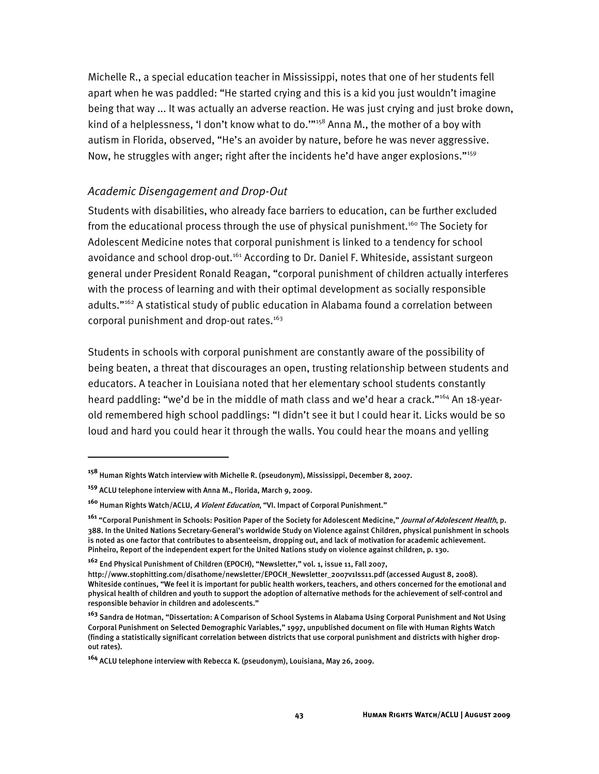Michelle R., a special education teacher in Mississippi, notes that one of her students fell apart when he was paddled: "He started crying and this is a kid you just wouldn't imagine being that way ... It was actually an adverse reaction. He was just crying and just broke down, kind of a helplessness, 'I don't know what to do."<sup>158</sup> Anna M., the mother of a boy with autism in Florida, observed, "He's an avoider by nature, before he was never aggressive. Now, he struggles with anger; right after the incidents he'd have anger explosions."<sup>159</sup>

## *Academic Disengagement and Drop-Out*

Students with disabilities, who already face barriers to education, can be further excluded from the educational process through the use of physical punishment.<sup>160</sup> The Society for Adolescent Medicine notes that corporal punishment is linked to a tendency for school avoidance and school drop-out.<sup>161</sup> According to Dr. Daniel F. Whiteside, assistant surgeon general under President Ronald Reagan, "corporal punishment of children actually interferes with the process of learning and with their optimal development as socially responsible adults."<sup>162</sup> A statistical study of public education in Alabama found a correlation between corporal punishment and drop-out rates.<sup>163</sup>

Students in schools with corporal punishment are constantly aware of the possibility of being beaten, a threat that discourages an open, trusting relationship between students and educators. A teacher in Louisiana noted that her elementary school students constantly heard paddling: "we'd be in the middle of math class and we'd hear a crack."<sup>164</sup> An 18-yearold remembered high school paddlings: "I didn't see it but I could hear it. Licks would be so loud and hard you could hear it through the walls. You could hear the moans and yelling

**<sup>158</sup>** Human Rights Watch interview with Michelle R. (pseudonym), Mississippi, December 8, 2007.

**<sup>159</sup>** ACLU telephone interview with Anna M., Florida, March 9, 2009.

**<sup>160</sup>** Human Rights Watch/ACLU, A Violent Education, "VI. Impact of Corporal Punishment."

**<sup>161</sup>** "Corporal Punishment in Schools: Position Paper of the Society for Adolescent Medicine," Journal of Adolescent Health, p. 388. In the United Nations Secretary-General's worldwide Study on Violence against Children, physical punishment in schools is noted as one factor that contributes to absenteeism, dropping out, and lack of motivation for academic achievement. Pinheiro, Report of the independent expert for the United Nations study on violence against children, p. 130.

**<sup>162</sup>** End Physical Punishment of Children (EPOCH), "Newsletter," vol. 1, issue 11, Fall 2007,

http://www.stophitting.com/disathome/newsletter/EPOCH\_Newsletter\_2007v1Iss11.pdf (accessed August 8, 2008). Whiteside continues, "We feel it is important for public health workers, teachers, and others concerned for the emotional and physical health of children and youth to support the adoption of alternative methods for the achievement of self-control and responsible behavior in children and adolescents."

**<sup>163</sup>** Sandra de Hotman, "Dissertation: A Comparison of School Systems in Alabama Using Corporal Punishment and Not Using Corporal Punishment on Selected Demographic Variables," 1997, unpublished document on file with Human Rights Watch (finding a statistically significant correlation between districts that use corporal punishment and districts with higher dropout rates).

**<sup>164</sup>** ACLU telephone interview with Rebecca K. (pseudonym), Louisiana, May 26, 2009.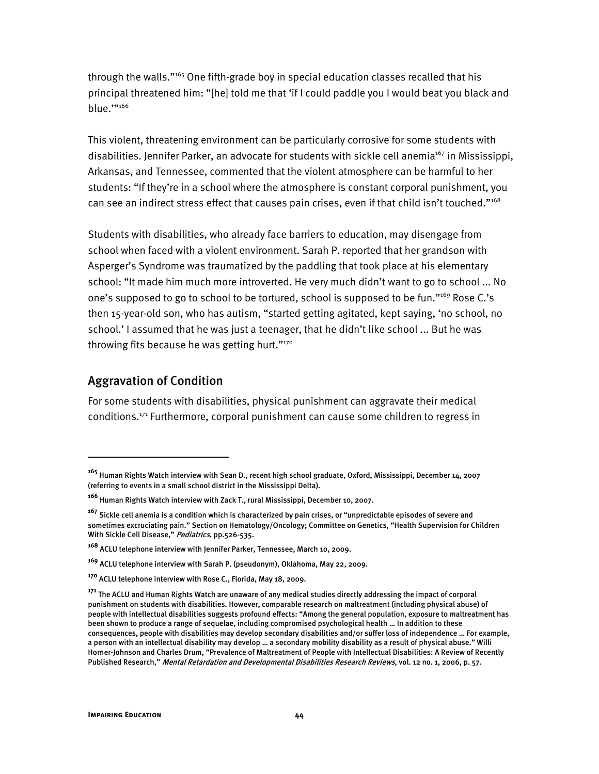through the walls."165 One fifth-grade boy in special education classes recalled that his principal threatened him: "[he] told me that 'if I could paddle you I would beat you black and blue.""166

This violent, threatening environment can be particularly corrosive for some students with disabilities. Jennifer Parker, an advocate for students with sickle cell anemia<sup>167</sup> in Mississippi, Arkansas, and Tennessee, commented that the violent atmosphere can be harmful to her students: "If they're in a school where the atmosphere is constant corporal punishment, you can see an indirect stress effect that causes pain crises, even if that child isn't touched."168

Students with disabilities, who already face barriers to education, may disengage from school when faced with a violent environment. Sarah P. reported that her grandson with Asperger's Syndrome was traumatized by the paddling that took place at his elementary school: "It made him much more introverted. He very much didn't want to go to school ... No one's supposed to go to school to be tortured, school is supposed to be fun."<sup>169</sup> Rose C.'s then 15-year-old son, who has autism, "started getting agitated, kept saying, 'no school, no school.' I assumed that he was just a teenager, that he didn't like school ... But he was throwing fits because he was getting hurt."<sup>170</sup>

### Aggravation of Condition

ֺ

For some students with disabilities, physical punishment can aggravate their medical conditions.171 Furthermore, corporal punishment can cause some children to regress in

**<sup>165</sup>** Human Rights Watch interview with Sean D., recent high school graduate, Oxford, Mississippi, December 14, 2007 (referring to events in a small school district in the Mississippi Delta).

**<sup>166</sup>** Human Rights Watch interview with Zack T., rural Mississippi, December 10, 2007.

**<sup>167</sup>** Sickle cell anemia is a condition which is characterized by pain crises, or "unpredictable episodes of severe and sometimes excruciating pain." Section on Hematology/Oncology; Committee on Genetics, "Health Supervision for Children With Sickle Cell Disease," Pediatrics, pp.526-535.

**<sup>168</sup>** ACLU telephone interview with Jennifer Parker, Tennessee, March 10, 2009.

**<sup>169</sup>** ACLU telephone interview with Sarah P. (pseudonym), Oklahoma, May 22, 2009.

**<sup>170</sup>** ACLU telephone interview with Rose C., Florida, May 18, 2009.

**<sup>171</sup>** The ACLU and Human Rights Watch are unaware of any medical studies directly addressing the impact of corporal punishment on students with disabilities. However, comparable research on maltreatment (including physical abuse) of people with intellectual disabilities suggests profound effects: "Among the general population, exposure to maltreatment has been shown to produce a range of sequelae, including compromised psychological health … In addition to these consequences, people with disabilities may develop secondary disabilities and/or suffer loss of independence … For example, a person with an intellectual disability may develop … a secondary mobility disability as a result of physical abuse." Willi Horner-Johnson and Charles Drum, "Prevalence of Maltreatment of People with Intellectual Disabilities: A Review of Recently Published Research," Mental Retardation and Developmental Disabilities Research Reviews, vol. 12 no. 1, 2006, p. 57.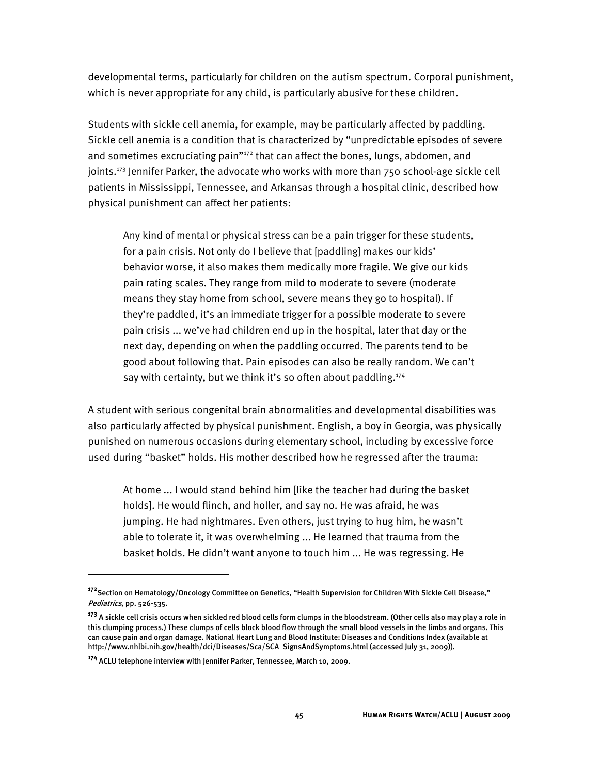developmental terms, particularly for children on the autism spectrum. Corporal punishment, which is never appropriate for any child, is particularly abusive for these children.

Students with sickle cell anemia, for example, may be particularly affected by paddling. Sickle cell anemia is a condition that is characterized by "unpredictable episodes of severe and sometimes excruciating pain"<sup>172</sup> that can affect the bones, lungs, abdomen, and joints.<sup>173</sup> Jennifer Parker, the advocate who works with more than 750 school-age sickle cell patients in Mississippi, Tennessee, and Arkansas through a hospital clinic, described how physical punishment can affect her patients:

Any kind of mental or physical stress can be a pain trigger for these students, for a pain crisis. Not only do I believe that [paddling] makes our kids' behavior worse, it also makes them medically more fragile. We give our kids pain rating scales. They range from mild to moderate to severe (moderate means they stay home from school, severe means they go to hospital). If they're paddled, it's an immediate trigger for a possible moderate to severe pain crisis ... we've had children end up in the hospital, later that day or the next day, depending on when the paddling occurred. The parents tend to be good about following that. Pain episodes can also be really random. We can't say with certainty, but we think it's so often about paddling.<sup>174</sup>

A student with serious congenital brain abnormalities and developmental disabilities was also particularly affected by physical punishment. English, a boy in Georgia, was physically punished on numerous occasions during elementary school, including by excessive force used during "basket" holds. His mother described how he regressed after the trauma:

At home ... I would stand behind him [like the teacher had during the basket holds]. He would flinch, and holler, and say no. He was afraid, he was jumping. He had nightmares. Even others, just trying to hug him, he wasn't able to tolerate it, it was overwhelming ... He learned that trauma from the basket holds. He didn't want anyone to touch him ... He was regressing. He

 $\overline{a}$ 

**<sup>172</sup>**Section on Hematology/Oncology Committee on Genetics, "Health Supervision for Children With Sickle Cell Disease," Pediatrics, pp. 526-535.

**<sup>173</sup>** A sickle cell crisis occurs when sickled red blood cells form clumps in the bloodstream. (Other cells also may play a role in this clumping process.) These clumps of cells block blood flow through the small blood vessels in the limbs and organs. This can cause pain and organ damage. National Heart Lung and Blood Institute: Diseases and Conditions Index (available at http://www.nhlbi.nih.gov/health/dci/Diseases/Sca/SCA\_SignsAndSymptoms.html (accessed July 31, 2009)).

**<sup>174</sup>** ACLU telephone interview with Jennifer Parker, Tennessee, March 10, 2009.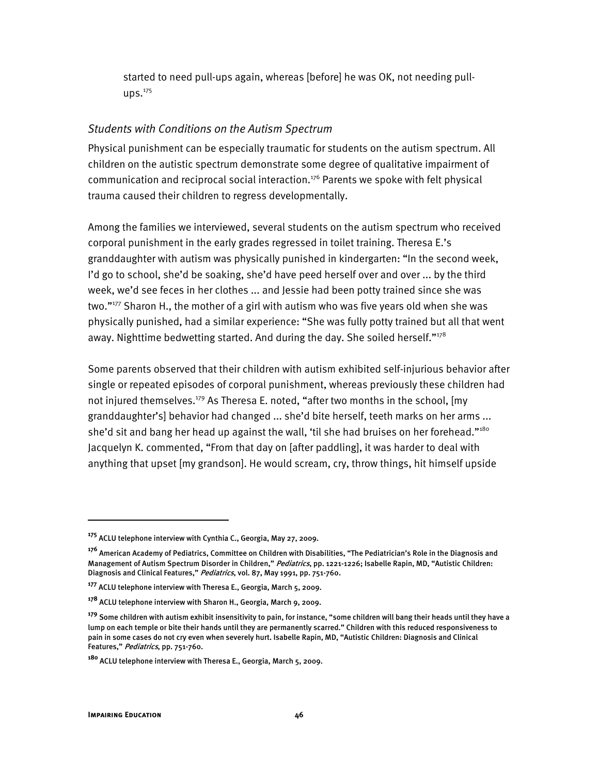started to need pull-ups again, whereas [before] he was OK, not needing pull- $\text{ups.}^{175}$ 

### *Students with Conditions on the Autism Spectrum*

Physical punishment can be especially traumatic for students on the autism spectrum. All children on the autistic spectrum demonstrate some degree of qualitative impairment of communication and reciprocal social interaction.<sup>176</sup> Parents we spoke with felt physical trauma caused their children to regress developmentally.

Among the families we interviewed, several students on the autism spectrum who received corporal punishment in the early grades regressed in toilet training. Theresa E.'s granddaughter with autism was physically punished in kindergarten: "In the second week, I'd go to school, she'd be soaking, she'd have peed herself over and over ... by the third week, we'd see feces in her clothes ... and Jessie had been potty trained since she was two."177 Sharon H., the mother of a girl with autism who was five years old when she was physically punished, had a similar experience: "She was fully potty trained but all that went away. Nighttime bedwetting started. And during the day. She soiled herself." $178$ 

Some parents observed that their children with autism exhibited self-injurious behavior after single or repeated episodes of corporal punishment, whereas previously these children had not injured themselves.<sup>179</sup> As Theresa E. noted, "after two months in the school, [my granddaughter's] behavior had changed ... she'd bite herself, teeth marks on her arms ... she'd sit and bang her head up against the wall, 'til she had bruises on her forehead."<sup>180</sup> Jacquelyn K. commented, "From that day on [after paddling], it was harder to deal with anything that upset [my grandson]. He would scream, cry, throw things, hit himself upside

**<sup>175</sup>** ACLU telephone interview with Cynthia C., Georgia, May 27, 2009.

**<sup>176</sup>** American Academy of Pediatrics, Committee on Children with Disabilities, "The Pediatrician's Role in the Diagnosis and Management of Autism Spectrum Disorder in Children," Pediatrics, pp. 1221-1226; Isabelle Rapin, MD, "Autistic Children: Diagnosis and Clinical Features," Pediatrics, vol. 87, May 1991, pp. 751-760.

**<sup>177</sup>** ACLU telephone interview with Theresa E., Georgia, March 5, 2009.

**<sup>178</sup>** ACLU telephone interview with Sharon H., Georgia, March 9, 2009.

**<sup>179</sup>** Some children with autism exhibit insensitivity to pain, for instance, "some children will bang their heads until they have a lump on each temple or bite their hands until they are permanently scarred." Children with this reduced responsiveness to pain in some cases do not cry even when severely hurt. Isabelle Rapin, MD, "Autistic Children: Diagnosis and Clinical Features," Pediatrics, pp. 751-760.

**<sup>180</sup>** ACLU telephone interview with Theresa E., Georgia, March 5, 2009.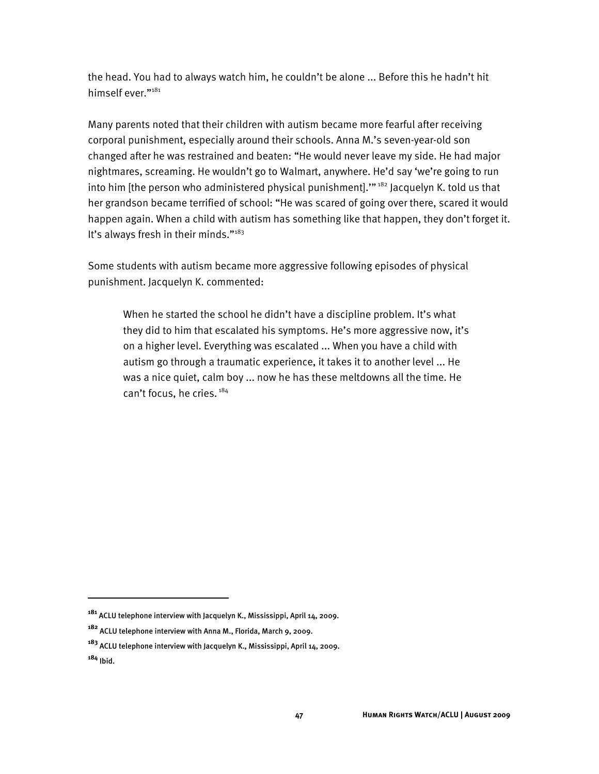the head. You had to always watch him, he couldn't be alone ... Before this he hadn't hit himself ever."<sup>181</sup>

Many parents noted that their children with autism became more fearful after receiving corporal punishment, especially around their schools. Anna M.'s seven-year-old son changed after he was restrained and beaten: "He would never leave my side. He had major nightmares, screaming. He wouldn't go to Walmart, anywhere. He'd say 'we're going to run into him [the person who administered physical punishment].""<sup>182</sup> Jacquelyn K. told us that her grandson became terrified of school: "He was scared of going over there, scared it would happen again. When a child with autism has something like that happen, they don't forget it. It's always fresh in their minds."<sup>183</sup>

Some students with autism became more aggressive following episodes of physical punishment. Jacquelyn K. commented:

When he started the school he didn't have a discipline problem. It's what they did to him that escalated his symptoms. He's more aggressive now, it's on a higher level. Everything was escalated ... When you have a child with autism go through a traumatic experience, it takes it to another level ... He was a nice quiet, calm boy ... now he has these meltdowns all the time. He can't focus, he cries.<sup>184</sup>

**<sup>181</sup>** ACLU telephone interview with Jacquelyn K., Mississippi, April 14, 2009.

**<sup>182</sup>** ACLU telephone interview with Anna M., Florida, March 9, 2009.

**<sup>183</sup>** ACLU telephone interview with Jacquelyn K., Mississippi, April 14, 2009.

**<sup>184</sup>** Ibid.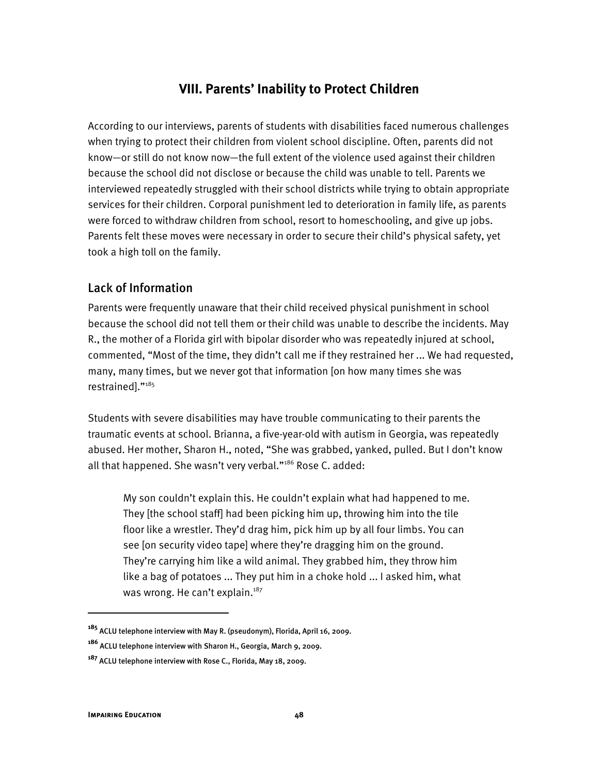## **VIII. Parents' Inability to Protect Children**

According to our interviews, parents of students with disabilities faced numerous challenges when trying to protect their children from violent school discipline. Often, parents did not know—or still do not know now—the full extent of the violence used against their children because the school did not disclose or because the child was unable to tell. Parents we interviewed repeatedly struggled with their school districts while trying to obtain appropriate services for their children. Corporal punishment led to deterioration in family life, as parents were forced to withdraw children from school, resort to homeschooling, and give up jobs. Parents felt these moves were necessary in order to secure their child's physical safety, yet took a high toll on the family.

## Lack of Information

Parents were frequently unaware that their child received physical punishment in school because the school did not tell them or their child was unable to describe the incidents. May R., the mother of a Florida girl with bipolar disorder who was repeatedly injured at school, commented, "Most of the time, they didn't call me if they restrained her ... We had requested, many, many times, but we never got that information [on how many times she was restrained]."185

Students with severe disabilities may have trouble communicating to their parents the traumatic events at school. Brianna, a five-year-old with autism in Georgia, was repeatedly abused. Her mother, Sharon H., noted, "She was grabbed, yanked, pulled. But I don't know all that happened. She wasn't very verbal."<sup>186</sup> Rose C. added:

My son couldn't explain this. He couldn't explain what had happened to me. They [the school staff] had been picking him up, throwing him into the tile floor like a wrestler. They'd drag him, pick him up by all four limbs. You can see [on security video tape] where they're dragging him on the ground. They're carrying him like a wild animal. They grabbed him, they throw him like a bag of potatoes ... They put him in a choke hold ... I asked him, what was wrong. He can't explain. $187$ 

ֺ

**<sup>185</sup>** ACLU telephone interview with May R. (pseudonym), Florida, April 16, 2009.

**<sup>186</sup>** ACLU telephone interview with Sharon H., Georgia, March 9, 2009.

**<sup>187</sup>** ACLU telephone interview with Rose C., Florida, May 18, 2009.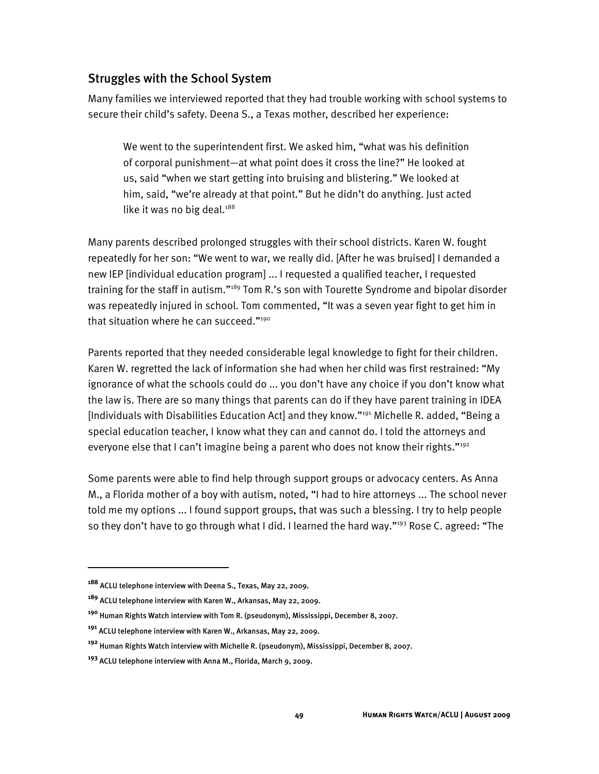## Struggles with the School System

Many families we interviewed reported that they had trouble working with school systems to secure their child's safety. Deena S., a Texas mother, described her experience:

We went to the superintendent first. We asked him, "what was his definition of corporal punishment—at what point does it cross the line?" He looked at us, said "when we start getting into bruising and blistering." We looked at him, said, "we're already at that point." But he didn't do anything. Just acted like it was no big deal.<sup>188</sup>

Many parents described prolonged struggles with their school districts. Karen W. fought repeatedly for her son: "We went to war, we really did. [After he was bruised] I demanded a new IEP [individual education program] ... I requested a qualified teacher, I requested training for the staff in autism."<sup>189</sup> Tom R.'s son with Tourette Syndrome and bipolar disorder was repeatedly injured in school. Tom commented, "It was a seven year fight to get him in that situation where he can succeed."<sup>190</sup>

Parents reported that they needed considerable legal knowledge to fight for their children. Karen W. regretted the lack of information she had when her child was first restrained: "My ignorance of what the schools could do ... you don't have any choice if you don't know what the law is. There are so many things that parents can do if they have parent training in IDEA [Individuals with Disabilities Education Act] and they know."<sup>191</sup> Michelle R. added, "Being a special education teacher, I know what they can and cannot do. I told the attorneys and everyone else that I can't imagine being a parent who does not know their rights."<sup>192</sup>

Some parents were able to find help through support groups or advocacy centers. As Anna M., a Florida mother of a boy with autism, noted, "I had to hire attorneys ... The school never told me my options ... I found support groups, that was such a blessing. I try to help people so they don't have to go through what I did. I learned the hard way."<sup>193</sup> Rose C. agreed: "The

I

**<sup>188</sup>** ACLU telephone interview with Deena S., Texas, May 22, 2009.

**<sup>189</sup>** ACLU telephone interview with Karen W., Arkansas, May 22, 2009.

**<sup>190</sup>** Human Rights Watch interview with Tom R. (pseudonym), Mississippi, December 8, 2007.

**<sup>191</sup>** ACLU telephone interview with Karen W., Arkansas, May 22, 2009.

**<sup>192</sup>** Human Rights Watch interview with Michelle R. (pseudonym), Mississippi, December 8, 2007.

**<sup>193</sup>** ACLU telephone interview with Anna M., Florida, March 9, 2009.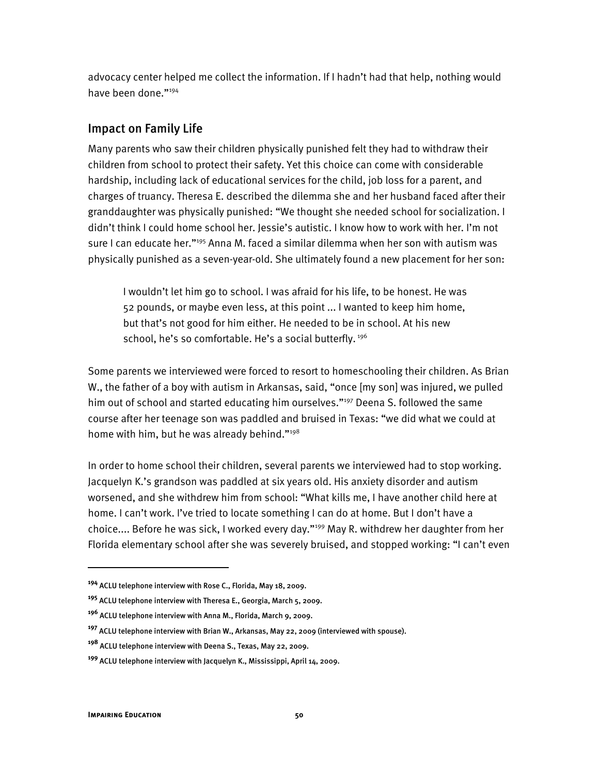advocacy center helped me collect the information. If I hadn't had that help, nothing would have been done."<sup>194</sup>

## Impact on Family Life

Many parents who saw their children physically punished felt they had to withdraw their children from school to protect their safety. Yet this choice can come with considerable hardship, including lack of educational services for the child, job loss for a parent, and charges of truancy. Theresa E. described the dilemma she and her husband faced after their granddaughter was physically punished: "We thought she needed school for socialization. I didn't think I could home school her. Jessie's autistic. I know how to work with her. I'm not sure I can educate her."<sup>195</sup> Anna M. faced a similar dilemma when her son with autism was physically punished as a seven-year-old. She ultimately found a new placement for her son:

I wouldn't let him go to school. I was afraid for his life, to be honest. He was 52 pounds, or maybe even less, at this point ... I wanted to keep him home, but that's not good for him either. He needed to be in school. At his new school, he's so comfortable. He's a social butterfly.<sup>196</sup>

Some parents we interviewed were forced to resort to homeschooling their children. As Brian W., the father of a boy with autism in Arkansas, said, "once [my son] was injured, we pulled him out of school and started educating him ourselves."<sup>197</sup> Deena S. followed the same course after her teenage son was paddled and bruised in Texas: "we did what we could at home with him, but he was already behind."<sup>198</sup>

In order to home school their children, several parents we interviewed had to stop working. Jacquelyn K.'s grandson was paddled at six years old. His anxiety disorder and autism worsened, and she withdrew him from school: "What kills me, I have another child here at home. I can't work. I've tried to locate something I can do at home. But I don't have a choice.... Before he was sick, I worked every day."<sup>199</sup> May R. withdrew her daughter from her Florida elementary school after she was severely bruised, and stopped working: "I can't even

I

**<sup>194</sup>** ACLU telephone interview with Rose C., Florida, May 18, 2009.

**<sup>195</sup>** ACLU telephone interview with Theresa E., Georgia, March 5, 2009.

**<sup>196</sup>** ACLU telephone interview with Anna M., Florida, March 9, 2009.

**<sup>197</sup>** ACLU telephone interview with Brian W., Arkansas, May 22, 2009 (interviewed with spouse).

**<sup>198</sup>** ACLU telephone interview with Deena S., Texas, May 22, 2009.

**<sup>199</sup>** ACLU telephone interview with Jacquelyn K., Mississippi, April 14, 2009.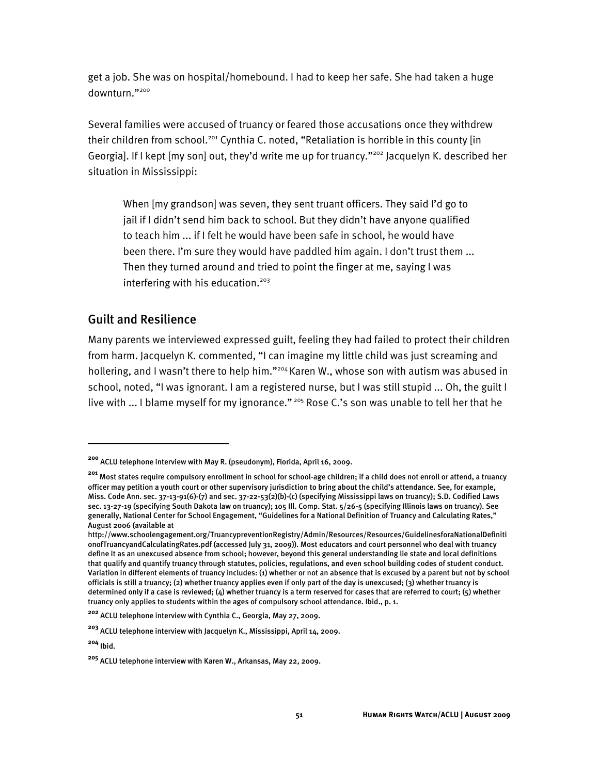get a job. She was on hospital/homebound. I had to keep her safe. She had taken a huge downturn."200

Several families were accused of truancy or feared those accusations once they withdrew their children from school.<sup>201</sup> Cynthia C. noted, "Retaliation is horrible in this county [in Georgia]. If I kept [my son] out, they'd write me up for truancy."<sup>202</sup> Jacquelyn K. described her situation in Mississippi:

When [my grandson] was seven, they sent truant officers. They said I'd go to jail if I didn't send him back to school. But they didn't have anyone qualified to teach him ... if I felt he would have been safe in school, he would have been there. I'm sure they would have paddled him again. I don't trust them ... Then they turned around and tried to point the finger at me, saying I was interfering with his education.<sup>203</sup>

### Guilt and Resilience

Many parents we interviewed expressed guilt, feeling they had failed to protect their children from harm. Jacquelyn K. commented, "I can imagine my little child was just screaming and hollering, and I wasn't there to help him."<sup>204</sup> Karen W., whose son with autism was abused in school, noted, "I was ignorant. I am a registered nurse, but I was still stupid ... Oh, the guilt I live with ... I blame myself for my ignorance."<sup>205</sup> Rose C.'s son was unable to tell her that he

**<sup>200</sup>** ACLU telephone interview with May R. (pseudonym), Florida, April 16, 2009.

**<sup>201</sup>** Most states require compulsory enrollment in school for school-age children; if a child does not enroll or attend, a truancy officer may petition a youth court or other supervisory jurisdiction to bring about the child's attendance. See, for example, Miss. Code Ann. sec. 37-13-91(6)-(7) and sec. 37-22-53(2)(b)-(c) (specifying Mississippi laws on truancy); S.D. Codified Laws sec. 13-27-19 (specifying South Dakota law on truancy); 105 Ill. Comp. Stat. 5/26-5 (specifying Illinois laws on truancy). See generally, National Center for School Engagement, "Guidelines for a National Definition of Truancy and Calculating Rates," August 2006 (available at

http://www.schoolengagement.org/TruancypreventionRegistry/Admin/Resources/Resources/GuidelinesforaNationalDefiniti onofTruancyandCalculatingRates.pdf (accessed July 31, 2009)). Most educators and court personnel who deal with truancy define it as an unexcused absence from school; however, beyond this general understanding lie state and local definitions that qualify and quantify truancy through statutes, policies, regulations, and even school building codes of student conduct. Variation in different elements of truancy includes: (1) whether or not an absence that is excused by a parent but not by school officials is still a truancy; (2) whether truancy applies even if only part of the day is unexcused; (3) whether truancy is determined only if a case is reviewed; (4) whether truancy is a term reserved for cases that are referred to court; (5) whether truancy only applies to students within the ages of compulsory school attendance. Ibid., p. 1.

**<sup>202</sup>** ACLU telephone interview with Cynthia C., Georgia, May 27, 2009.

**<sup>203</sup>** ACLU telephone interview with Jacquelyn K., Mississippi, April 14, 2009.

**<sup>204</sup>** Ibid.

**<sup>205</sup>** ACLU telephone interview with Karen W., Arkansas, May 22, 2009.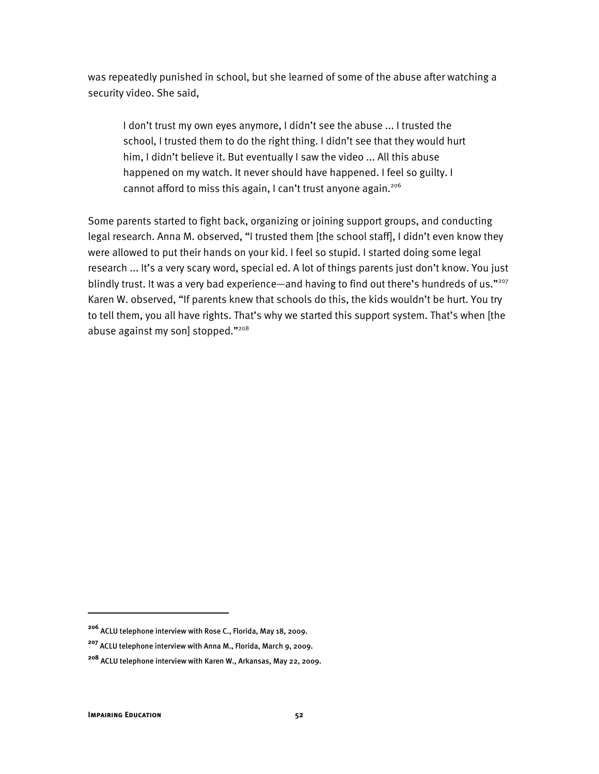was repeatedly punished in school, but she learned of some of the abuse after watching a security video. She said,

I don't trust my own eyes anymore, I didn't see the abuse ... I trusted the school, I trusted them to do the right thing. I didn't see that they would hurt him, I didn't believe it. But eventually I saw the video ... All this abuse happened on my watch. It never should have happened. I feel so guilty. I cannot afford to miss this again, I can't trust anyone again.<sup>206</sup>

Some parents started to fight back, organizing or joining support groups, and conducting legal research. Anna M. observed, "I trusted them [the school staff], I didn't even know they were allowed to put their hands on your kid. I feel so stupid. I started doing some legal research ... It's a very scary word, special ed. A lot of things parents just don't know. You just blindly trust. It was a very bad experience—and having to find out there's hundreds of us."<sup>207</sup> Karen W. observed, "If parents knew that schools do this, the kids wouldn't be hurt. You try to tell them, you all have rights. That's why we started this support system. That's when [the abuse against my son] stopped."208

**<sup>206</sup>** ACLU telephone interview with Rose C., Florida, May 18, 2009.

**<sup>207</sup>** ACLU telephone interview with Anna M., Florida, March 9, 2009.

**<sup>208</sup>** ACLU telephone interview with Karen W., Arkansas, May 22, 2009.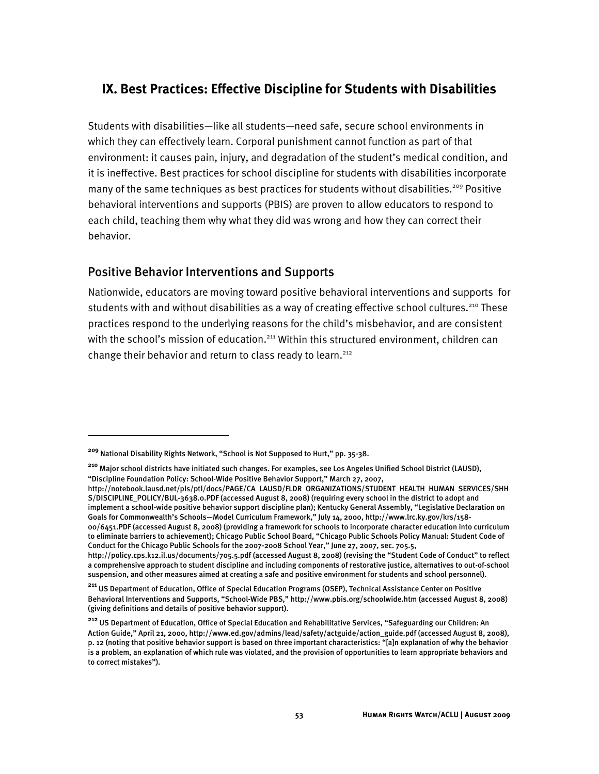# **IX. Best Practices: Effective Discipline for Students with Disabilities**

Students with disabilities—like all students—need safe, secure school environments in which they can effectively learn. Corporal punishment cannot function as part of that environment: it causes pain, injury, and degradation of the student's medical condition, and it is ineffective. Best practices for school discipline for students with disabilities incorporate many of the same techniques as best practices for students without disabilities.<sup>209</sup> Positive behavioral interventions and supports (PBIS) are proven to allow educators to respond to each child, teaching them why what they did was wrong and how they can correct their behavior.

## Positive Behavior Interventions and Supports

Nationwide, educators are moving toward positive behavioral interventions and supports for students with and without disabilities as a way of creating effective school cultures.<sup>210</sup> These practices respond to the underlying reasons for the child's misbehavior, and are consistent with the school's mission of education.<sup>211</sup> Within this structured environment, children can change their behavior and return to class ready to learn.<sup>212</sup>

**<sup>209</sup>** National Disability Rights Network, "School is Not Supposed to Hurt," pp. 35-38.

**<sup>210</sup>** Major school districts have initiated such changes. For examples, see Los Angeles Unified School District (LAUSD), "Discipline Foundation Policy: School-Wide Positive Behavior Support," March 27, 2007,

http://notebook.lausd.net/pls/ptl/docs/PAGE/CA\_LAUSD/FLDR\_ORGANIZATIONS/STUDENT\_HEALTH\_HUMAN\_SERVICES/SHH S/DISCIPLINE\_POLICY/BUL-3638.0.PDF (accessed August 8, 2008) (requiring every school in the district to adopt and implement a school-wide positive behavior support discipline plan); Kentucky General Assembly, "Legislative Declaration on Goals for Commonwealth's Schools—Model Curriculum Framework," July 14, 2000, http://www.lrc.ky.gov/krs/158- 00/6451.PDF (accessed August 8, 2008) (providing a framework for schools to incorporate character education into curriculum to eliminate barriers to achievement); Chicago Public School Board, "Chicago Public Schools Policy Manual: Student Code of Conduct for the Chicago Public Schools for the 2007-2008 School Year," June 27, 2007, sec. 705.5, http://policy.cps.k12.il.us/documents/705.5.pdf (accessed August 8, 2008) (revising the "Student Code of Conduct" to reflect

a comprehensive approach to student discipline and including components of restorative justice, alternatives to out-of-school suspension, and other measures aimed at creating a safe and positive environment for students and school personnel).

**<sup>211</sup>** US Department of Education, Office of Special Education Programs (OSEP), Technical Assistance Center on Positive Behavioral Interventions and Supports, "School-Wide PBS," http://www.pbis.org/schoolwide.htm (accessed August 8, 2008) (giving definitions and details of positive behavior support).

**<sup>212</sup>** US Department of Education, Office of Special Education and Rehabilitative Services, "Safeguarding our Children: An Action Guide," April 21, 2000, http://www.ed.gov/admins/lead/safety/actguide/action\_guide.pdf (accessed August 8, 2008), p. 12 (noting that positive behavior support is based on three important characteristics: "[a]n explanation of why the behavior is a problem, an explanation of which rule was violated, and the provision of opportunities to learn appropriate behaviors and to correct mistakes").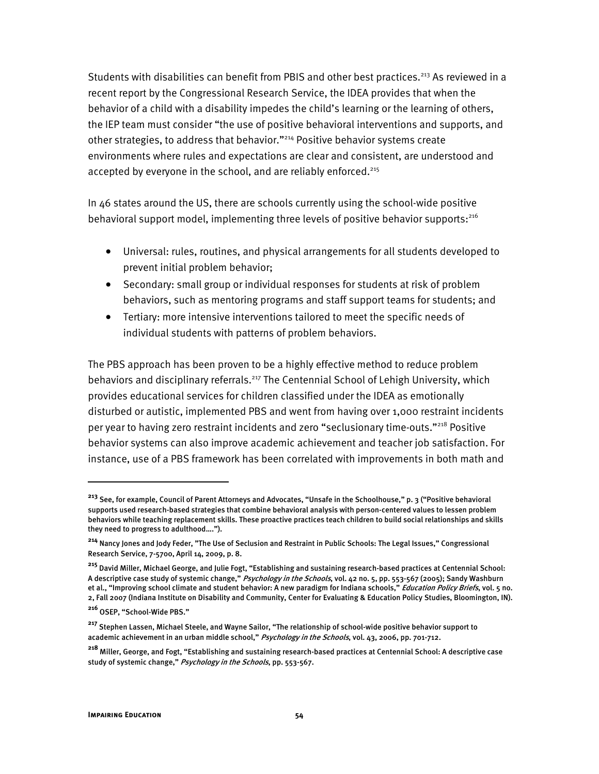Students with disabilities can benefit from PBIS and other best practices.<sup>213</sup> As reviewed in a recent report by the Congressional Research Service, the IDEA provides that when the behavior of a child with a disability impedes the child's learning or the learning of others, the IEP team must consider "the use of positive behavioral interventions and supports, and other strategies, to address that behavior."<sup>214</sup> Positive behavior systems create environments where rules and expectations are clear and consistent, are understood and accepted by everyone in the school, and are reliably enforced.<sup>215</sup>

In 46 states around the US, there are schools currently using the school-wide positive behavioral support model, implementing three levels of positive behavior supports:216

- Universal: rules, routines, and physical arrangements for all students developed to prevent initial problem behavior;
- Secondary: small group or individual responses for students at risk of problem behaviors, such as mentoring programs and staff support teams for students; and
- Tertiary: more intensive interventions tailored to meet the specific needs of individual students with patterns of problem behaviors.

The PBS approach has been proven to be a highly effective method to reduce problem behaviors and disciplinary referrals.<sup>217</sup> The Centennial School of Lehigh University, which provides educational services for children classified under the IDEA as emotionally disturbed or autistic, implemented PBS and went from having over 1,000 restraint incidents per year to having zero restraint incidents and zero "seclusionary time-outs."218 Positive behavior systems can also improve academic achievement and teacher job satisfaction. For instance, use of a PBS framework has been correlated with improvements in both math and

ֺ

**<sup>213</sup>** See, for example, Council of Parent Attorneys and Advocates, "Unsafe in the Schoolhouse," p. 3 ("Positive behavioral supports used research-based strategies that combine behavioral analysis with person-centered values to lessen problem behaviors while teaching replacement skills. These proactive practices teach children to build social relationships and skills they need to progress to adulthood….").

**<sup>214</sup>** Nancy Jones and Jody Feder, "The Use of Seclusion and Restraint in Public Schools: The Legal Issues," Congressional Research Service, 7-5700, April 14, 2009, p. 8.

**<sup>215</sup>** David Miller, Michael George, and Julie Fogt, "Establishing and sustaining research-based practices at Centennial School: A descriptive case study of systemic change," *Psychology in the Schools*, vol. 42 no. 5, pp. 553-567 (2005); Sandy Washburn et al., "Improving school climate and student behavior: A new paradigm for Indiana schools," Education Policy Briefs, vol. 5 no. 2, Fall 2007 (Indiana Institute on Disability and Community, Center for Evaluating & Education Policy Studies, Bloomington, IN).

**<sup>216</sup>** OSEP, "School-Wide PBS."

**<sup>217</sup>** Stephen Lassen, Michael Steele, and Wayne Sailor, "The relationship of school-wide positive behavior support to academic achievement in an urban middle school," Psychology in the Schools, vol. 43, 2006, pp. 701-712.

**<sup>218</sup>** Miller, George, and Fogt, "Establishing and sustaining research-based practices at Centennial School: A descriptive case study of systemic change," Psychology in the Schools, pp. 553-567.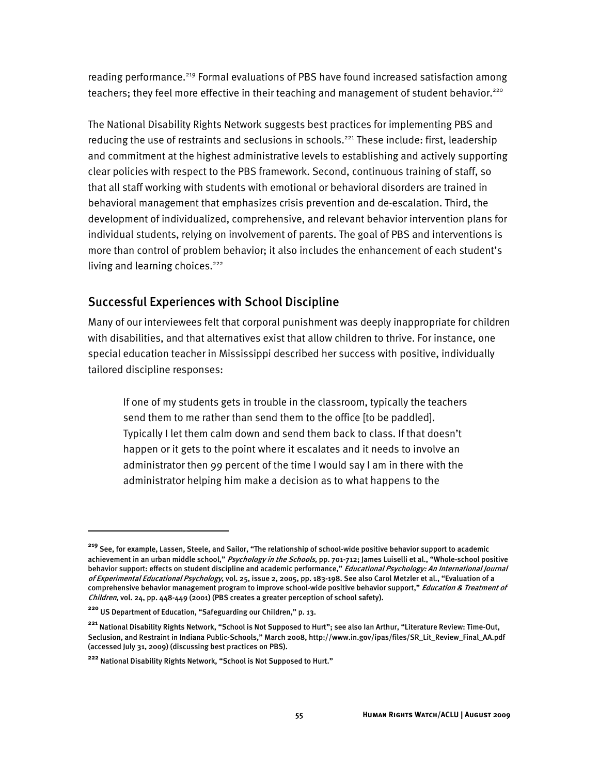reading performance.<sup>219</sup> Formal evaluations of PBS have found increased satisfaction among teachers; they feel more effective in their teaching and management of student behavior.<sup>220</sup>

The National Disability Rights Network suggests best practices for implementing PBS and reducing the use of restraints and seclusions in schools.<sup>221</sup> These include: first, leadership and commitment at the highest administrative levels to establishing and actively supporting clear policies with respect to the PBS framework. Second, continuous training of staff, so that all staff working with students with emotional or behavioral disorders are trained in behavioral management that emphasizes crisis prevention and de-escalation. Third, the development of individualized, comprehensive, and relevant behavior intervention plans for individual students, relying on involvement of parents. The goal of PBS and interventions is more than control of problem behavior; it also includes the enhancement of each student's living and learning choices.<sup>222</sup>

## Successful Experiences with School Discipline

Many of our interviewees felt that corporal punishment was deeply inappropriate for children with disabilities, and that alternatives exist that allow children to thrive. For instance, one special education teacher in Mississippi described her success with positive, individually tailored discipline responses:

If one of my students gets in trouble in the classroom, typically the teachers send them to me rather than send them to the office [to be paddled]. Typically I let them calm down and send them back to class. If that doesn't happen or it gets to the point where it escalates and it needs to involve an administrator then 99 percent of the time I would say I am in there with the administrator helping him make a decision as to what happens to the

**<sup>219</sup>** See, for example, Lassen, Steele, and Sailor, "The relationship of school-wide positive behavior support to academic achievement in an urban middle school," Psychology in the Schools, pp. 701-712; James Luiselli et al., "Whole-school positive behavior support: effects on student discipline and academic performance," Educational Psychology: An International Journal of Experimental Educational Psychology, vol. 25, issue 2, 2005, pp. 183-198. See also Carol Metzler et al., "Evaluation of a comprehensive behavior management program to improve school-wide positive behavior support," Education & Treatment of Children, vol. 24, pp. 448-449 (2001) (PBS creates a greater perception of school safety).

**<sup>220</sup>** US Department of Education, "Safeguarding our Children," p. 13.

**<sup>221</sup>** National Disability Rights Network, "School is Not Supposed to Hurt"; see also Ian Arthur, "Literature Review: Time-Out, Seclusion, and Restraint in Indiana Public-Schools," March 2008, http://www.in.gov/ipas/files/SR\_Lit\_Review\_Final\_AA.pdf (accessed July 31, 2009) (discussing best practices on PBS).

**<sup>222</sup>** National Disability Rights Network, "School is Not Supposed to Hurt."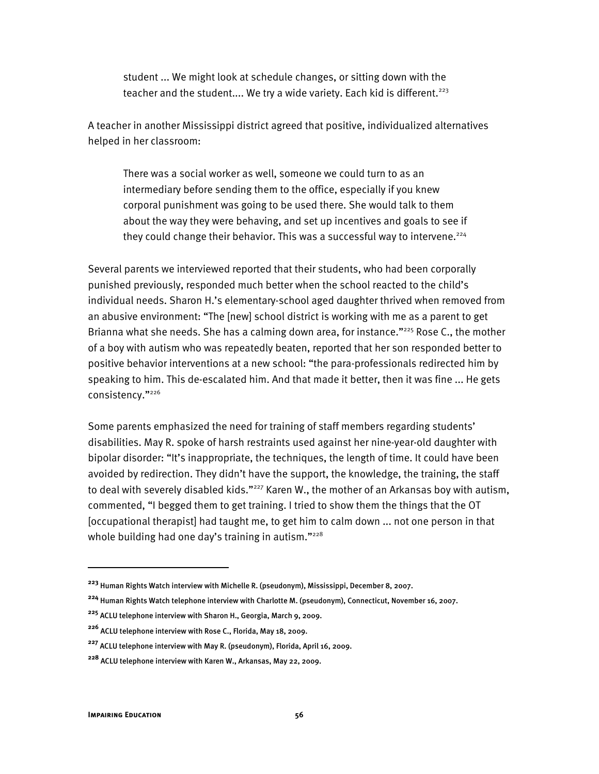student ... We might look at schedule changes, or sitting down with the teacher and the student.... We try a wide variety. Each kid is different.<sup>223</sup>

A teacher in another Mississippi district agreed that positive, individualized alternatives helped in her classroom:

There was a social worker as well, someone we could turn to as an intermediary before sending them to the office, especially if you knew corporal punishment was going to be used there. She would talk to them about the way they were behaving, and set up incentives and goals to see if they could change their behavior. This was a successful way to intervene.<sup>224</sup>

Several parents we interviewed reported that their students, who had been corporally punished previously, responded much better when the school reacted to the child's individual needs. Sharon H.'s elementary-school aged daughter thrived when removed from an abusive environment: "The [new] school district is working with me as a parent to get Brianna what she needs. She has a calming down area, for instance."<sup>225</sup> Rose C., the mother of a boy with autism who was repeatedly beaten, reported that her son responded better to positive behavior interventions at a new school: "the para-professionals redirected him by speaking to him. This de-escalated him. And that made it better, then it was fine ... He gets consistency."226

Some parents emphasized the need for training of staff members regarding students' disabilities. May R. spoke of harsh restraints used against her nine-year-old daughter with bipolar disorder: "It's inappropriate, the techniques, the length of time. It could have been avoided by redirection. They didn't have the support, the knowledge, the training, the staff to deal with severely disabled kids."<sup>227</sup> Karen W., the mother of an Arkansas boy with autism, commented, "I begged them to get training. I tried to show them the things that the OT [occupational therapist] had taught me, to get him to calm down ... not one person in that whole building had one day's training in autism." $228$ 

I

**<sup>223</sup>** Human Rights Watch interview with Michelle R. (pseudonym), Mississippi, December 8, 2007.

**<sup>224</sup>** Human Rights Watch telephone interview with Charlotte M. (pseudonym), Connecticut, November 16, 2007.

**<sup>225</sup>** ACLU telephone interview with Sharon H., Georgia, March 9, 2009.

**<sup>226</sup>** ACLU telephone interview with Rose C., Florida, May 18, 2009.

**<sup>227</sup>** ACLU telephone interview with May R. (pseudonym), Florida, April 16, 2009.

**<sup>228</sup>** ACLU telephone interview with Karen W., Arkansas, May 22, 2009.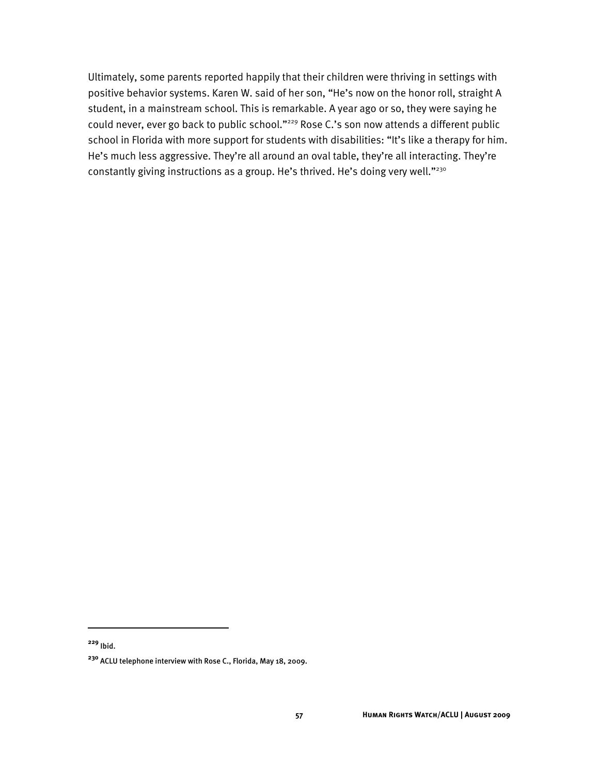Ultimately, some parents reported happily that their children were thriving in settings with positive behavior systems. Karen W. said of her son, "He's now on the honor roll, straight A student, in a mainstream school. This is remarkable. A year ago or so, they were saying he could never, ever go back to public school."<sup>229</sup> Rose C.'s son now attends a different public school in Florida with more support for students with disabilities: "It's like a therapy for him. He's much less aggressive. They're all around an oval table, they're all interacting. They're constantly giving instructions as a group. He's thrived. He's doing very well."<sup>230</sup>

j

**<sup>229</sup>** Ibid.

**<sup>230</sup>** ACLU telephone interview with Rose C., Florida, May 18, 2009.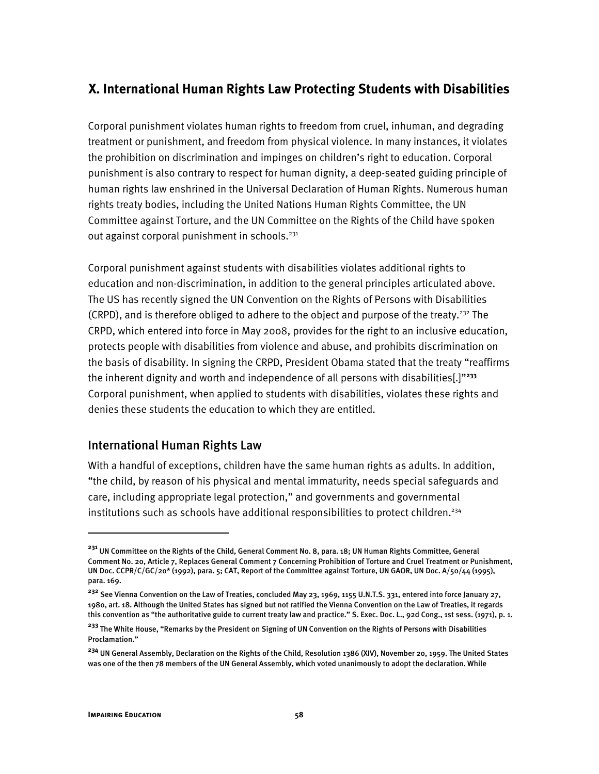# **X. International Human Rights Law Protecting Students with Disabilities**

Corporal punishment violates human rights to freedom from cruel, inhuman, and degrading treatment or punishment, and freedom from physical violence. In many instances, it violates the prohibition on discrimination and impinges on children's right to education. Corporal punishment is also contrary to respect for human dignity, a deep-seated guiding principle of human rights law enshrined in the Universal Declaration of Human Rights. Numerous human rights treaty bodies, including the United Nations Human Rights Committee, the UN Committee against Torture, and the UN Committee on the Rights of the Child have spoken out against corporal punishment in schools.<sup>231</sup>

Corporal punishment against students with disabilities violates additional rights to education and non-discrimination, in addition to the general principles articulated above. The US has recently signed the UN Convention on the Rights of Persons with Disabilities (CRPD), and is therefore obliged to adhere to the object and purpose of the treaty.<sup>232</sup> The CRPD, which entered into force in May 2008, provides for the right to an inclusive education, protects people with disabilities from violence and abuse, and prohibits discrimination on the basis of disability. In signing the CRPD, President Obama stated that the treaty "reaffirms the inherent dignity and worth and independence of all persons with disabilities[.]"**<sup>233</sup>** Corporal punishment, when applied to students with disabilities, violates these rights and denies these students the education to which they are entitled.

## International Human Rights Law

With a handful of exceptions, children have the same human rights as adults. In addition, "the child, by reason of his physical and mental immaturity, needs special safeguards and care, including appropriate legal protection," and governments and governmental institutions such as schools have additional responsibilities to protect children.<sup>234</sup>

**<sup>231</sup>** UN Committee on the Rights of the Child, General Comment No. 8, para. 18; UN Human Rights Committee, General Comment No. 20, Article 7, Replaces General Comment 7 Concerning Prohibition of Torture and Cruel Treatment or Punishment, UN Doc. CCPR/C/GC/20\* (1992), para. 5; CAT, Report of the Committee against Torture, UN GAOR, UN Doc. A/50/44 (1995), para. 169.

<sup>&</sup>lt;sup>232</sup> See Vienna Convention on the Law of Treaties, concluded May 23, 1969, 1155 U.N.T.S. 331, entered into force January 27, 1980, art. 18. Although the United States has signed but not ratified the Vienna Convention on the Law of Treaties, it regards this convention as "the authoritative guide to current treaty law and practice." S. Exec. Doc. L., 92d Cong., 1st sess. (1971), p. 1.

**<sup>233</sup>** The White House, "Remarks by the President on Signing of UN Convention on the Rights of Persons with Disabilities Proclamation."

**<sup>234</sup>** UN General Assembly, Declaration on the Rights of the Child, Resolution 1386 (XIV), November 20, 1959. The United States was one of the then 78 members of the UN General Assembly, which voted unanimously to adopt the declaration. While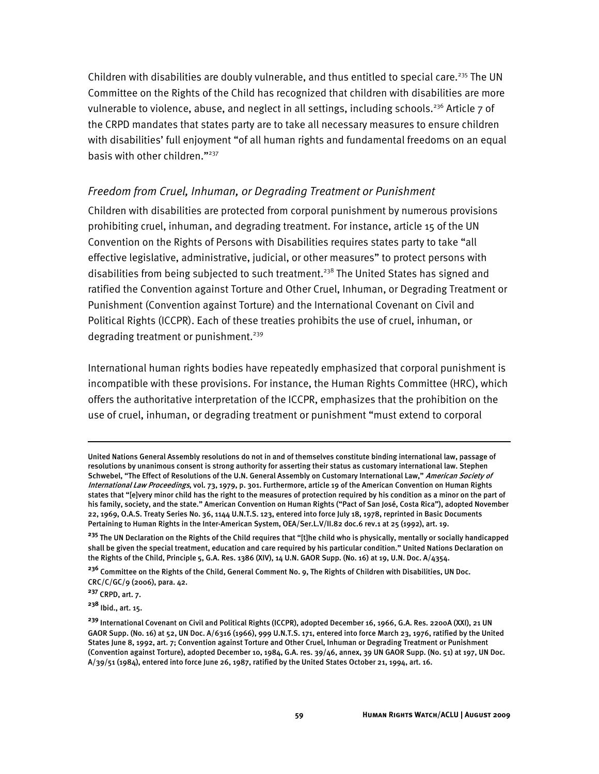Children with disabilities are doubly vulnerable, and thus entitled to special care.<sup>235</sup> The UN Committee on the Rights of the Child has recognized that children with disabilities are more vulnerable to violence, abuse, and neglect in all settings, including schools.<sup>236</sup> Article  $7$  of the CRPD mandates that states party are to take all necessary measures to ensure children with disabilities' full enjoyment "of all human rights and fundamental freedoms on an equal basis with other children."<sup>237</sup>

### *Freedom from Cruel, Inhuman, or Degrading Treatment or Punishment*

Children with disabilities are protected from corporal punishment by numerous provisions prohibiting cruel, inhuman, and degrading treatment. For instance, article 15 of the UN Convention on the Rights of Persons with Disabilities requires states party to take "all effective legislative, administrative, judicial, or other measures" to protect persons with disabilities from being subjected to such treatment.<sup>238</sup> The United States has signed and ratified the Convention against Torture and Other Cruel, Inhuman, or Degrading Treatment or Punishment (Convention against Torture) and the International Covenant on Civil and Political Rights (ICCPR). Each of these treaties prohibits the use of cruel, inhuman, or degrading treatment or punishment.<sup>239</sup>

International human rights bodies have repeatedly emphasized that corporal punishment is incompatible with these provisions. For instance, the Human Rights Committee (HRC), which offers the authoritative interpretation of the ICCPR, emphasizes that the prohibition on the use of cruel, inhuman, or degrading treatment or punishment "must extend to corporal

**<sup>236</sup>** Committee on the Rights of the Child, General Comment No. 9, The Rights of Children with Disabilities, UN Doc. CRC/C/GC/9 (2006), para. 42.

**<sup>237</sup>** CRPD, art. 7.

I

**<sup>238</sup>** Ibid., art. 15.

United Nations General Assembly resolutions do not in and of themselves constitute binding international law, passage of resolutions by unanimous consent is strong authority for asserting their status as customary international law. Stephen Schwebel, "The Effect of Resolutions of the U.N. General Assembly on Customary International Law," American Society of International Law Proceedings, vol. 73, 1979, p. 301. Furthermore, article 19 of the American Convention on Human Rights states that "[e]very minor child has the right to the measures of protection required by his condition as a minor on the part of his family, society, and the state." American Convention on Human Rights ("Pact of San José, Costa Rica"), adopted November 22, 1969, O.A.S. Treaty Series No. 36, 1144 U.N.T.S. 123, entered into force July 18, 1978, reprinted in Basic Documents Pertaining to Human Rights in the Inter-American System, OEA/Ser.L.V/II.82 doc.6 rev.1 at 25 (1992), art. 19.

**<sup>235</sup>** The UN Declaration on the Rights of the Child requires that "[t]he child who is physically, mentally or socially handicapped shall be given the special treatment, education and care required by his particular condition." United Nations Declaration on the Rights of the Child, Principle 5, G.A. Res. 1386 (XIV), 14 U.N. GAOR Supp. (No. 16) at 19, U.N. Doc. A/4354.

**<sup>239</sup>** International Covenant on Civil and Political Rights (ICCPR), adopted December 16, 1966, G.A. Res. 2200A (XXI), 21 UN GAOR Supp. (No. 16) at 52, UN Doc. A/6316 (1966), 999 U.N.T.S. 171, entered into force March 23, 1976, ratified by the United States June 8, 1992, art. 7; Convention against Torture and Other Cruel, Inhuman or Degrading Treatment or Punishment (Convention against Torture), adopted December 10, 1984, G.A. res. 39/46, annex, 39 UN GAOR Supp. (No. 51) at 197, UN Doc. A/39/51 (1984), entered into force June 26, 1987, ratified by the United States October 21, 1994, art. 16.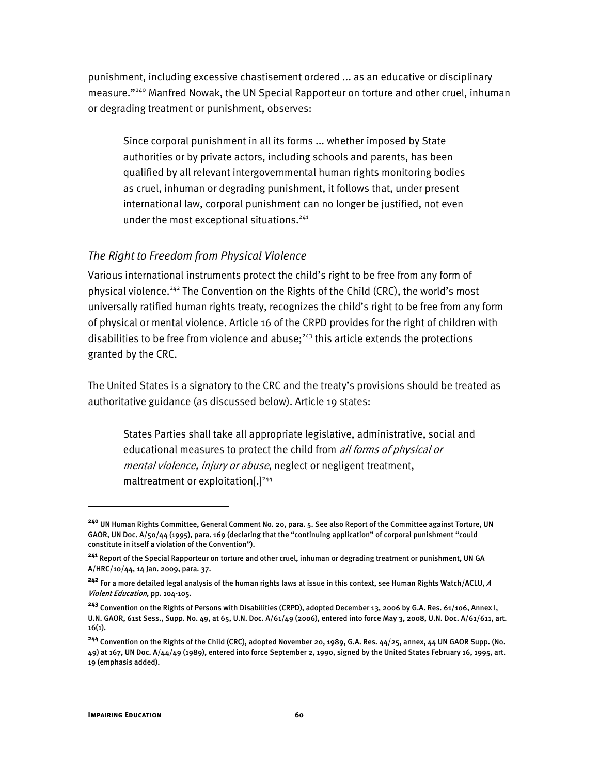punishment, including excessive chastisement ordered ... as an educative or disciplinary measure."240 Manfred Nowak, the UN Special Rapporteur on torture and other cruel, inhuman or degrading treatment or punishment, observes:

Since corporal punishment in all its forms ... whether imposed by State authorities or by private actors, including schools and parents, has been qualified by all relevant intergovernmental human rights monitoring bodies as cruel, inhuman or degrading punishment, it follows that, under present international law, corporal punishment can no longer be justified, not even under the most exceptional situations.<sup>241</sup>

#### *The Right to Freedom from Physical Violence*

Various international instruments protect the child's right to be free from any form of physical violence.<sup>242</sup> The Convention on the Rights of the Child (CRC), the world's most universally ratified human rights treaty, recognizes the child's right to be free from any form of physical or mental violence. Article 16 of the CRPD provides for the right of children with disabilities to be free from violence and abuse; $^{243}$  this article extends the protections granted by the CRC.

The United States is a signatory to the CRC and the treaty's provisions should be treated as authoritative guidance (as discussed below). Article 19 states:

States Parties shall take all appropriate legislative, administrative, social and educational measures to protect the child from all forms of physical or mental violence, injury or abuse, neglect or negligent treatment, maltreatment or exploitation $[.]^{244}$ 

**<sup>240</sup>** UN Human Rights Committee, General Comment No. 20, para. 5. See also Report of the Committee against Torture, UN GAOR, UN Doc. A/50/44 (1995), para. 169 (declaring that the "continuing application" of corporal punishment "could constitute in itself a violation of the Convention").

**<sup>241</sup>** Report of the Special Rapporteur on torture and other cruel, inhuman or degrading treatment or punishment, UN GA A/HRC/10/44, 14 Jan. 2009, para. 37.

**<sup>242</sup>** For a more detailed legal analysis of the human rights laws at issue in this context, see Human Rights Watch/ACLU, <sup>A</sup> Violent Education, pp. 104-105.

**<sup>243</sup>** Convention on the Rights of Persons with Disabilities (CRPD), adopted December 13, 2006 by G.A. Res. 61/106, Annex I, U.N. GAOR, 61st Sess., Supp. No. 49, at 65, U.N. Doc. A/61/49 (2006), entered into force May 3, 2008, U.N. Doc. A/61/611, art. 16(1).

**<sup>244</sup>** Convention on the Rights of the Child (CRC), adopted November 20, 1989, G.A. Res. 44/25, annex, 44 UN GAOR Supp. (No.  $49$ ) at 167, UN Doc. A/ $44/49$  (1989), entered into force September 2, 1990, signed by the United States February 16, 1995, art. 19 (emphasis added).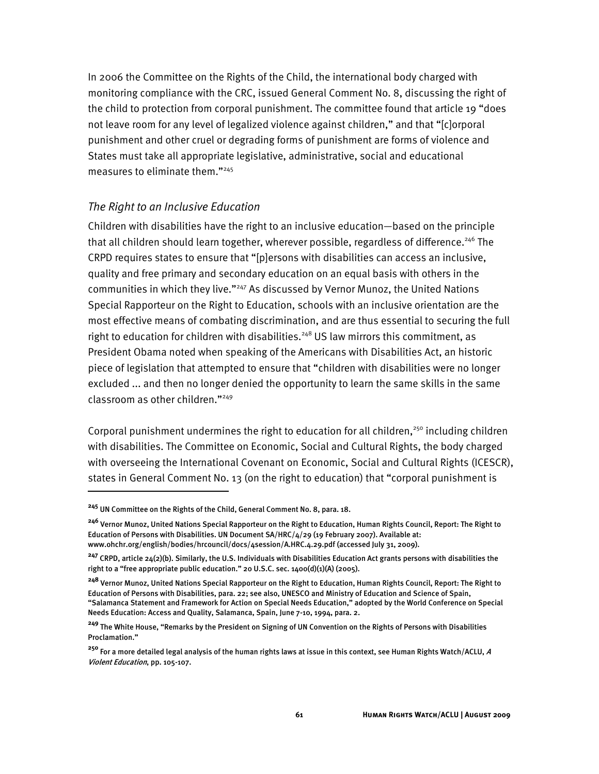In 2006 the Committee on the Rights of the Child, the international body charged with monitoring compliance with the CRC, issued General Comment No. 8, discussing the right of the child to protection from corporal punishment. The committee found that article 19 "does not leave room for any level of legalized violence against children," and that "[c]orporal punishment and other cruel or degrading forms of punishment are forms of violence and States must take all appropriate legislative, administrative, social and educational measures to eliminate them."245

#### *The Right to an Inclusive Education*

Children with disabilities have the right to an inclusive education—based on the principle that all children should learn together, wherever possible, regardless of difference.<sup>246</sup> The CRPD requires states to ensure that "[p]ersons with disabilities can access an inclusive, quality and free primary and secondary education on an equal basis with others in the communities in which they live."<sup>247</sup> As discussed by Vernor Munoz, the United Nations Special Rapporteur on the Right to Education, schools with an inclusive orientation are the most effective means of combating discrimination, and are thus essential to securing the full right to education for children with disabilities.<sup>248</sup> US law mirrors this commitment, as President Obama noted when speaking of the Americans with Disabilities Act, an historic piece of legislation that attempted to ensure that "children with disabilities were no longer excluded ... and then no longer denied the opportunity to learn the same skills in the same classroom as other children."249

Corporal punishment undermines the right to education for all children,<sup>250</sup> including children with disabilities. The Committee on Economic, Social and Cultural Rights, the body charged with overseeing the International Covenant on Economic, Social and Cultural Rights (ICESCR), states in General Comment No. 13 (on the right to education) that "corporal punishment is

j

**<sup>245</sup>** UN Committee on the Rights of the Child, General Comment No. 8, para. 18.

**<sup>246</sup>** Vernor Munoz, United Nations Special Rapporteur on the Right to Education, Human Rights Council, Report: The Right to Education of Persons with Disabilities. UN Document SA/HRC/4/29 (19 February 2007). Available at: www.ohchr.org/english/bodies/hrcouncil/docs/4session/A.HRC.4.29.pdf (accessed July 31, 2009).

**<sup>247</sup>** CRPD, article 24(2)(b). Similarly, the U.S. Individuals with Disabilities Education Act grants persons with disabilities the right to a "free appropriate public education." 20 U.S.C. sec. 1400(d)(1)(A) (2005).

**<sup>248</sup>** Vernor Munoz, United Nations Special Rapporteur on the Right to Education, Human Rights Council, Report: The Right to Education of Persons with Disabilities, para. 22; see also, UNESCO and Ministry of Education and Science of Spain, "Salamanca Statement and Framework for Action on Special Needs Education," adopted by the World Conference on Special Needs Education: Access and Quality, Salamanca, Spain, June 7-10, 1994, para. 2.

**<sup>249</sup>** The White House, "Remarks by the President on Signing of UN Convention on the Rights of Persons with Disabilities Proclamation."

**<sup>250</sup>** For a more detailed legal analysis of the human rights laws at issue in this context, see Human Rights Watch/ACLU, <sup>A</sup> Violent Education, pp. 105-107.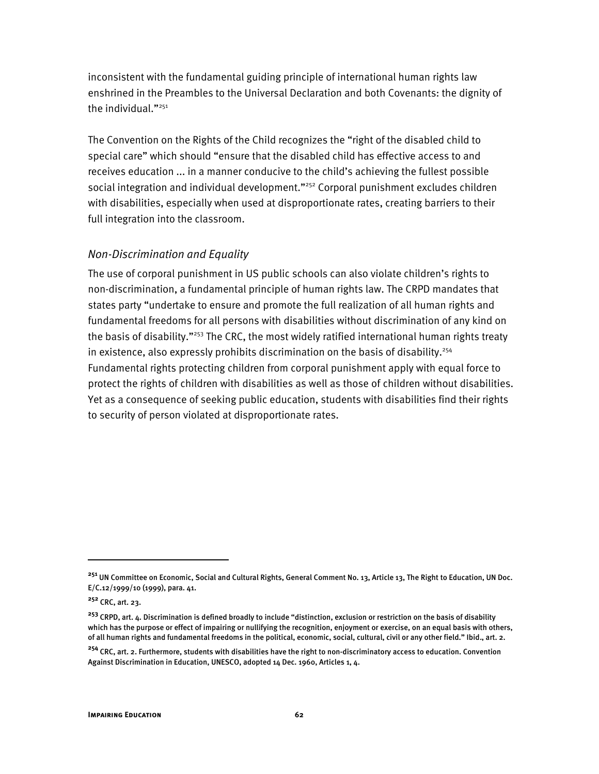inconsistent with the fundamental guiding principle of international human rights law enshrined in the Preambles to the Universal Declaration and both Covenants: the dignity of the individual."<sup>251</sup>

The Convention on the Rights of the Child recognizes the "right of the disabled child to special care" which should "ensure that the disabled child has effective access to and receives education ... in a manner conducive to the child's achieving the fullest possible social integration and individual development."<sup>252</sup> Corporal punishment excludes children with disabilities, especially when used at disproportionate rates, creating barriers to their full integration into the classroom.

### *Non-Discrimination and Equality*

The use of corporal punishment in US public schools can also violate children's rights to non-discrimination, a fundamental principle of human rights law. The CRPD mandates that states party "undertake to ensure and promote the full realization of all human rights and fundamental freedoms for all persons with disabilities without discrimination of any kind on the basis of disability."<sup>253</sup> The CRC, the most widely ratified international human rights treaty in existence, also expressly prohibits discrimination on the basis of disability.<sup>254</sup> Fundamental rights protecting children from corporal punishment apply with equal force to protect the rights of children with disabilities as well as those of children without disabilities. Yet as a consequence of seeking public education, students with disabilities find their rights to security of person violated at disproportionate rates.

**<sup>251</sup>** UN Committee on Economic, Social and Cultural Rights, General Comment No. 13, Article 13, The Right to Education, UN Doc. E/C.12/1999/10 (1999), para. 41.

**<sup>252</sup>** CRC, art. 23.

**<sup>253</sup>** CRPD, art. 4. Discrimination is defined broadly to include "distinction, exclusion or restriction on the basis of disability which has the purpose or effect of impairing or nullifying the recognition, enjoyment or exercise, on an equal basis with others, of all human rights and fundamental freedoms in the political, economic, social, cultural, civil or any other field." Ibid., art. 2.

**<sup>254</sup>** CRC, art. 2. Furthermore, students with disabilities have the right to non-discriminatory access to education. Convention Against Discrimination in Education, UNESCO, adopted 14 Dec. 1960, Articles 1, 4.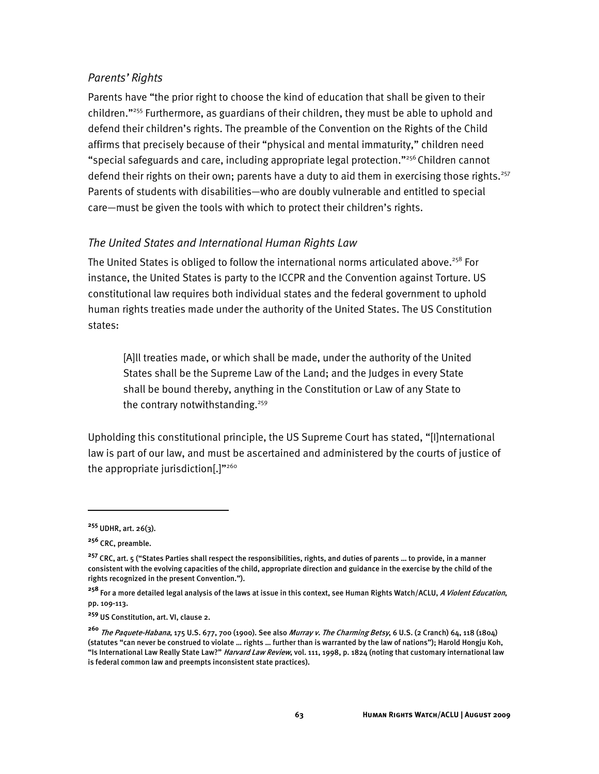### *Parents' Rights*

Parents have "the prior right to choose the kind of education that shall be given to their children."255 Furthermore, as guardians of their children, they must be able to uphold and defend their children's rights. The preamble of the Convention on the Rights of the Child affirms that precisely because of their "physical and mental immaturity," children need "special safeguards and care, including appropriate legal protection."256 Children cannot defend their rights on their own; parents have a duty to aid them in exercising those rights.<sup>257</sup> Parents of students with disabilities—who are doubly vulnerable and entitled to special care—must be given the tools with which to protect their children's rights.

## *The United States and International Human Rights Law*

The United States is obliged to follow the international norms articulated above.<sup>258</sup> For instance, the United States is party to the ICCPR and the Convention against Torture. US constitutional law requires both individual states and the federal government to uphold human rights treaties made under the authority of the United States. The US Constitution states:

[A]ll treaties made, or which shall be made, under the authority of the United States shall be the Supreme Law of the Land; and the Judges in every State shall be bound thereby, anything in the Constitution or Law of any State to the contrary notwithstanding.<sup>259</sup>

Upholding this constitutional principle, the US Supreme Court has stated, "[I]nternational law is part of our law, and must be ascertained and administered by the courts of justice of the appropriate jurisdiction[.]"<sup>260</sup>

I

**<sup>255</sup>** UDHR, art. 26(3).

**<sup>256</sup>** CRC, preamble.

**<sup>257</sup>** CRC, art. 5 ("States Parties shall respect the responsibilities, rights, and duties of parents … to provide, in a manner consistent with the evolving capacities of the child, appropriate direction and guidance in the exercise by the child of the rights recognized in the present Convention.").

**<sup>258</sup>** For a more detailed legal analysis of the laws at issue in this context, see Human Rights Watch/ACLU, A Violent Education, pp. 109-113.

**<sup>259</sup>** US Constitution, art. VI, clause 2.

**<sup>260</sup>** The Paquete-Habana, 175 U.S. 677, 700 (1900). See also Murray v. The Charming Betsy, 6 U.S. (2 Cranch) 64, 118 (1804) (statutes "can never be construed to violate … rights … further than is warranted by the law of nations"); Harold Hongju Koh, "Is International Law Really State Law?" *Harvard Law Review*, vol. 111, 1998, p. 1824 (noting that customary international law is federal common law and preempts inconsistent state practices).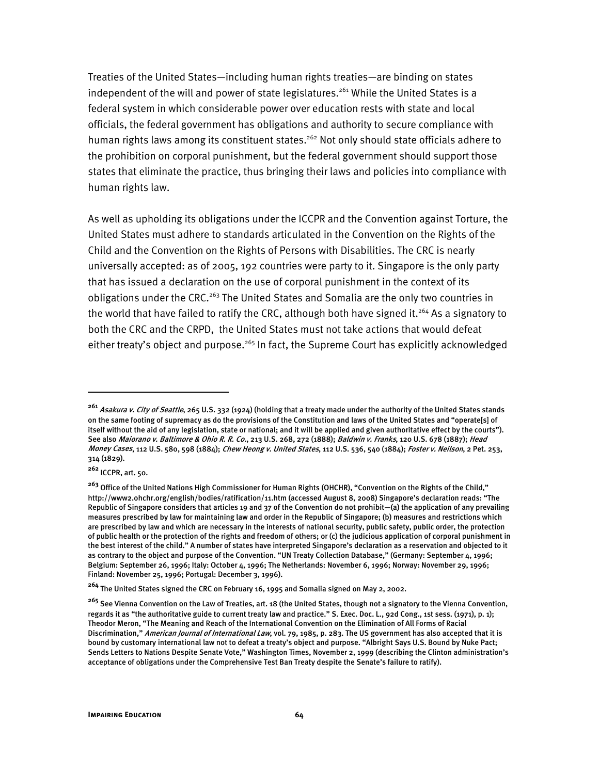Treaties of the United States—including human rights treaties—are binding on states independent of the will and power of state legislatures.<sup>261</sup> While the United States is a federal system in which considerable power over education rests with state and local officials, the federal government has obligations and authority to secure compliance with human rights laws among its constituent states.<sup>262</sup> Not only should state officials adhere to the prohibition on corporal punishment, but the federal government should support those states that eliminate the practice, thus bringing their laws and policies into compliance with human rights law.

As well as upholding its obligations under the ICCPR and the Convention against Torture, the United States must adhere to standards articulated in the Convention on the Rights of the Child and the Convention on the Rights of Persons with Disabilities. The CRC is nearly universally accepted: as of 2005, 192 countries were party to it. Singapore is the only party that has issued a declaration on the use of corporal punishment in the context of its obligations under the CRC.<sup>263</sup> The United States and Somalia are the only two countries in the world that have failed to ratify the CRC, although both have signed it.<sup>264</sup> As a signatory to both the CRC and the CRPD, the United States must not take actions that would defeat either treaty's object and purpose.<sup>265</sup> In fact, the Supreme Court has explicitly acknowledged

1

**<sup>261</sup>** Asakura v. City of Seattle, 265 U.S. 332 (1924) (holding that a treaty made under the authority of the United States stands on the same footing of supremacy as do the provisions of the Constitution and laws of the United States and "operate[s] of itself without the aid of any legislation, state or national; and it will be applied and given authoritative effect by the courts"). See also Maiorano v. Baltimore & Ohio R. R. Co., 213 U.S. 268, 272 (1888); Baldwin v. Franks, 120 U.S. 678 (1887); Head Money Cases, 112 U.S. 580, 598 (1884); Chew Heong v. United States, 112 U.S. 536, 540 (1884); Foster v. Neilson, 2 Pet. 253, 314 (1829).

**<sup>262</sup>** ICCPR, art. 50.

**<sup>263</sup>** Office of the United Nations High Commissioner for Human Rights (OHCHR), "Convention on the Rights of the Child," http://www2.ohchr.org/english/bodies/ratification/11.htm (accessed August 8, 2008) Singapore's declaration reads: "The Republic of Singapore considers that articles 19 and 37 of the Convention do not prohibit—(a) the application of any prevailing measures prescribed by law for maintaining law and order in the Republic of Singapore; (b) measures and restrictions which are prescribed by law and which are necessary in the interests of national security, public safety, public order, the protection of public health or the protection of the rights and freedom of others; or (c) the judicious application of corporal punishment in the best interest of the child." A number of states have interpreted Singapore's declaration as a reservation and objected to it as contrary to the object and purpose of the Convention. "UN Treaty Collection Database," (Germany: September 4, 1996; Belgium: September 26, 1996; Italy: October 4, 1996; The Netherlands: November 6, 1996; Norway: November 29, 1996; Finland: November 25, 1996; Portugal: December 3, 1996).

**<sup>264</sup>** The United States signed the CRC on February 16, 1995 and Somalia signed on May 2, 2002.

**<sup>265</sup>** See Vienna Convention on the Law of Treaties, art. 18 (the United States, though not a signatory to the Vienna Convention, regards it as "the authoritative guide to current treaty law and practice." S. Exec. Doc. L., 92d Cong., 1st sess. (1971), p. 1); Theodor Meron, "The Meaning and Reach of the International Convention on the Elimination of All Forms of Racial Discrimination," American Journal of International Law, vol. 79, 1985, p. 283. The US government has also accepted that it is bound by customary international law not to defeat a treaty's object and purpose. "Albright Says U.S. Bound by Nuke Pact; Sends Letters to Nations Despite Senate Vote," Washington Times, November 2, 1999 (describing the Clinton administration's acceptance of obligations under the Comprehensive Test Ban Treaty despite the Senate's failure to ratify).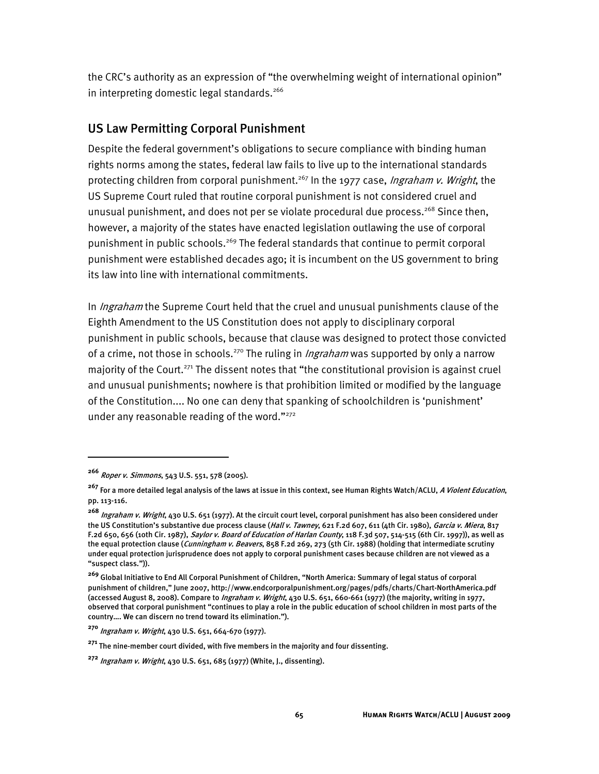the CRC's authority as an expression of "the overwhelming weight of international opinion" in interpreting domestic legal standards.<sup>266</sup>

## US Law Permitting Corporal Punishment

Despite the federal government's obligations to secure compliance with binding human rights norms among the states, federal law fails to live up to the international standards protecting children from corporal punishment.<sup>267</sup> In the 1977 case, *Ingraham v. Wright*, the US Supreme Court ruled that routine corporal punishment is not considered cruel and unusual punishment, and does not per se violate procedural due process.<sup>268</sup> Since then, however, a majority of the states have enacted legislation outlawing the use of corporal punishment in public schools.<sup>269</sup> The federal standards that continue to permit corporal punishment were established decades ago; it is incumbent on the US government to bring its law into line with international commitments.

In *Ingraham* the Supreme Court held that the cruel and unusual punishments clause of the Eighth Amendment to the US Constitution does not apply to disciplinary corporal punishment in public schools, because that clause was designed to protect those convicted of a crime, not those in schools.<sup>270</sup> The ruling in *Ingraham* was supported by only a narrow majority of the Court.<sup>271</sup> The dissent notes that "the constitutional provision is against cruel and unusual punishments; nowhere is that prohibition limited or modified by the language of the Constitution.... No one can deny that spanking of schoolchildren is 'punishment' under any reasonable reading of the word."<sup>272</sup>

j

**<sup>266</sup>** Roper v. Simmons, 543 U.S. 551, 578 (2005).

<sup>&</sup>lt;sup>267</sup> For a more detailed legal analysis of the laws at issue in this context, see Human Rights Watch/ACLU, *A Violent Education*, pp. 113-116.

**<sup>268</sup>** Ingraham v. Wright, 430 U.S. 651 (1977). At the circuit court level, corporal punishment has also been considered under the US Constitution's substantive due process clause (Hall v. Tawney, 621 F.2d 607, 611 (4th Cir. 1980), Garcia v. Miera, 817 F.2d 650, 656 (10th Cir. 1987), Saylor v. Board of Education of Harlan County, 118 F.3d 507, 514-515 (6th Cir. 1997)), as well as the equal protection clause (*Cunningham v. Beavers*, 858 F.2d 269, 273 (5th Cir. 1988) (holding that intermediate scrutiny under equal protection jurisprudence does not apply to corporal punishment cases because children are not viewed as a "suspect class.")).

**<sup>269</sup>** Global Initiative to End All Corporal Punishment of Children, "North America: Summary of legal status of corporal punishment of children," June 2007, http://www.endcorporalpunishment.org/pages/pdfs/charts/Chart-NorthAmerica.pdf (accessed August 8, 2008). Compare to Ingraham v. Wright, 430 U.S. 651, 660-661 (1977) (the majority, writing in 1977, observed that corporal punishment "continues to play a role in the public education of school children in most parts of the country…. We can discern no trend toward its elimination.").

**<sup>270</sup>** Ingraham v. Wright, 430 U.S. 651, 664-670 (1977).

**<sup>271</sup>** The nine-member court divided, with five members in the majority and four dissenting.

**<sup>272</sup>** Ingraham v. Wright, 430 U.S. 651, 685 (1977) (White, J., dissenting).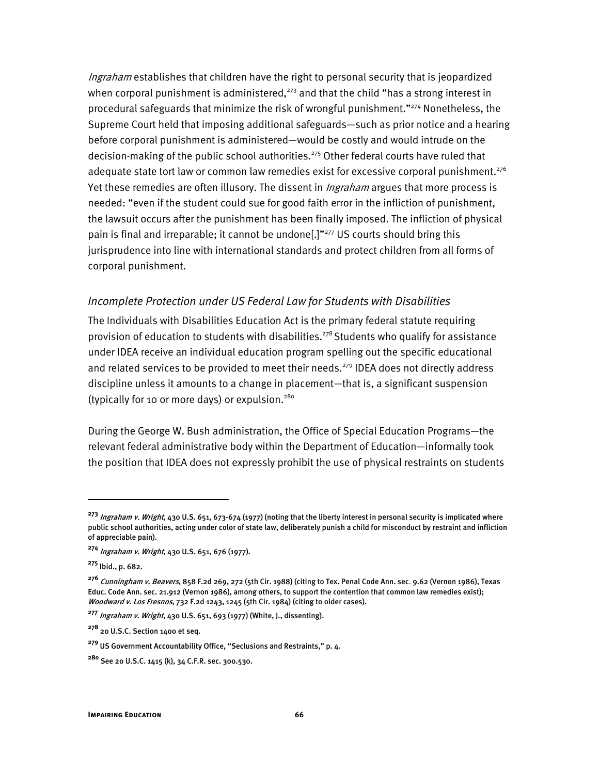Ingraham establishes that children have the right to personal security that is jeopardized when corporal punishment is administered, $^{273}$  and that the child "has a strong interest in procedural safeguards that minimize the risk of wrongful punishment."274 Nonetheless, the Supreme Court held that imposing additional safeguards—such as prior notice and a hearing before corporal punishment is administered—would be costly and would intrude on the decision-making of the public school authorities.<sup>275</sup> Other federal courts have ruled that adequate state tort law or common law remedies exist for excessive corporal punishment.<sup>276</sup> Yet these remedies are often illusory. The dissent in *Ingraham* argues that more process is needed: "even if the student could sue for good faith error in the infliction of punishment, the lawsuit occurs after the punishment has been finally imposed. The infliction of physical pain is final and irreparable; it cannot be undone<sup>[1]"277</sup> US courts should bring this jurisprudence into line with international standards and protect children from all forms of corporal punishment.

#### *Incomplete Protection under US Federal Law for Students with Disabilities*

The Individuals with Disabilities Education Act is the primary federal statute requiring provision of education to students with disabilities.<sup>278</sup> Students who qualify for assistance under IDEA receive an individual education program spelling out the specific educational and related services to be provided to meet their needs.<sup>279</sup> IDEA does not directly address discipline unless it amounts to a change in placement—that is, a significant suspension (typically for 10 or more days) or expulsion.<sup>280</sup>

During the George W. Bush administration, the Office of Special Education Programs—the relevant federal administrative body within the Department of Education—informally took the position that IDEA does not expressly prohibit the use of physical restraints on students

**<sup>273</sup>** Ingraham v. Wright, 430 U.S. 651, 673-674 (1977) (noting that the liberty interest in personal security is implicated where public school authorities, acting under color of state law, deliberately punish a child for misconduct by restraint and infliction of appreciable pain).

**<sup>274</sup>** Ingraham v. Wright, 430 U.S. 651, 676 (1977).

**<sup>275</sup>** Ibid., p. 682.

**<sup>276</sup>** Cunningham v. Beavers, 858 F.2d 269, 272 (5th Cir. 1988) (citing to Tex. Penal Code Ann. sec. 9.62 (Vernon 1986), Texas Educ. Code Ann. sec. 21.912 (Vernon 1986), among others, to support the contention that common law remedies exist); Woodward v. Los Fresnos, 732 F.2d 1243, 1245 (5th Cir. 1984) (citing to older cases).

**<sup>277</sup>** Ingraham v. Wright, 430 U.S. 651, 693 (1977) (White, J., dissenting).

**<sup>278</sup>** 20 U.S.C. Section 1400 et seq.

**<sup>279</sup>** US Government Accountability Office, "Seclusions and Restraints," p. 4.

**<sup>280</sup>** See 20 U.S.C. 1415 (k), 34 C.F.R. sec. 300.530.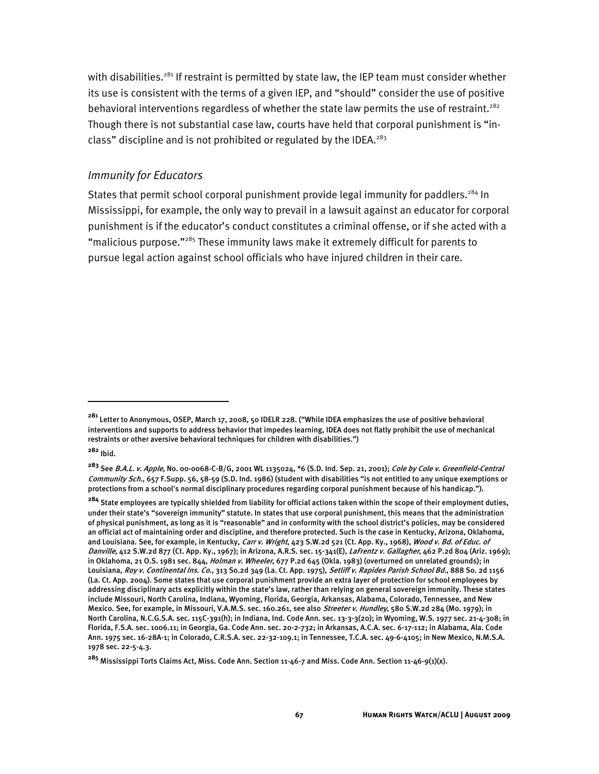with disabilities.<sup>281</sup> If restraint is permitted by state law, the IEP team must consider whether its use is consistent with the terms of a given IEP, and "should" consider the use of positive behavioral interventions regardless of whether the state law permits the use of restraint.<sup>282</sup> Though there is not substantial case law, courts have held that corporal punishment is "inclass" discipline and is not prohibited or regulated by the IDEA.<sup>283</sup>

#### *Immunity for Educators*

States that permit school corporal punishment provide legal immunity for paddlers.<sup>284</sup> In Mississippi, for example, the only way to prevail in a lawsuit against an educator for corporal punishment is if the educator's conduct constitutes a criminal offense, or if she acted with a "malicious purpose."<sup>285</sup> These immunity laws make it extremely difficult for parents to pursue legal action against school officials who have injured children in their care.

**<sup>281</sup>** Letter to Anonymous, OSEP, March 17, 2008, 50 IDELR 228. ("While IDEA emphasizes the use of positive behavioral interventions and supports to address behavior that impedes learning, IDEA does not flatly prohibit the use of mechanical restraints or other aversive behavioral techniques for children with disabilities.")

**<sup>282</sup>** Ibid.

**<sup>283</sup>** See B.A.L. v. Apple, No. 00-0068-C-B/G, 2001 WL 1135024, \*6 (S.D. Ind. Sep. 21, 2001); Cole by Cole v. Greenfield-Central Community Sch., 657 F.Supp. 56, 58-59 (S.D. Ind. 1986) (student with disabilities "is not entitled to any unique exemptions or protections from a school's normal disciplinary procedures regarding corporal punishment because of his handicap.").

**<sup>284</sup>** State employees are typically shielded from liability for official actions taken within the scope of their employment duties, under their state's "sovereign immunity" statute. In states that use corporal punishment, this means that the administration of physical punishment, as long as it is "reasonable" and in conformity with the school district's policies, may be considered an official act of maintaining order and discipline, and therefore protected. Such is the case in Kentucky, Arizona, Oklahoma, and Louisiana. See, for example, in Kentucky, Carr v. Wright, 423 S.W.2d 521 (Ct. App. Ky., 1968), Wood v. Bd. of Educ. of Danville, 412 S.W.2d 877 (Ct. App. Ky., 1967); in Arizona, A.R.S. sec. 15-341(E), LaFrentz v. Gallagher, 462 P.2d 804 (Ariz. 1969); in Oklahoma, 21 O.S. 1981 sec. 844, *Holman v. Wheeler*, 677 P.2d 645 (Okla. 1983) (overturned on unrelated grounds); in Louisiana, Roy v. Continental Ins. Co., 313 So.2d 349 (La. Ct. App. 1975), Setliff v. Rapides Parish School Bd., 888 So. 2d 1156 (La. Ct. App. 2004). Some states that use corporal punishment provide an extra layer of protection for school employees by addressing disciplinary acts explicitly within the state's law, rather than relying on general sovereign immunity. These states include Missouri, North Carolina, Indiana, Wyoming, Florida, Georgia, Arkansas, Alabama, Colorado, Tennessee, and New Mexico. See, for example, in Missouri, V.A.M.S. sec. 160.261, see also Streeter v. Hundley, 580 S.W.2d 284 (Mo. 1979); in North Carolina, N.C.G.S.A. sec. 115C-391(h); in Indiana, Ind. Code Ann. sec. 13-3-3(20); in Wyoming, W.S. 1977 sec. 21-4-308; in Florida, F.S.A. sec. 1006.11; in Georgia, Ga. Code Ann. sec. 20-2-732; in Arkansas, A.C.A. sec. 6-17-112; in Alabama, Ala. Code Ann. 1975 sec. 16-28A-1; in Colorado, C.R.S.A. sec. 22-32-109.1; in Tennessee, T.C.A. sec. 49-6-4105; in New Mexico, N.M.S.A. 1978 sec. 22-5-4.3.

**<sup>285</sup>** Mississippi Torts Claims Act, Miss. Code Ann. Section 11-46-7 and Miss. Code Ann. Section 11-46-9(1)(x).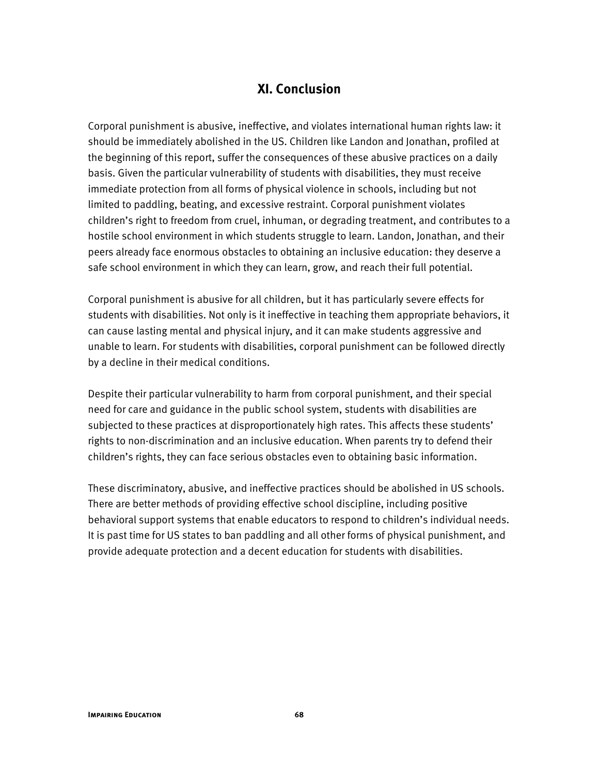## **XI. Conclusion**

Corporal punishment is abusive, ineffective, and violates international human rights law: it should be immediately abolished in the US. Children like Landon and Jonathan, profiled at the beginning of this report, suffer the consequences of these abusive practices on a daily basis. Given the particular vulnerability of students with disabilities, they must receive immediate protection from all forms of physical violence in schools, including but not limited to paddling, beating, and excessive restraint. Corporal punishment violates children's right to freedom from cruel, inhuman, or degrading treatment, and contributes to a hostile school environment in which students struggle to learn. Landon, Jonathan, and their peers already face enormous obstacles to obtaining an inclusive education: they deserve a safe school environment in which they can learn, grow, and reach their full potential.

Corporal punishment is abusive for all children, but it has particularly severe effects for students with disabilities. Not only is it ineffective in teaching them appropriate behaviors, it can cause lasting mental and physical injury, and it can make students aggressive and unable to learn. For students with disabilities, corporal punishment can be followed directly by a decline in their medical conditions.

Despite their particular vulnerability to harm from corporal punishment, and their special need for care and guidance in the public school system, students with disabilities are subjected to these practices at disproportionately high rates. This affects these students' rights to non-discrimination and an inclusive education. When parents try to defend their children's rights, they can face serious obstacles even to obtaining basic information.

These discriminatory, abusive, and ineffective practices should be abolished in US schools. There are better methods of providing effective school discipline, including positive behavioral support systems that enable educators to respond to children's individual needs. It is past time for US states to ban paddling and all other forms of physical punishment, and provide adequate protection and a decent education for students with disabilities.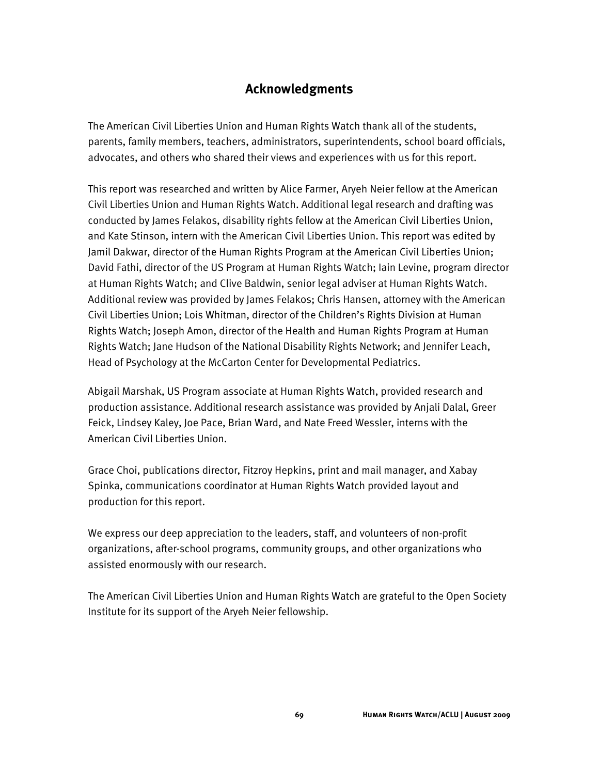## **Acknowledgments**

The American Civil Liberties Union and Human Rights Watch thank all of the students, parents, family members, teachers, administrators, superintendents, school board officials, advocates, and others who shared their views and experiences with us for this report.

This report was researched and written by Alice Farmer, Aryeh Neier fellow at the American Civil Liberties Union and Human Rights Watch. Additional legal research and drafting was conducted by James Felakos, disability rights fellow at the American Civil Liberties Union, and Kate Stinson, intern with the American Civil Liberties Union. This report was edited by Jamil Dakwar, director of the Human Rights Program at the American Civil Liberties Union; David Fathi, director of the US Program at Human Rights Watch; Iain Levine, program director at Human Rights Watch; and Clive Baldwin, senior legal adviser at Human Rights Watch. Additional review was provided by James Felakos; Chris Hansen, attorney with the American Civil Liberties Union; Lois Whitman, director of the Children's Rights Division at Human Rights Watch; Joseph Amon, director of the Health and Human Rights Program at Human Rights Watch; Jane Hudson of the National Disability Rights Network; and Jennifer Leach, Head of Psychology at the McCarton Center for Developmental Pediatrics.

Abigail Marshak, US Program associate at Human Rights Watch, provided research and production assistance. Additional research assistance was provided by Anjali Dalal, Greer Feick, Lindsey Kaley, Joe Pace, Brian Ward, and Nate Freed Wessler, interns with the American Civil Liberties Union.

Grace Choi, publications director, Fitzroy Hepkins, print and mail manager, and Xabay Spinka, communications coordinator at Human Rights Watch provided layout and production for this report.

We express our deep appreciation to the leaders, staff, and volunteers of non-profit organizations, after-school programs, community groups, and other organizations who assisted enormously with our research.

The American Civil Liberties Union and Human Rights Watch are grateful to the Open Society Institute for its support of the Aryeh Neier fellowship.